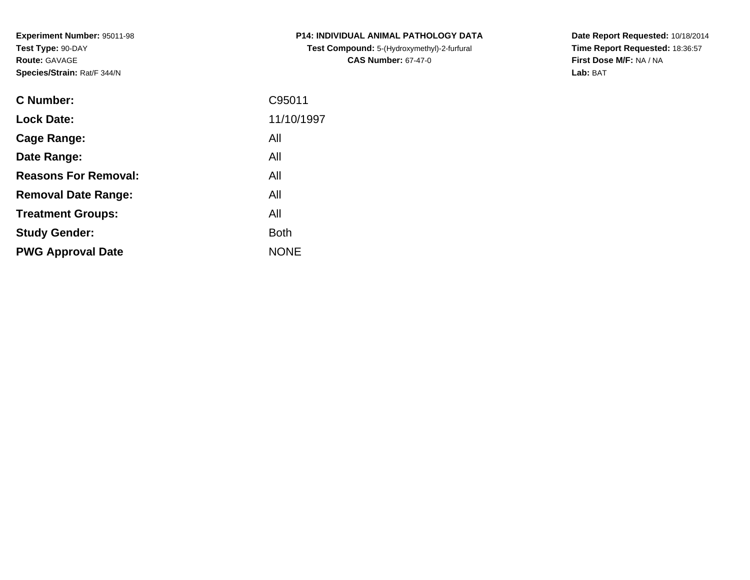**Experiment Number:** 95011-98**Test Type:** 90-DAY**Route:** GAVAGE**Species/Strain:** Rat/F 344/N

| <b>C Number:</b>            | C95011      |
|-----------------------------|-------------|
| <b>Lock Date:</b>           | 11/10/1997  |
| <b>Cage Range:</b>          | All         |
| Date Range:                 | All         |
| <b>Reasons For Removal:</b> | All         |
| <b>Removal Date Range:</b>  | All         |
| <b>Treatment Groups:</b>    | All         |
| <b>Study Gender:</b>        | <b>Both</b> |
| <b>PWG Approval Date</b>    | <b>NONE</b> |
|                             |             |

**P14: INDIVIDUAL ANIMAL PATHOLOGY DATATest Compound:** 5-(Hydroxymethyl)-2-furfural **CAS Number:** 67-47-0

**Date Report Requested:** 10/18/2014 **Time Report Requested:** 18:36:57**First Dose M/F:** NA / NA**Lab:** BAT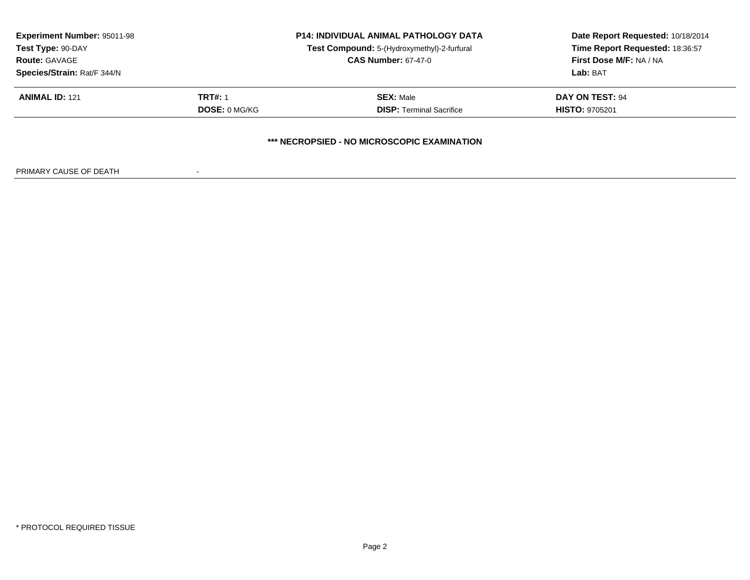| <b>Experiment Number: 95011-98</b><br>Test Type: 90-DAY<br><b>Route: GAVAGE</b> |                      | <b>P14: INDIVIDUAL ANIMAL PATHOLOGY DATA</b><br>Test Compound: 5-(Hydroxymethyl)-2-furfural<br><b>CAS Number: 67-47-0</b> | Date Report Requested: 10/18/2014<br>Time Report Requested: 18:36:57<br>First Dose M/F: NA / NA |
|---------------------------------------------------------------------------------|----------------------|---------------------------------------------------------------------------------------------------------------------------|-------------------------------------------------------------------------------------------------|
| Species/Strain: Rat/F 344/N<br><b>ANIMAL ID: 121</b>                            | <b>TRT#: 1</b>       | <b>SEX: Male</b>                                                                                                          | Lab: BAT<br>DAY ON TEST: 94                                                                     |
|                                                                                 | <b>DOSE: 0 MG/KG</b> | <b>DISP:</b> Terminal Sacrifice                                                                                           | <b>HISTO: 9705201</b>                                                                           |
|                                                                                 |                      | *** NECROPSIED - NO MICROSCOPIC EXAMINATION                                                                               |                                                                                                 |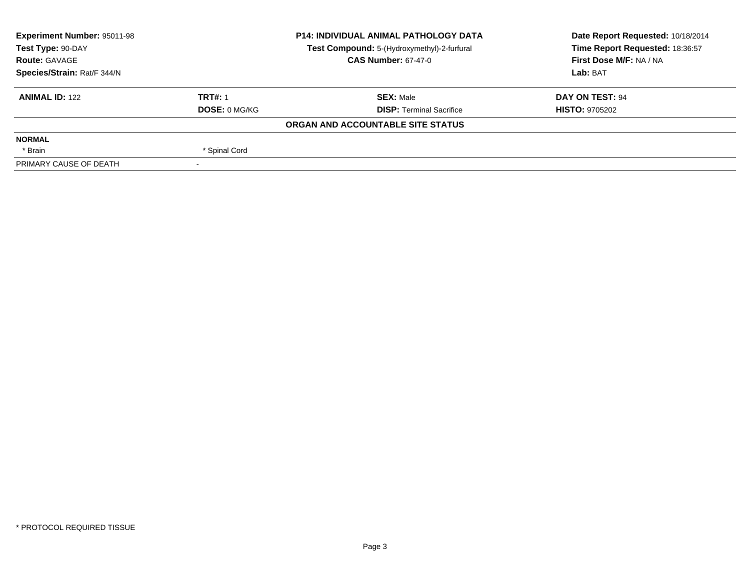| <b>Experiment Number: 95011-98</b> |                      | <b>P14: INDIVIDUAL ANIMAL PATHOLOGY DATA</b> | Date Report Requested: 10/18/2014 |
|------------------------------------|----------------------|----------------------------------------------|-----------------------------------|
| Test Type: 90-DAY                  |                      | Test Compound: 5-(Hydroxymethyl)-2-furfural  | Time Report Requested: 18:36:57   |
| <b>Route: GAVAGE</b>               |                      | <b>CAS Number: 67-47-0</b>                   | First Dose M/F: NA / NA           |
| Species/Strain: Rat/F 344/N        |                      |                                              | Lab: BAT                          |
| <b>ANIMAL ID: 122</b>              | <b>TRT#: 1</b>       | <b>SEX: Male</b>                             | DAY ON TEST: 94                   |
|                                    | <b>DOSE: 0 MG/KG</b> | <b>DISP: Terminal Sacrifice</b>              | <b>HISTO: 9705202</b>             |
|                                    |                      | ORGAN AND ACCOUNTABLE SITE STATUS            |                                   |
| <b>NORMAL</b>                      |                      |                                              |                                   |
| * Brain                            | * Spinal Cord        |                                              |                                   |
| PRIMARY CAUSE OF DEATH             |                      |                                              |                                   |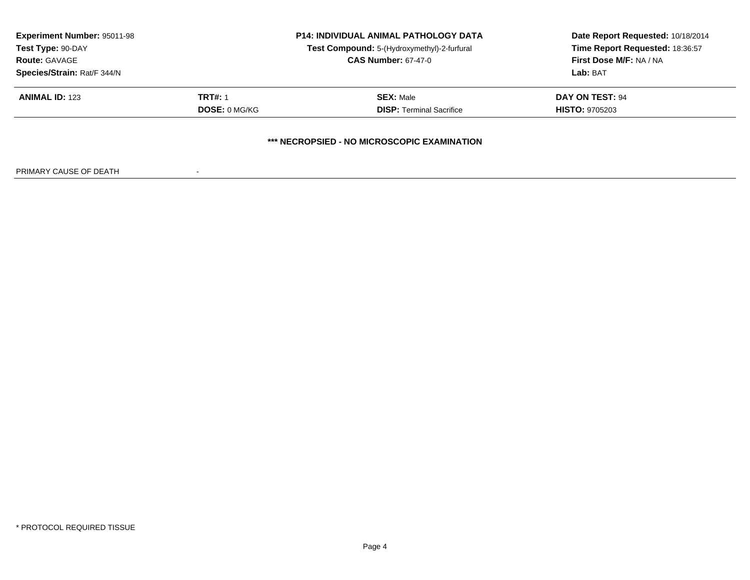| <b>Experiment Number: 95011-98</b><br>Test Type: 90-DAY<br><b>Route: GAVAGE</b> |                      | <b>P14: INDIVIDUAL ANIMAL PATHOLOGY DATA</b><br>Test Compound: 5-(Hydroxymethyl)-2-furfural<br><b>CAS Number: 67-47-0</b> | Date Report Requested: 10/18/2014<br>Time Report Requested: 18:36:57<br>First Dose M/F: NA / NA |
|---------------------------------------------------------------------------------|----------------------|---------------------------------------------------------------------------------------------------------------------------|-------------------------------------------------------------------------------------------------|
| Species/Strain: Rat/F 344/N<br><b>ANIMAL ID: 123</b>                            | <b>TRT#: 1</b>       | <b>SEX: Male</b>                                                                                                          | Lab: BAT<br>DAY ON TEST: 94                                                                     |
|                                                                                 | <b>DOSE: 0 MG/KG</b> | <b>DISP: Terminal Sacrifice</b>                                                                                           | <b>HISTO: 9705203</b>                                                                           |
|                                                                                 |                      | *** NECROPSIED - NO MICROSCOPIC EXAMINATION                                                                               |                                                                                                 |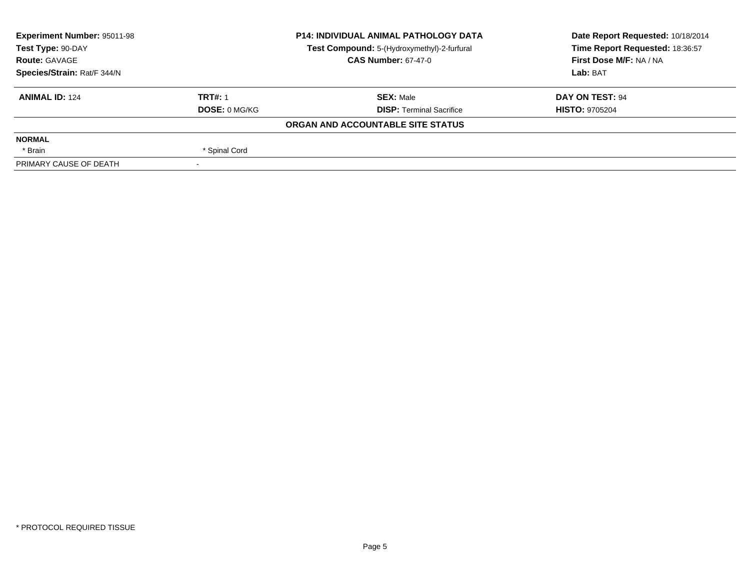| <b>Experiment Number: 95011-98</b> |                      | <b>P14: INDIVIDUAL ANIMAL PATHOLOGY DATA</b> | Date Report Requested: 10/18/2014 |
|------------------------------------|----------------------|----------------------------------------------|-----------------------------------|
| Test Type: 90-DAY                  |                      | Test Compound: 5-(Hydroxymethyl)-2-furfural  | Time Report Requested: 18:36:57   |
| <b>Route: GAVAGE</b>               |                      | <b>CAS Number: 67-47-0</b>                   | First Dose M/F: NA / NA           |
| Species/Strain: Rat/F 344/N        |                      |                                              | Lab: BAT                          |
| <b>ANIMAL ID: 124</b>              | <b>TRT#: 1</b>       | <b>SEX: Male</b>                             | DAY ON TEST: 94                   |
|                                    | <b>DOSE: 0 MG/KG</b> | <b>DISP: Terminal Sacrifice</b>              | <b>HISTO: 9705204</b>             |
|                                    |                      | ORGAN AND ACCOUNTABLE SITE STATUS            |                                   |
| <b>NORMAL</b>                      |                      |                                              |                                   |
| * Brain                            | * Spinal Cord        |                                              |                                   |
| PRIMARY CAUSE OF DEATH             |                      |                                              |                                   |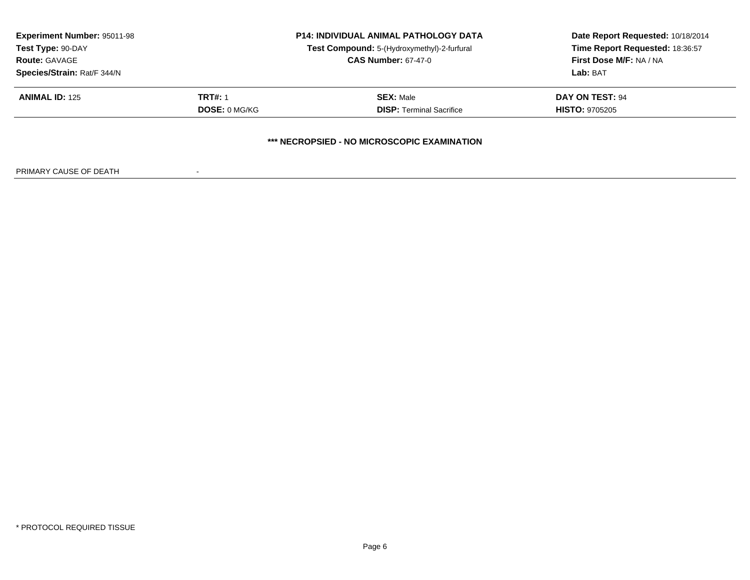| <b>Experiment Number: 95011-98</b><br>Test Type: 90-DAY<br><b>Route: GAVAGE</b> |                      | <b>P14: INDIVIDUAL ANIMAL PATHOLOGY DATA</b><br>Test Compound: 5-(Hydroxymethyl)-2-furfural<br><b>CAS Number: 67-47-0</b> | Date Report Requested: 10/18/2014<br>Time Report Requested: 18:36:57<br>First Dose M/F: NA / NA |
|---------------------------------------------------------------------------------|----------------------|---------------------------------------------------------------------------------------------------------------------------|-------------------------------------------------------------------------------------------------|
| Species/Strain: Rat/F 344/N<br><b>ANIMAL ID: 125</b>                            | <b>TRT#: 1</b>       | <b>SEX: Male</b>                                                                                                          | Lab: BAT<br>DAY ON TEST: 94                                                                     |
|                                                                                 | <b>DOSE: 0 MG/KG</b> | <b>DISP: Terminal Sacrifice</b>                                                                                           | <b>HISTO: 9705205</b>                                                                           |
|                                                                                 |                      | *** NECROPSIED - NO MICROSCOPIC EXAMINATION                                                                               |                                                                                                 |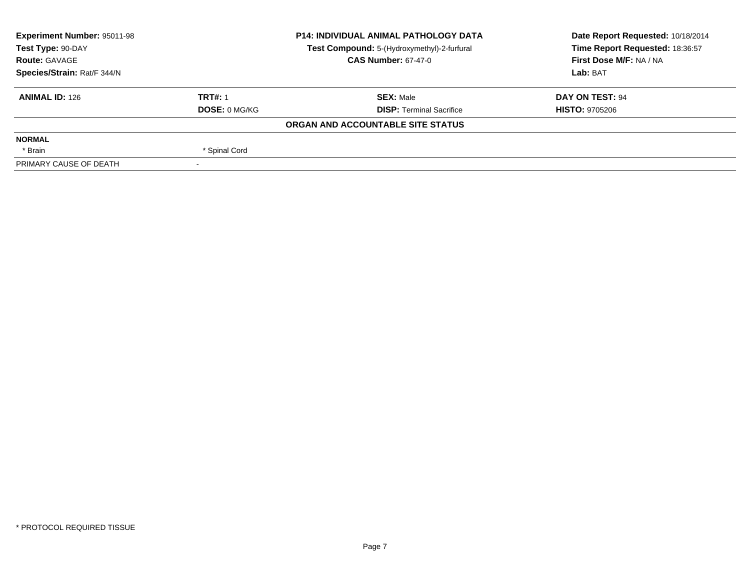| <b>Experiment Number: 95011-98</b> |                      | <b>P14: INDIVIDUAL ANIMAL PATHOLOGY DATA</b> | Date Report Requested: 10/18/2014 |
|------------------------------------|----------------------|----------------------------------------------|-----------------------------------|
| Test Type: 90-DAY                  |                      | Test Compound: 5-(Hydroxymethyl)-2-furfural  | Time Report Requested: 18:36:57   |
| <b>Route: GAVAGE</b>               |                      | <b>CAS Number: 67-47-0</b>                   | First Dose M/F: NA / NA           |
| Species/Strain: Rat/F 344/N        |                      |                                              | Lab: BAT                          |
| <b>ANIMAL ID: 126</b>              | <b>TRT#: 1</b>       | <b>SEX: Male</b>                             | DAY ON TEST: 94                   |
|                                    | <b>DOSE: 0 MG/KG</b> | <b>DISP: Terminal Sacrifice</b>              | <b>HISTO: 9705206</b>             |
|                                    |                      | ORGAN AND ACCOUNTABLE SITE STATUS            |                                   |
| <b>NORMAL</b>                      |                      |                                              |                                   |
| * Brain                            | * Spinal Cord        |                                              |                                   |
| PRIMARY CAUSE OF DEATH             |                      |                                              |                                   |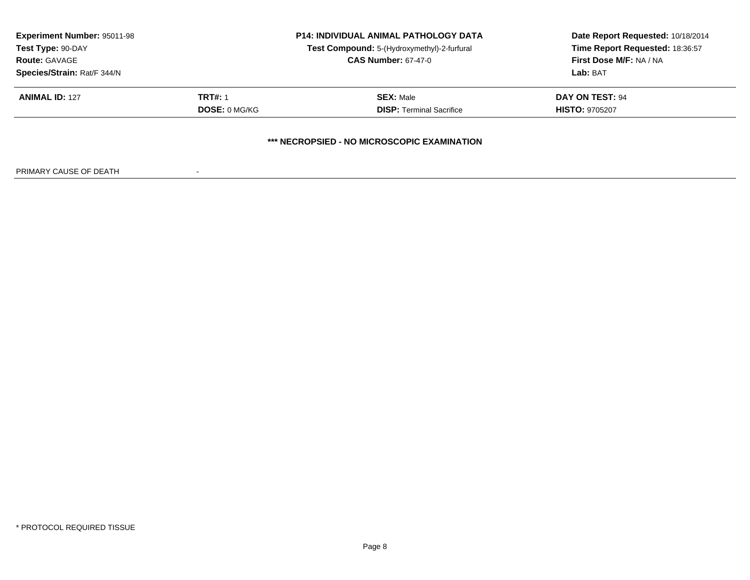| <b>Experiment Number: 95011-98</b><br>Test Type: 90-DAY |                      | <b>P14: INDIVIDUAL ANIMAL PATHOLOGY DATA</b><br>Test Compound: 5-(Hydroxymethyl)-2-furfural | Date Report Requested: 10/18/2014<br>Time Report Requested: 18:36:57 |
|---------------------------------------------------------|----------------------|---------------------------------------------------------------------------------------------|----------------------------------------------------------------------|
| <b>Route: GAVAGE</b>                                    |                      | <b>CAS Number: 67-47-0</b>                                                                  | <b>First Dose M/F: NA / NA</b>                                       |
| Species/Strain: Rat/F 344/N                             |                      |                                                                                             | Lab: BAT                                                             |
| <b>ANIMAL ID: 127</b>                                   | <b>TRT#: 1</b>       | <b>SEX: Male</b>                                                                            | DAY ON TEST: 94                                                      |
|                                                         | <b>DOSE: 0 MG/KG</b> | <b>DISP:</b> Terminal Sacrifice                                                             | <b>HISTO: 9705207</b>                                                |
|                                                         |                      | *** NECROPSIED - NO MICROSCOPIC EXAMINATION                                                 |                                                                      |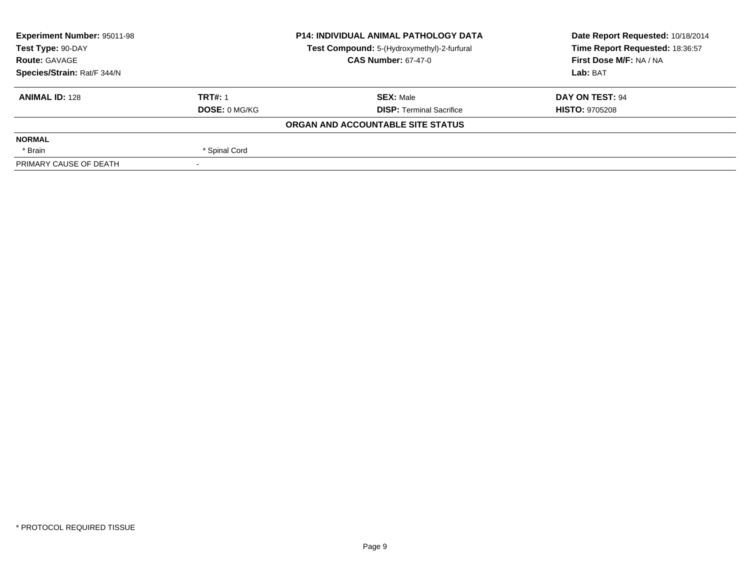| <b>Experiment Number: 95011-98</b> |                | <b>P14: INDIVIDUAL ANIMAL PATHOLOGY DATA</b> | Date Report Requested: 10/18/2014 |
|------------------------------------|----------------|----------------------------------------------|-----------------------------------|
| Test Type: 90-DAY                  |                | Test Compound: 5-(Hydroxymethyl)-2-furfural  | Time Report Requested: 18:36:57   |
| <b>Route: GAVAGE</b>               |                | <b>CAS Number: 67-47-0</b>                   | First Dose M/F: NA / NA           |
| Species/Strain: Rat/F 344/N        |                |                                              | Lab: BAT                          |
| <b>ANIMAL ID: 128</b>              | <b>TRT#: 1</b> | <b>SEX: Male</b>                             | DAY ON TEST: 94                   |
|                                    | DOSE: 0 MG/KG  | <b>DISP: Terminal Sacrifice</b>              | <b>HISTO: 9705208</b>             |
|                                    |                | ORGAN AND ACCOUNTABLE SITE STATUS            |                                   |
| <b>NORMAL</b>                      |                |                                              |                                   |
| * Brain                            | * Spinal Cord  |                                              |                                   |
| PRIMARY CAUSE OF DEATH             |                |                                              |                                   |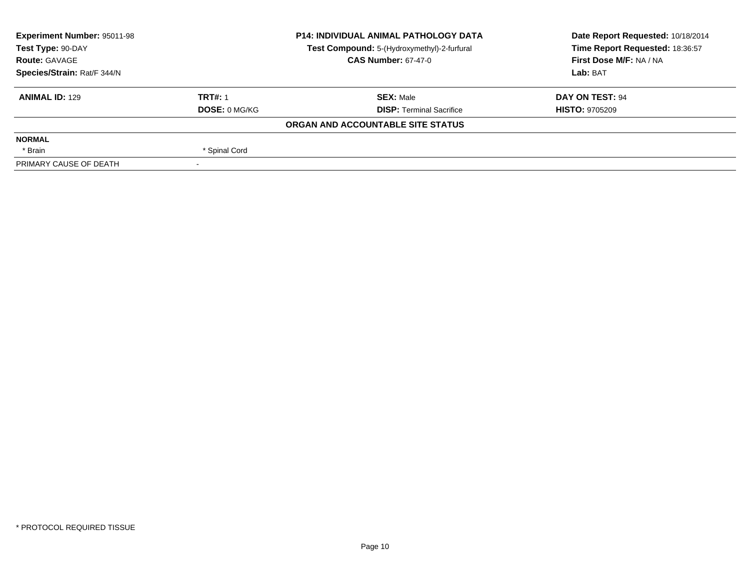| <b>Experiment Number: 95011-98</b> |                      | <b>P14: INDIVIDUAL ANIMAL PATHOLOGY DATA</b> | Date Report Requested: 10/18/2014 |
|------------------------------------|----------------------|----------------------------------------------|-----------------------------------|
| Test Type: 90-DAY                  |                      | Test Compound: 5-(Hydroxymethyl)-2-furfural  | Time Report Requested: 18:36:57   |
| <b>Route: GAVAGE</b>               |                      | <b>CAS Number: 67-47-0</b>                   | First Dose M/F: NA / NA           |
| Species/Strain: Rat/F 344/N        |                      |                                              | Lab: BAT                          |
| <b>ANIMAL ID: 129</b>              | <b>TRT#: 1</b>       | <b>SEX: Male</b>                             | DAY ON TEST: 94                   |
|                                    | <b>DOSE: 0 MG/KG</b> | <b>DISP: Terminal Sacrifice</b>              | <b>HISTO: 9705209</b>             |
|                                    |                      | ORGAN AND ACCOUNTABLE SITE STATUS            |                                   |
| <b>NORMAL</b>                      |                      |                                              |                                   |
| * Brain                            | * Spinal Cord        |                                              |                                   |
| PRIMARY CAUSE OF DEATH             |                      |                                              |                                   |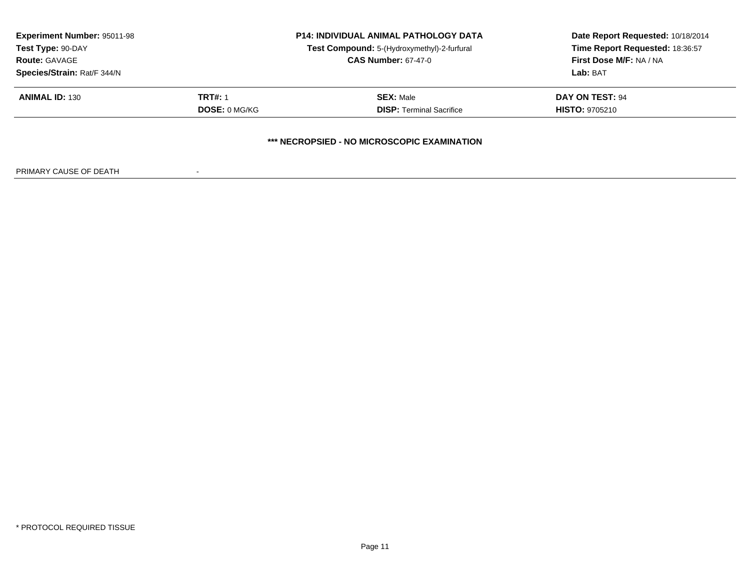| <b>Experiment Number: 95011-98</b> | <b>P14: INDIVIDUAL ANIMAL PATHOLOGY DATA</b> |                                             | Date Report Requested: 10/18/2014 |
|------------------------------------|----------------------------------------------|---------------------------------------------|-----------------------------------|
| Test Type: 90-DAY                  |                                              | Test Compound: 5-(Hydroxymethyl)-2-furfural | Time Report Requested: 18:36:57   |
| <b>Route: GAVAGE</b>               |                                              | <b>CAS Number: 67-47-0</b>                  | First Dose M/F: NA / NA           |
| Species/Strain: Rat/F 344/N        |                                              |                                             | Lab: BAT                          |
| <b>ANIMAL ID: 130</b>              | <b>TRT#: 1</b>                               | <b>SEX: Male</b>                            | DAY ON TEST: 94                   |
|                                    | <b>DOSE: 0 MG/KG</b>                         | <b>DISP: Terminal Sacrifice</b>             | <b>HISTO: 9705210</b>             |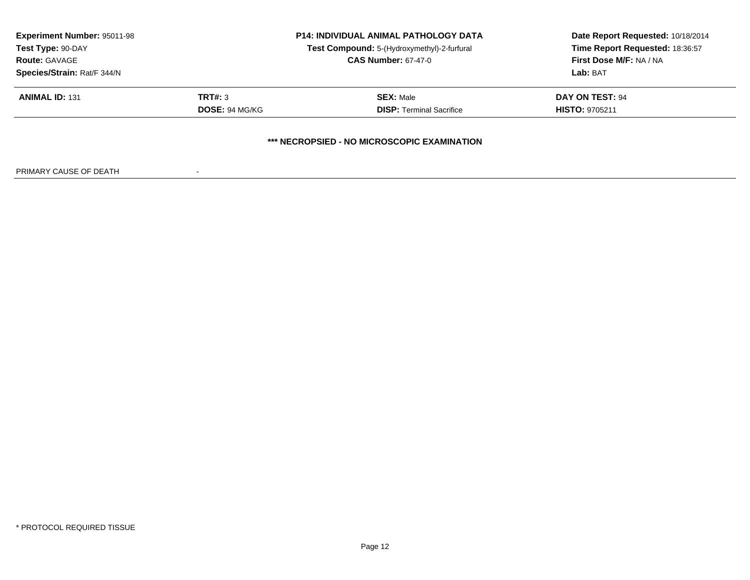| <b>Experiment Number: 95011-98</b><br>Test Type: 90-DAY<br><b>Route: GAVAGE</b><br>Species/Strain: Rat/F 344/N |                                  | <b>P14: INDIVIDUAL ANIMAL PATHOLOGY DATA</b><br>Test Compound: 5-(Hydroxymethyl)-2-furfural<br><b>CAS Number: 67-47-0</b> | Date Report Requested: 10/18/2014<br>Time Report Requested: 18:36:57<br><b>First Dose M/F: NA / NA</b><br>Lab: BAT |
|----------------------------------------------------------------------------------------------------------------|----------------------------------|---------------------------------------------------------------------------------------------------------------------------|--------------------------------------------------------------------------------------------------------------------|
| <b>ANIMAL ID: 131</b>                                                                                          | <b>TRT#: 3</b><br>DOSE: 94 MG/KG | <b>SEX: Male</b><br><b>DISP:</b> Terminal Sacrifice                                                                       | <b>DAY ON TEST: 94</b><br><b>HISTO: 9705211</b>                                                                    |
|                                                                                                                |                                  | *** NECROPSIED - NO MICROSCOPIC EXAMINATION                                                                               |                                                                                                                    |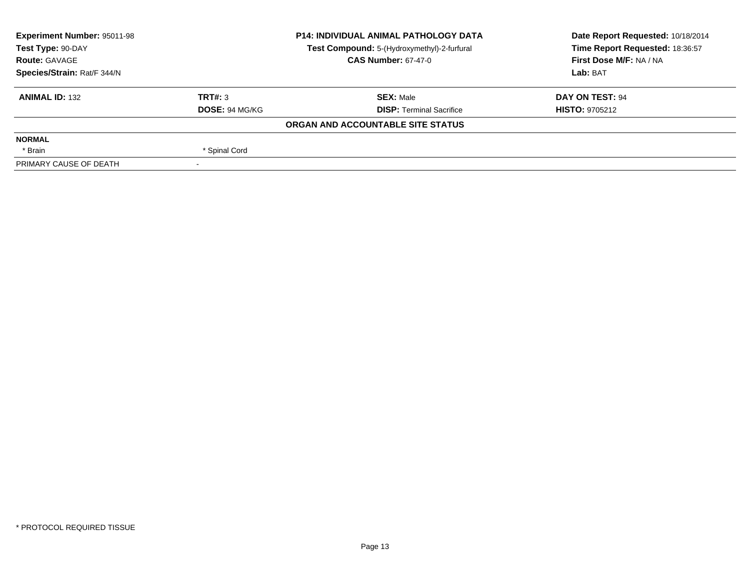| <b>Experiment Number: 95011-98</b> |                | <b>P14: INDIVIDUAL ANIMAL PATHOLOGY DATA</b> | Date Report Requested: 10/18/2014 |
|------------------------------------|----------------|----------------------------------------------|-----------------------------------|
| Test Type: 90-DAY                  |                | Test Compound: 5-(Hydroxymethyl)-2-furfural  | Time Report Requested: 18:36:57   |
| <b>Route: GAVAGE</b>               |                | <b>CAS Number: 67-47-0</b>                   | First Dose M/F: NA / NA           |
| Species/Strain: Rat/F 344/N        |                |                                              | Lab: BAT                          |
| <b>ANIMAL ID: 132</b>              | TRT#: 3        | <b>SEX:</b> Male                             | DAY ON TEST: 94                   |
|                                    | DOSE: 94 MG/KG | <b>DISP:</b> Terminal Sacrifice              | <b>HISTO: 9705212</b>             |
|                                    |                | ORGAN AND ACCOUNTABLE SITE STATUS            |                                   |
| <b>NORMAL</b>                      |                |                                              |                                   |
| * Brain                            | * Spinal Cord  |                                              |                                   |
| PRIMARY CAUSE OF DEATH             |                |                                              |                                   |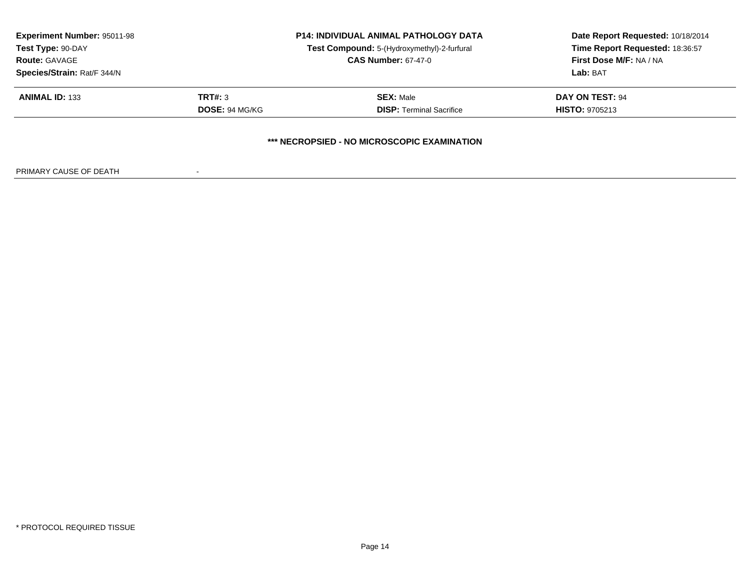| Time Report Requested: 18:36:57 |
|---------------------------------|
|                                 |
| First Dose M/F: NA / NA         |
|                                 |
| <b>DAY ON TEST: 94</b>          |
| <b>HISTO: 9705213</b>           |
|                                 |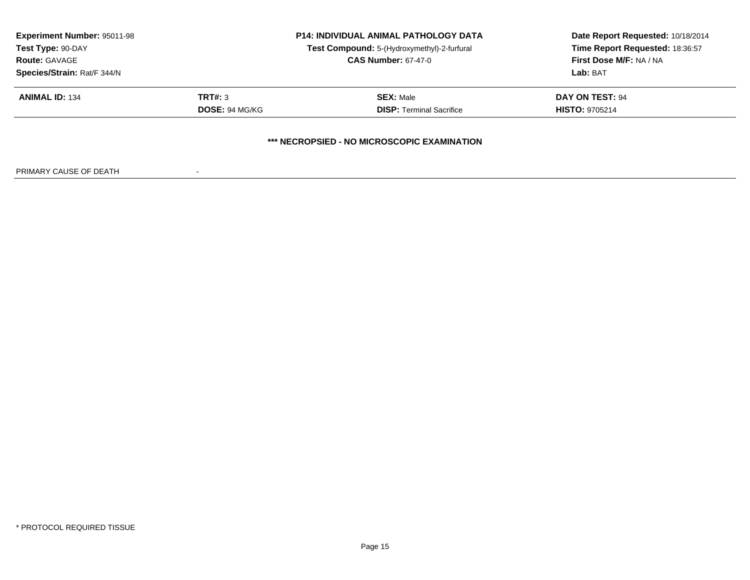| <b>Experiment Number: 95011-98</b> |                       | <b>P14: INDIVIDUAL ANIMAL PATHOLOGY DATA</b> | Date Report Requested: 10/18/2014<br>Time Report Requested: 18:36:57 |
|------------------------------------|-----------------------|----------------------------------------------|----------------------------------------------------------------------|
| Test Type: 90-DAY                  |                       | Test Compound: 5-(Hydroxymethyl)-2-furfural  |                                                                      |
| <b>Route: GAVAGE</b>               |                       | <b>CAS Number: 67-47-0</b>                   | First Dose M/F: NA / NA                                              |
| Species/Strain: Rat/F 344/N        |                       |                                              | Lab: BAT                                                             |
| <b>ANIMAL ID: 134</b>              | <b>TRT#: 3</b>        | <b>SEX: Male</b>                             | DAY ON TEST: 94                                                      |
|                                    | <b>DOSE: 94 MG/KG</b> | <b>DISP: Terminal Sacrifice</b>              | <b>HISTO: 9705214</b>                                                |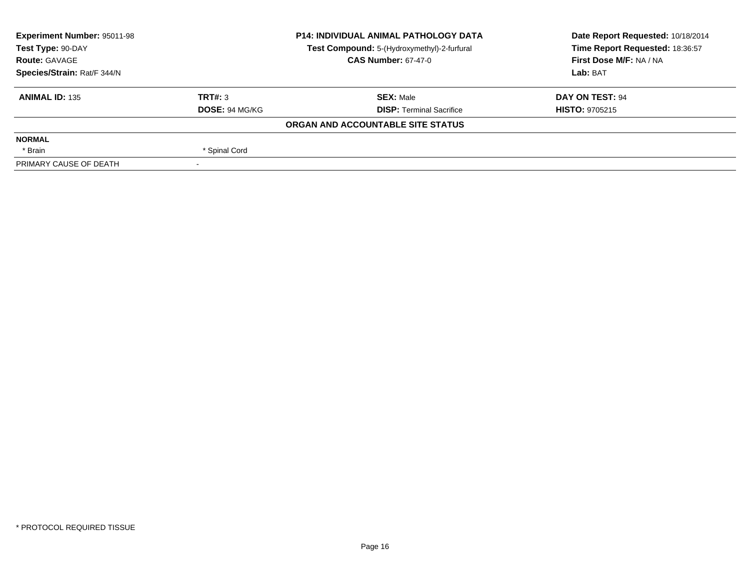| <b>Experiment Number: 95011-98</b> |                | <b>P14: INDIVIDUAL ANIMAL PATHOLOGY DATA</b> | Date Report Requested: 10/18/2014 |
|------------------------------------|----------------|----------------------------------------------|-----------------------------------|
| Test Type: 90-DAY                  |                | Test Compound: 5-(Hydroxymethyl)-2-furfural  | Time Report Requested: 18:36:57   |
| <b>Route: GAVAGE</b>               |                | <b>CAS Number: 67-47-0</b>                   | First Dose M/F: NA / NA           |
| Species/Strain: Rat/F 344/N        |                |                                              | Lab: BAT                          |
| <b>ANIMAL ID: 135</b>              | TRT#: 3        | <b>SEX:</b> Male                             | DAY ON TEST: 94                   |
|                                    | DOSE: 94 MG/KG | <b>DISP:</b> Terminal Sacrifice              | <b>HISTO: 9705215</b>             |
|                                    |                | ORGAN AND ACCOUNTABLE SITE STATUS            |                                   |
| <b>NORMAL</b>                      |                |                                              |                                   |
| * Brain                            | * Spinal Cord  |                                              |                                   |
| PRIMARY CAUSE OF DEATH             |                |                                              |                                   |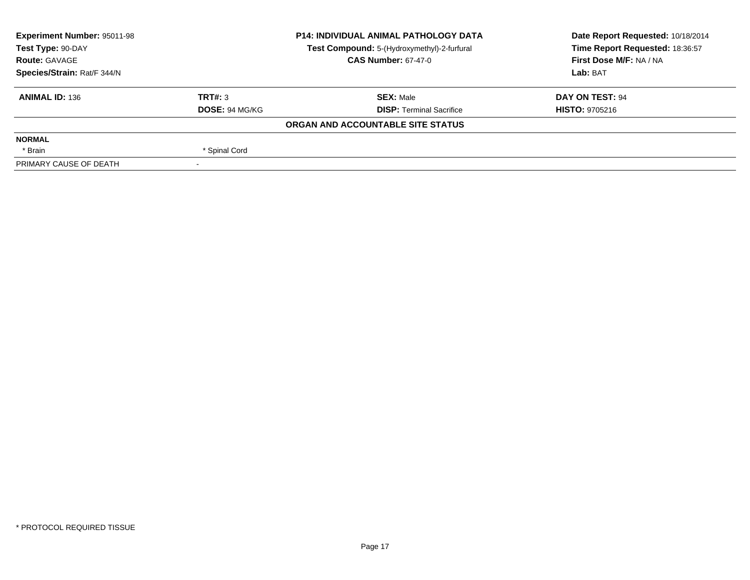| <b>Experiment Number: 95011-98</b> |                | <b>P14: INDIVIDUAL ANIMAL PATHOLOGY DATA</b> | Date Report Requested: 10/18/2014 |
|------------------------------------|----------------|----------------------------------------------|-----------------------------------|
| Test Type: 90-DAY                  |                | Test Compound: 5-(Hydroxymethyl)-2-furfural  | Time Report Requested: 18:36:57   |
| <b>Route: GAVAGE</b>               |                | <b>CAS Number: 67-47-0</b>                   | First Dose M/F: NA / NA           |
| Species/Strain: Rat/F 344/N        |                |                                              | Lab: BAT                          |
| <b>ANIMAL ID: 136</b>              | TRT#: 3        | <b>SEX:</b> Male                             | DAY ON TEST: 94                   |
|                                    | DOSE: 94 MG/KG | <b>DISP:</b> Terminal Sacrifice              | <b>HISTO: 9705216</b>             |
|                                    |                | ORGAN AND ACCOUNTABLE SITE STATUS            |                                   |
| <b>NORMAL</b>                      |                |                                              |                                   |
| * Brain                            | * Spinal Cord  |                                              |                                   |
| PRIMARY CAUSE OF DEATH             |                |                                              |                                   |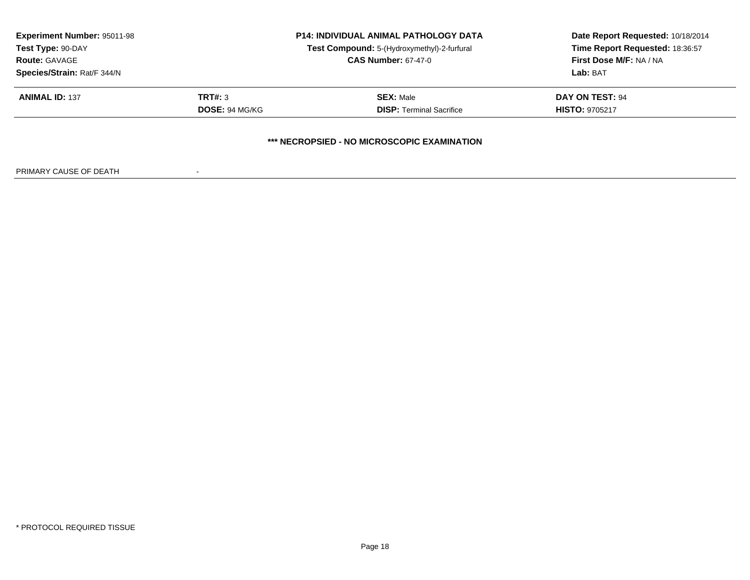| <b>Experiment Number: 95011-98</b> |                       | <b>P14: INDIVIDUAL ANIMAL PATHOLOGY DATA</b> | Date Report Requested: 10/18/2014 |
|------------------------------------|-----------------------|----------------------------------------------|-----------------------------------|
| Test Type: 90-DAY                  |                       | Test Compound: 5-(Hydroxymethyl)-2-furfural  | Time Report Requested: 18:36:57   |
| <b>Route: GAVAGE</b>               |                       | <b>CAS Number: 67-47-0</b>                   | First Dose M/F: NA / NA           |
| Species/Strain: Rat/F 344/N        |                       |                                              | Lab: BAT                          |
| <b>ANIMAL ID: 137</b>              | <b>TRT#: 3</b>        | <b>SEX: Male</b>                             | DAY ON TEST: 94                   |
|                                    | <b>DOSE: 94 MG/KG</b> | <b>DISP: Terminal Sacrifice</b>              | <b>HISTO: 9705217</b>             |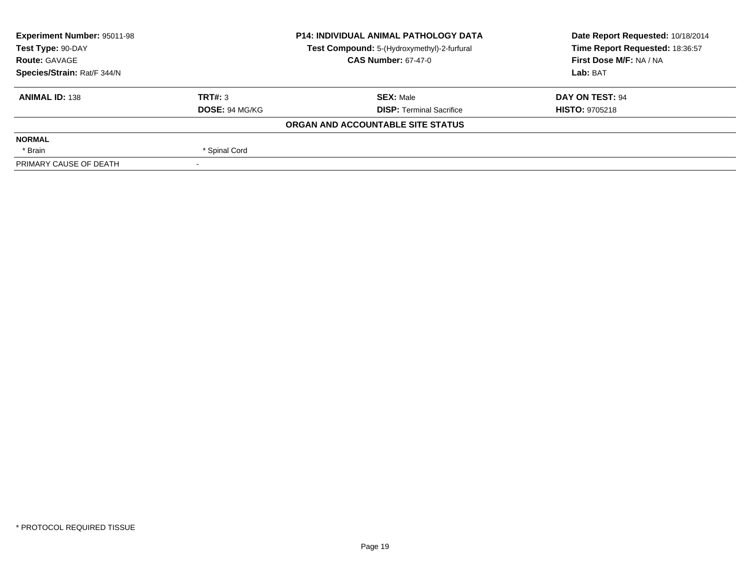| <b>Experiment Number: 95011-98</b> |                | <b>P14: INDIVIDUAL ANIMAL PATHOLOGY DATA</b> | Date Report Requested: 10/18/2014 |
|------------------------------------|----------------|----------------------------------------------|-----------------------------------|
| Test Type: 90-DAY                  |                | Test Compound: 5-(Hydroxymethyl)-2-furfural  | Time Report Requested: 18:36:57   |
| <b>Route: GAVAGE</b>               |                | <b>CAS Number: 67-47-0</b>                   | First Dose M/F: NA / NA           |
| Species/Strain: Rat/F 344/N        |                |                                              | Lab: BAT                          |
| <b>ANIMAL ID: 138</b>              | TRT#: 3        | <b>SEX:</b> Male                             | DAY ON TEST: 94                   |
|                                    | DOSE: 94 MG/KG | <b>DISP:</b> Terminal Sacrifice              | <b>HISTO: 9705218</b>             |
|                                    |                | ORGAN AND ACCOUNTABLE SITE STATUS            |                                   |
| <b>NORMAL</b>                      |                |                                              |                                   |
| * Brain                            | * Spinal Cord  |                                              |                                   |
| PRIMARY CAUSE OF DEATH             |                |                                              |                                   |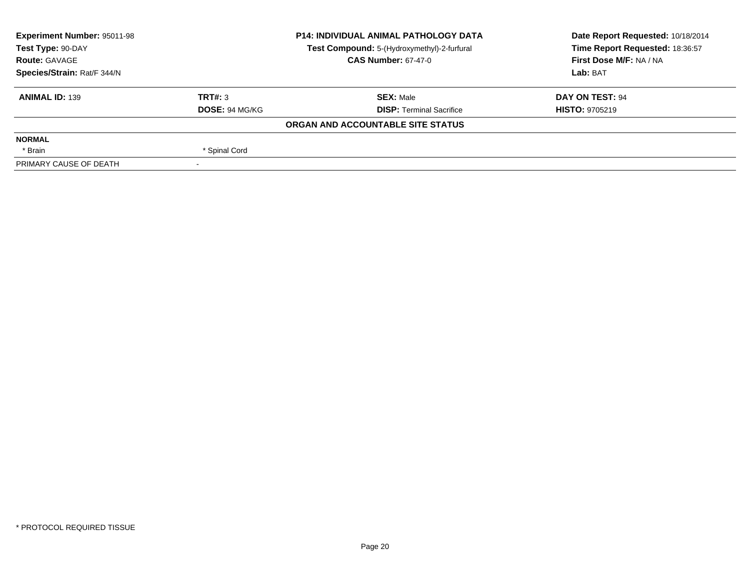| <b>Experiment Number: 95011-98</b> |                | <b>P14: INDIVIDUAL ANIMAL PATHOLOGY DATA</b> | Date Report Requested: 10/18/2014 |
|------------------------------------|----------------|----------------------------------------------|-----------------------------------|
| Test Type: 90-DAY                  |                | Test Compound: 5-(Hydroxymethyl)-2-furfural  | Time Report Requested: 18:36:57   |
| <b>Route: GAVAGE</b>               |                | <b>CAS Number: 67-47-0</b>                   | First Dose M/F: NA / NA           |
| Species/Strain: Rat/F 344/N        |                |                                              | Lab: BAT                          |
| <b>ANIMAL ID: 139</b>              | TRT#: 3        | <b>SEX:</b> Male                             | DAY ON TEST: 94                   |
|                                    | DOSE: 94 MG/KG | <b>DISP:</b> Terminal Sacrifice              | <b>HISTO: 9705219</b>             |
|                                    |                | ORGAN AND ACCOUNTABLE SITE STATUS            |                                   |
| <b>NORMAL</b>                      |                |                                              |                                   |
| * Brain                            | * Spinal Cord  |                                              |                                   |
| PRIMARY CAUSE OF DEATH             |                |                                              |                                   |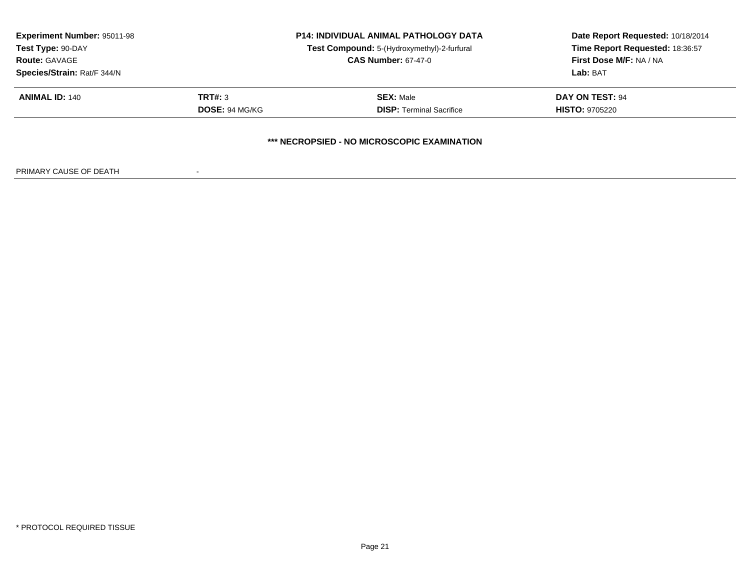| <b>Experiment Number: 95011-98</b><br>Test Type: 90-DAY<br><b>Route: GAVAGE</b><br>Species/Strain: Rat/F 344/N |                                  | <b>P14: INDIVIDUAL ANIMAL PATHOLOGY DATA</b><br>Test Compound: 5-(Hydroxymethyl)-2-furfural<br><b>CAS Number: 67-47-0</b> | Date Report Requested: 10/18/2014<br>Time Report Requested: 18:36:57<br><b>First Dose M/F: NA / NA</b><br>Lab: BAT |
|----------------------------------------------------------------------------------------------------------------|----------------------------------|---------------------------------------------------------------------------------------------------------------------------|--------------------------------------------------------------------------------------------------------------------|
| <b>ANIMAL ID: 140</b>                                                                                          | <b>TRT#: 3</b><br>DOSE: 94 MG/KG | <b>SEX: Male</b><br><b>DISP:</b> Terminal Sacrifice                                                                       | <b>DAY ON TEST: 94</b><br><b>HISTO: 9705220</b>                                                                    |
|                                                                                                                |                                  | *** NECROPSIED - NO MICROSCOPIC EXAMINATION                                                                               |                                                                                                                    |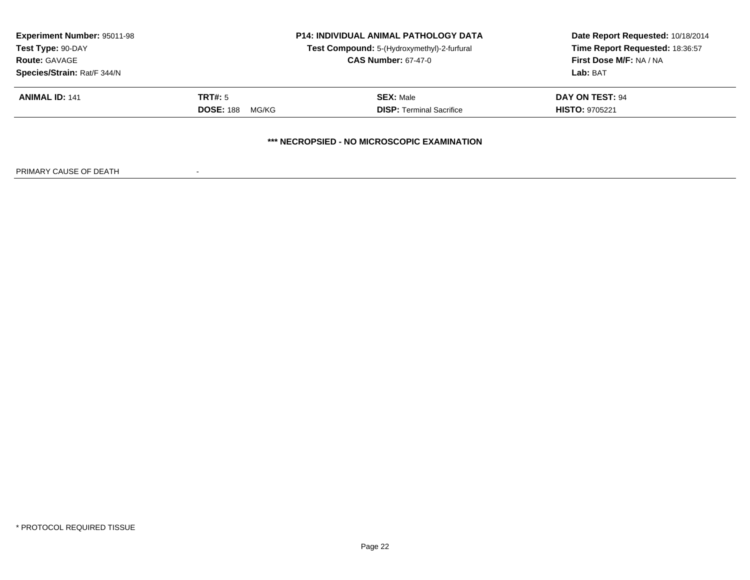| <b>Experiment Number: 95011-98</b><br>Test Type: 90-DAY<br><b>Route: GAVAGE</b><br>Species/Strain: Rat/F 344/N |                                             | <b>P14: INDIVIDUAL ANIMAL PATHOLOGY DATA</b><br>Test Compound: 5-(Hydroxymethyl)-2-furfural<br><b>CAS Number: 67-47-0</b> | Date Report Requested: 10/18/2014<br>Time Report Requested: 18:36:57<br><b>First Dose M/F: NA / NA</b><br>Lab: BAT |
|----------------------------------------------------------------------------------------------------------------|---------------------------------------------|---------------------------------------------------------------------------------------------------------------------------|--------------------------------------------------------------------------------------------------------------------|
| <b>ANIMAL ID: 141</b>                                                                                          | <b>TRT#: 5</b><br><b>DOSE: 188</b><br>MG/KG | <b>SEX: Male</b><br><b>DISP:</b> Terminal Sacrifice                                                                       | DAY ON TEST: 94<br><b>HISTO: 9705221</b>                                                                           |
|                                                                                                                |                                             | *** NECROPSIED - NO MICROSCOPIC EXAMINATION                                                                               |                                                                                                                    |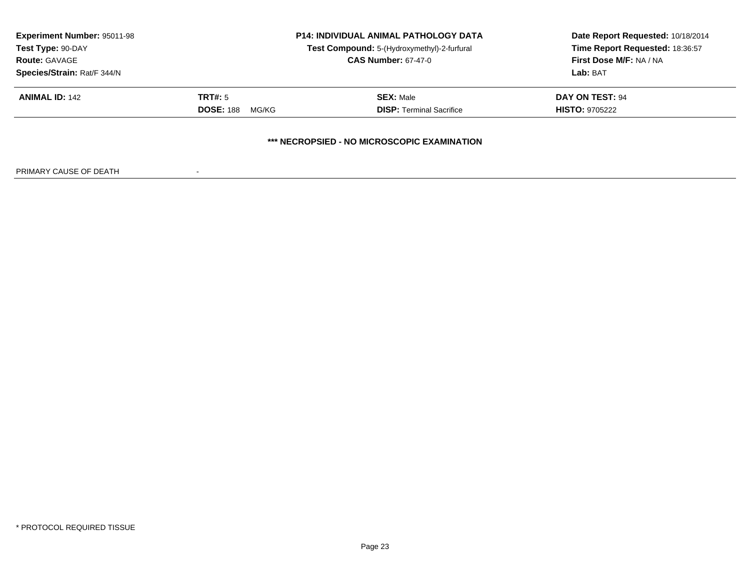| <b>Experiment Number: 95011-98</b><br>Test Type: 90-DAY<br><b>Route: GAVAGE</b><br>Species/Strain: Rat/F 344/N |                                      | <b>P14: INDIVIDUAL ANIMAL PATHOLOGY DATA</b><br>Test Compound: 5-(Hydroxymethyl)-2-furfural<br><b>CAS Number: 67-47-0</b> | Date Report Requested: 10/18/2014<br>Time Report Requested: 18:36:57<br>First Dose M/F: NA / NA<br>Lab: BAT |
|----------------------------------------------------------------------------------------------------------------|--------------------------------------|---------------------------------------------------------------------------------------------------------------------------|-------------------------------------------------------------------------------------------------------------|
| <b>ANIMAL ID: 142</b>                                                                                          | TRT#: 5<br><b>DOSE: 188</b><br>MG/KG | <b>SEX: Male</b><br><b>DISP: Terminal Sacrifice</b>                                                                       | DAY ON TEST: 94<br><b>HISTO: 9705222</b>                                                                    |
|                                                                                                                |                                      | *** NECROPSIED - NO MICROSCOPIC EXAMINATION                                                                               |                                                                                                             |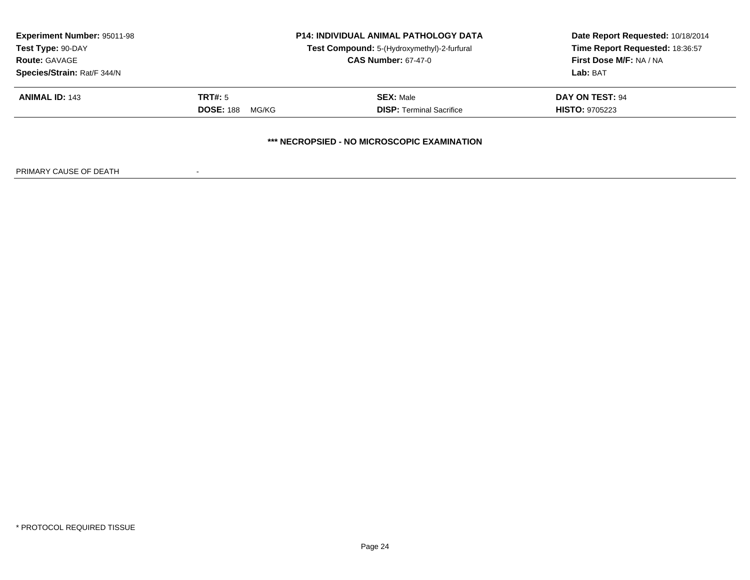| <b>Experiment Number: 95011-98</b><br>Test Type: 90-DAY<br><b>Route: GAVAGE</b><br>Species/Strain: Rat/F 344/N |                                      | <b>P14: INDIVIDUAL ANIMAL PATHOLOGY DATA</b><br>Test Compound: 5-(Hydroxymethyl)-2-furfural<br><b>CAS Number: 67-47-0</b> | Date Report Requested: 10/18/2014<br>Time Report Requested: 18:36:57<br>First Dose M/F: NA / NA<br>Lab: BAT |
|----------------------------------------------------------------------------------------------------------------|--------------------------------------|---------------------------------------------------------------------------------------------------------------------------|-------------------------------------------------------------------------------------------------------------|
| <b>ANIMAL ID: 143</b>                                                                                          | TRT#: 5<br><b>DOSE: 188</b><br>MG/KG | <b>SEX: Male</b><br><b>DISP: Terminal Sacrifice</b>                                                                       | DAY ON TEST: 94<br><b>HISTO: 9705223</b>                                                                    |
|                                                                                                                |                                      | *** NECROPSIED - NO MICROSCOPIC EXAMINATION                                                                               |                                                                                                             |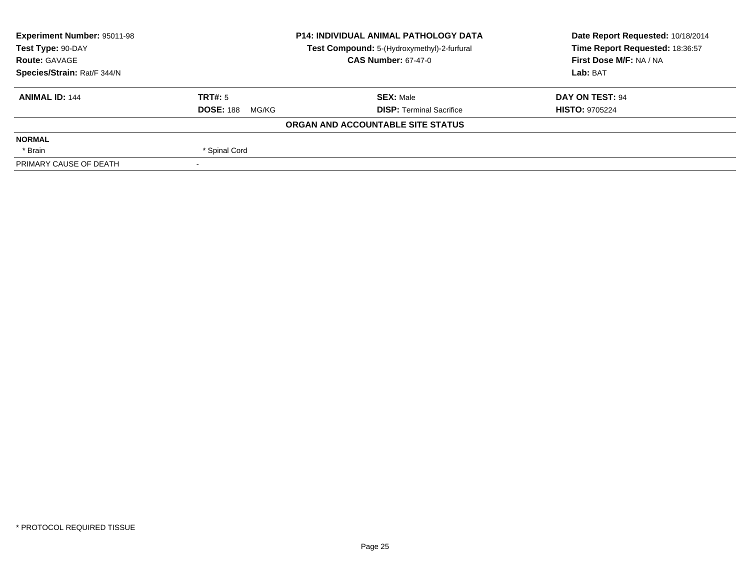| <b>Experiment Number: 95011-98</b>                               | <b>P14: INDIVIDUAL ANIMAL PATHOLOGY DATA</b> |                                   | Date Report Requested: 10/18/2014 |
|------------------------------------------------------------------|----------------------------------------------|-----------------------------------|-----------------------------------|
| Test Type: 90-DAY<br>Test Compound: 5-(Hydroxymethyl)-2-furfural |                                              | Time Report Requested: 18:36:57   |                                   |
| <b>Route: GAVAGE</b>                                             |                                              | <b>CAS Number: 67-47-0</b>        | First Dose M/F: NA / NA           |
| Species/Strain: Rat/F 344/N                                      |                                              |                                   | Lab: BAT                          |
| <b>ANIMAL ID: 144</b>                                            | TRT#: 5                                      | <b>SEX: Male</b>                  | DAY ON TEST: 94                   |
|                                                                  | <b>DOSE: 188</b><br>MG/KG                    | <b>DISP: Terminal Sacrifice</b>   | <b>HISTO: 9705224</b>             |
|                                                                  |                                              | ORGAN AND ACCOUNTABLE SITE STATUS |                                   |
| <b>NORMAL</b>                                                    |                                              |                                   |                                   |
| * Brain                                                          | * Spinal Cord                                |                                   |                                   |
| PRIMARY CAUSE OF DEATH                                           |                                              |                                   |                                   |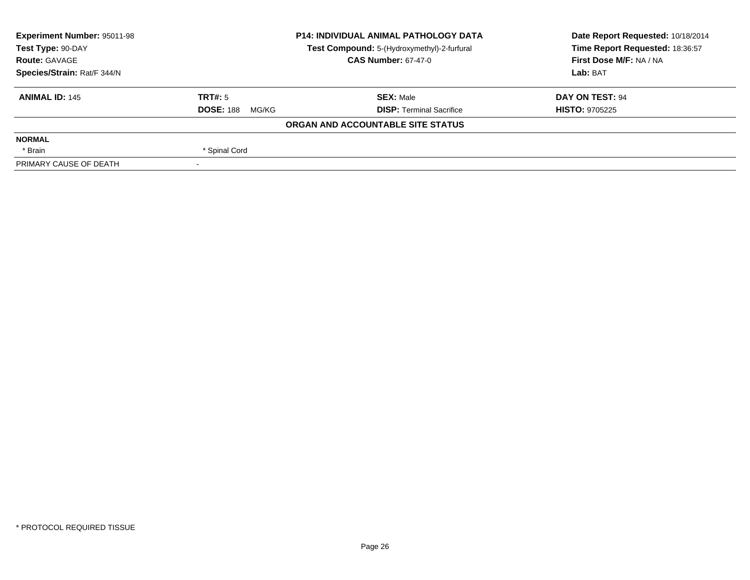| <b>Experiment Number: 95011-98</b> | <b>P14: INDIVIDUAL ANIMAL PATHOLOGY DATA</b><br>Test Compound: 5-(Hydroxymethyl)-2-furfural |                                   | Date Report Requested: 10/18/2014 |  |
|------------------------------------|---------------------------------------------------------------------------------------------|-----------------------------------|-----------------------------------|--|
| Test Type: 90-DAY                  |                                                                                             |                                   | Time Report Requested: 18:36:57   |  |
| <b>Route: GAVAGE</b>               |                                                                                             | <b>CAS Number: 67-47-0</b>        | First Dose M/F: NA / NA           |  |
| Species/Strain: Rat/F 344/N        |                                                                                             |                                   | Lab: BAT                          |  |
| <b>ANIMAL ID: 145</b>              | TRT#: 5                                                                                     | <b>SEX: Male</b>                  | DAY ON TEST: 94                   |  |
|                                    | <b>DOSE: 188</b><br>MG/KG                                                                   | <b>DISP: Terminal Sacrifice</b>   | <b>HISTO: 9705225</b>             |  |
|                                    |                                                                                             | ORGAN AND ACCOUNTABLE SITE STATUS |                                   |  |
| <b>NORMAL</b>                      |                                                                                             |                                   |                                   |  |
| * Brain                            | * Spinal Cord                                                                               |                                   |                                   |  |
| PRIMARY CAUSE OF DEATH             |                                                                                             |                                   |                                   |  |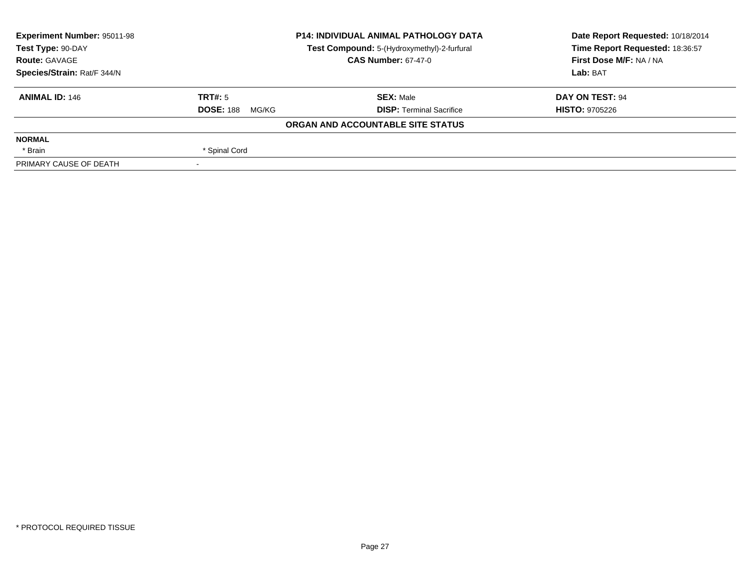| <b>Experiment Number: 95011-98</b>                               | <b>P14: INDIVIDUAL ANIMAL PATHOLOGY DATA</b> |                                   | Date Report Requested: 10/18/2014 |  |
|------------------------------------------------------------------|----------------------------------------------|-----------------------------------|-----------------------------------|--|
| Test Type: 90-DAY<br>Test Compound: 5-(Hydroxymethyl)-2-furfural |                                              | Time Report Requested: 18:36:57   |                                   |  |
| <b>Route: GAVAGE</b>                                             |                                              | <b>CAS Number: 67-47-0</b>        | First Dose M/F: NA / NA           |  |
| Species/Strain: Rat/F 344/N                                      |                                              |                                   | Lab: BAT                          |  |
| <b>ANIMAL ID: 146</b>                                            | TRT#: 5                                      | <b>SEX: Male</b>                  | DAY ON TEST: 94                   |  |
|                                                                  | <b>DOSE: 188</b><br>MG/KG                    | <b>DISP: Terminal Sacrifice</b>   | <b>HISTO: 9705226</b>             |  |
|                                                                  |                                              | ORGAN AND ACCOUNTABLE SITE STATUS |                                   |  |
| <b>NORMAL</b>                                                    |                                              |                                   |                                   |  |
| * Brain                                                          | * Spinal Cord                                |                                   |                                   |  |
| PRIMARY CAUSE OF DEATH                                           |                                              |                                   |                                   |  |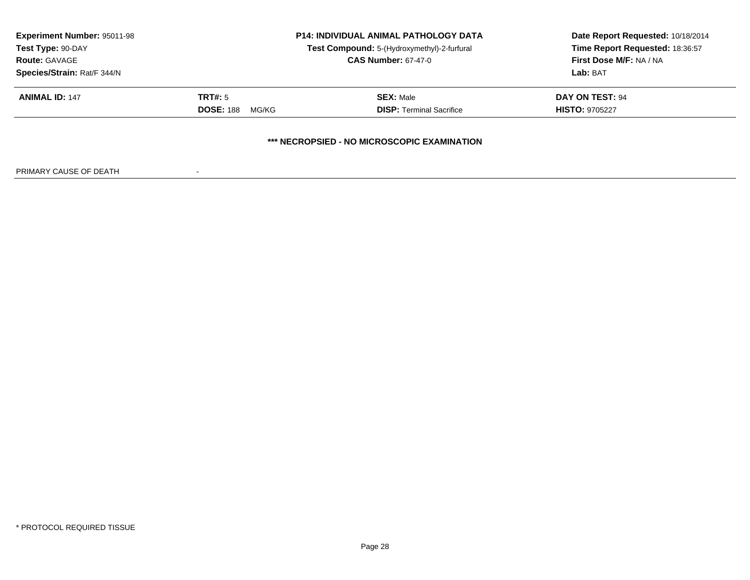| <b>Experiment Number: 95011-98</b><br>Test Type: 90-DAY<br><b>Route: GAVAGE</b><br>Species/Strain: Rat/F 344/N | <b>P14: INDIVIDUAL ANIMAL PATHOLOGY DATA</b><br>Test Compound: 5-(Hydroxymethyl)-2-furfural<br><b>CAS Number: 67-47-0</b> |                                                     | Date Report Requested: 10/18/2014<br>Time Report Requested: 18:36:57<br>First Dose M/F: NA / NA<br>Lab: BAT |
|----------------------------------------------------------------------------------------------------------------|---------------------------------------------------------------------------------------------------------------------------|-----------------------------------------------------|-------------------------------------------------------------------------------------------------------------|
| <b>ANIMAL ID: 147</b>                                                                                          | <b>TRT#: 5</b><br><b>DOSE: 188</b><br>MG/KG                                                                               | <b>SEX: Male</b><br><b>DISP: Terminal Sacrifice</b> | DAY ON TEST: 94<br><b>HISTO: 9705227</b>                                                                    |
|                                                                                                                |                                                                                                                           | *** NECROPSIED - NO MICROSCOPIC EXAMINATION         |                                                                                                             |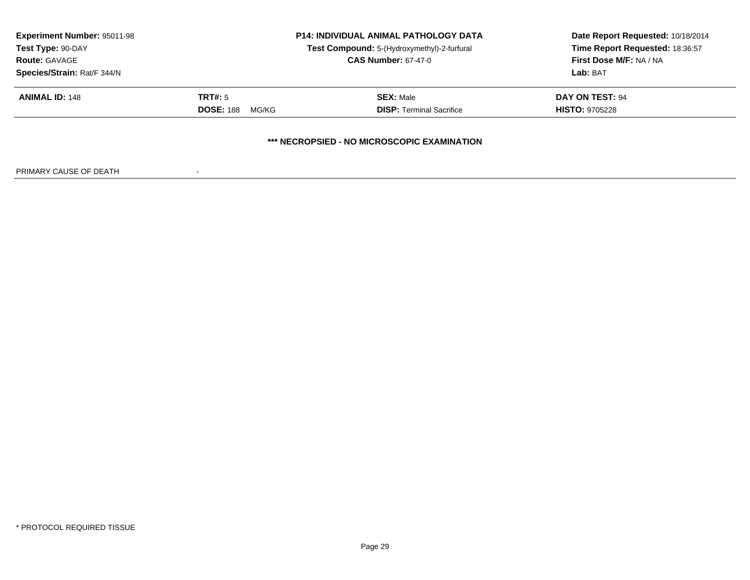| <b>Experiment Number: 95011-98</b><br><b>P14: INDIVIDUAL ANIMAL PATHOLOGY DATA</b><br>Test Compound: 5-(Hydroxymethyl)-2-furfural<br>Test Type: 90-DAY |                            | Date Report Requested: 10/18/2014<br>Time Report Requested: 18:36:57<br><b>First Dose M/F: NA / NA</b> |                        |
|--------------------------------------------------------------------------------------------------------------------------------------------------------|----------------------------|--------------------------------------------------------------------------------------------------------|------------------------|
| <b>Route: GAVAGE</b><br>Species/Strain: Rat/F 344/N                                                                                                    | <b>CAS Number: 67-47-0</b> |                                                                                                        | Lab: BAT               |
| <b>ANIMAL ID: 148</b>                                                                                                                                  | TRT#: 5                    | <b>SEX: Male</b>                                                                                       | <b>DAY ON TEST: 94</b> |
|                                                                                                                                                        | <b>DOSE: 188</b><br>MG/KG  | <b>DISP: Terminal Sacrifice</b>                                                                        | <b>HISTO: 9705228</b>  |
|                                                                                                                                                        |                            | *** NECROPSIED - NO MICROSCOPIC EXAMINATION                                                            |                        |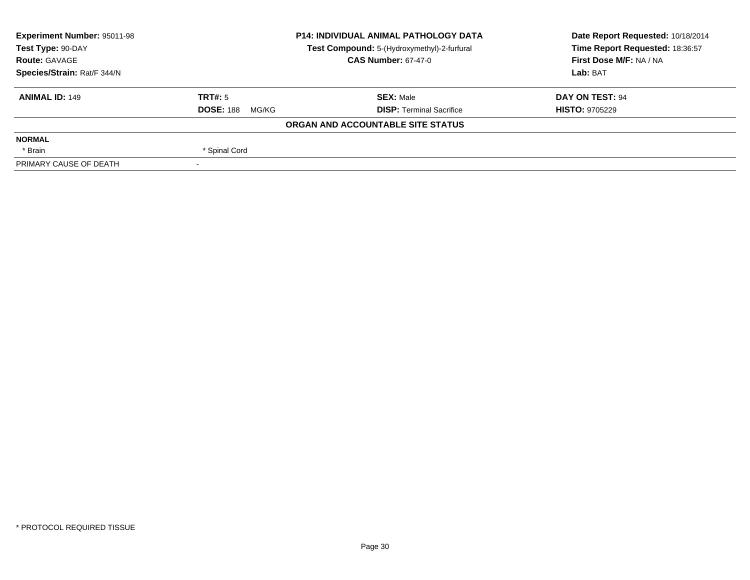| <b>Experiment Number: 95011-98</b> | <b>P14: INDIVIDUAL ANIMAL PATHOLOGY DATA</b><br>Test Compound: 5-(Hydroxymethyl)-2-furfural |                                   | Date Report Requested: 10/18/2014 |  |
|------------------------------------|---------------------------------------------------------------------------------------------|-----------------------------------|-----------------------------------|--|
| Test Type: 90-DAY                  |                                                                                             |                                   | Time Report Requested: 18:36:57   |  |
| <b>Route: GAVAGE</b>               |                                                                                             | <b>CAS Number: 67-47-0</b>        | First Dose M/F: NA / NA           |  |
| Species/Strain: Rat/F 344/N        |                                                                                             |                                   | Lab: BAT                          |  |
| <b>ANIMAL ID: 149</b>              | TRT#: 5                                                                                     | <b>SEX: Male</b>                  | DAY ON TEST: 94                   |  |
|                                    | <b>DOSE: 188</b><br>MG/KG                                                                   | <b>DISP: Terminal Sacrifice</b>   | <b>HISTO: 9705229</b>             |  |
|                                    |                                                                                             | ORGAN AND ACCOUNTABLE SITE STATUS |                                   |  |
| <b>NORMAL</b>                      |                                                                                             |                                   |                                   |  |
| * Brain                            | * Spinal Cord                                                                               |                                   |                                   |  |
| PRIMARY CAUSE OF DEATH             |                                                                                             |                                   |                                   |  |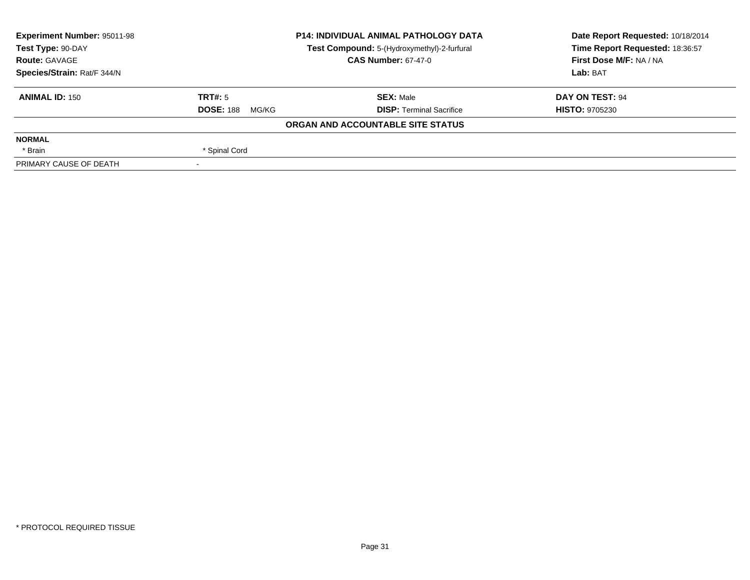| <b>Experiment Number: 95011-98</b>                               | <b>P14: INDIVIDUAL ANIMAL PATHOLOGY DATA</b> |                                   | Date Report Requested: 10/18/2014 |  |
|------------------------------------------------------------------|----------------------------------------------|-----------------------------------|-----------------------------------|--|
| Test Type: 90-DAY<br>Test Compound: 5-(Hydroxymethyl)-2-furfural |                                              | Time Report Requested: 18:36:57   |                                   |  |
| <b>Route: GAVAGE</b>                                             |                                              | <b>CAS Number: 67-47-0</b>        | First Dose M/F: NA / NA           |  |
| Species/Strain: Rat/F 344/N                                      |                                              |                                   | Lab: BAT                          |  |
| <b>ANIMAL ID: 150</b>                                            | TRT#: 5                                      | <b>SEX: Male</b>                  | DAY ON TEST: 94                   |  |
|                                                                  | <b>DOSE: 188</b><br>MG/KG                    | <b>DISP: Terminal Sacrifice</b>   | <b>HISTO: 9705230</b>             |  |
|                                                                  |                                              | ORGAN AND ACCOUNTABLE SITE STATUS |                                   |  |
| <b>NORMAL</b>                                                    |                                              |                                   |                                   |  |
| * Brain                                                          | * Spinal Cord                                |                                   |                                   |  |
| PRIMARY CAUSE OF DEATH                                           |                                              |                                   |                                   |  |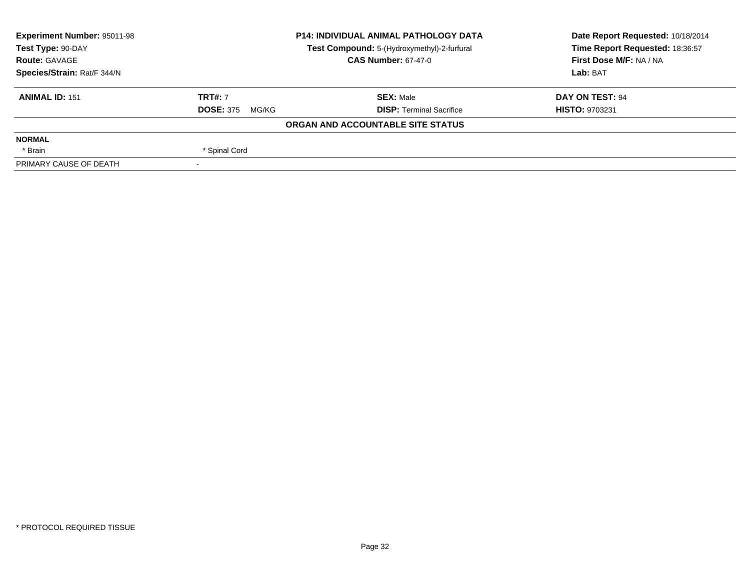| Experiment Number: 95011-98 | <b>P14: INDIVIDUAL ANIMAL PATHOLOGY DATA</b><br>Test Compound: 5-(Hydroxymethyl)-2-furfural |                                   | Date Report Requested: 10/18/2014 |
|-----------------------------|---------------------------------------------------------------------------------------------|-----------------------------------|-----------------------------------|
| Test Type: 90-DAY           |                                                                                             |                                   | Time Report Requested: 18:36:57   |
| <b>Route: GAVAGE</b>        |                                                                                             | <b>CAS Number: 67-47-0</b>        | First Dose M/F: NA / NA           |
| Species/Strain: Rat/F 344/N |                                                                                             |                                   | Lab: BAT                          |
| <b>ANIMAL ID: 151</b>       | <b>TRT#: 7</b>                                                                              | <b>SEX: Male</b>                  | DAY ON TEST: 94                   |
|                             | <b>DOSE: 375</b><br>MG/KG                                                                   | <b>DISP:</b> Terminal Sacrifice   | <b>HISTO: 9703231</b>             |
|                             |                                                                                             | ORGAN AND ACCOUNTABLE SITE STATUS |                                   |
| <b>NORMAL</b>               |                                                                                             |                                   |                                   |
| * Brain                     | * Spinal Cord                                                                               |                                   |                                   |
| PRIMARY CAUSE OF DEATH      |                                                                                             |                                   |                                   |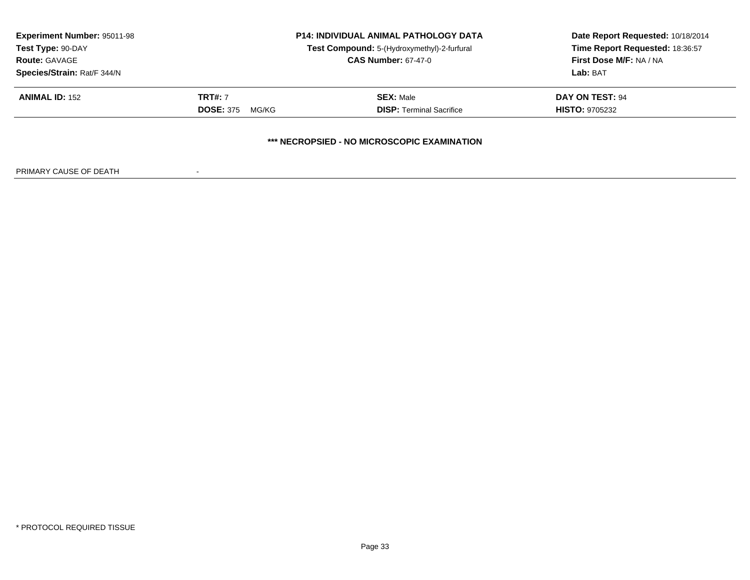| <b>Experiment Number: 95011-98</b><br>Test Compound: 5-(Hydroxymethyl)-2-furfural<br>Test Type: 90-DAY<br><b>CAS Number: 67-47-0</b><br><b>Route: GAVAGE</b> |                                             | <b>P14: INDIVIDUAL ANIMAL PATHOLOGY DATA</b>        | Date Report Requested: 10/18/2014<br>Time Report Requested: 18:36:57<br><b>First Dose M/F: NA / NA</b><br>Lab: BAT |
|--------------------------------------------------------------------------------------------------------------------------------------------------------------|---------------------------------------------|-----------------------------------------------------|--------------------------------------------------------------------------------------------------------------------|
| Species/Strain: Rat/F 344/N<br><b>ANIMAL ID: 152</b>                                                                                                         | <b>TRT#: 7</b><br><b>DOSE: 375</b><br>MG/KG | <b>SEX: Male</b><br><b>DISP: Terminal Sacrifice</b> | <b>DAY ON TEST: 94</b><br><b>HISTO: 9705232</b>                                                                    |
|                                                                                                                                                              |                                             | *** NECROPSIED - NO MICROSCOPIC EXAMINATION         |                                                                                                                    |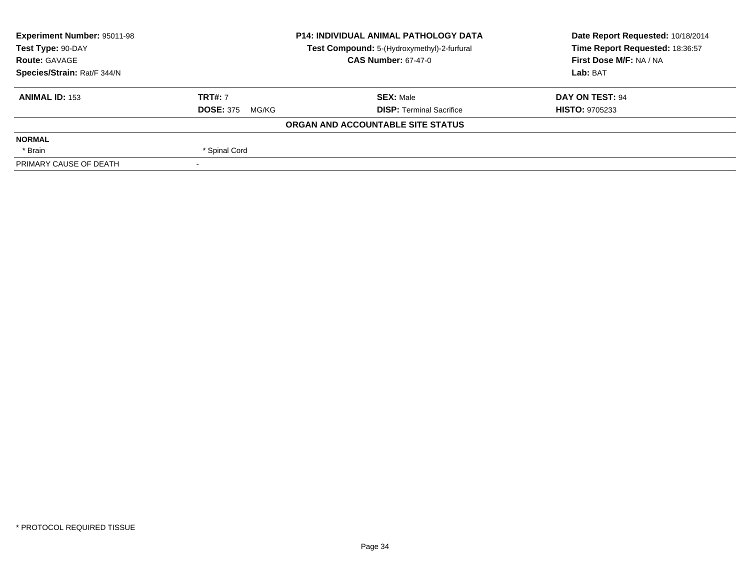| <b>Experiment Number: 95011-98</b> | <b>P14: INDIVIDUAL ANIMAL PATHOLOGY DATA</b><br>Test Compound: 5-(Hydroxymethyl)-2-furfural |                                   | Date Report Requested: 10/18/2014 |
|------------------------------------|---------------------------------------------------------------------------------------------|-----------------------------------|-----------------------------------|
| Test Type: 90-DAY                  |                                                                                             |                                   | Time Report Requested: 18:36:57   |
| <b>Route: GAVAGE</b>               |                                                                                             | <b>CAS Number: 67-47-0</b>        | First Dose M/F: NA / NA           |
| Species/Strain: Rat/F 344/N        |                                                                                             | Lab: BAT                          |                                   |
| <b>ANIMAL ID: 153</b>              | <b>TRT#: 7</b>                                                                              | <b>SEX: Male</b>                  | DAY ON TEST: 94                   |
|                                    | <b>DOSE: 375</b><br>MG/KG                                                                   | <b>DISP: Terminal Sacrifice</b>   | <b>HISTO: 9705233</b>             |
|                                    |                                                                                             | ORGAN AND ACCOUNTABLE SITE STATUS |                                   |
| <b>NORMAL</b>                      |                                                                                             |                                   |                                   |
| * Brain                            | * Spinal Cord                                                                               |                                   |                                   |
| PRIMARY CAUSE OF DEATH             |                                                                                             |                                   |                                   |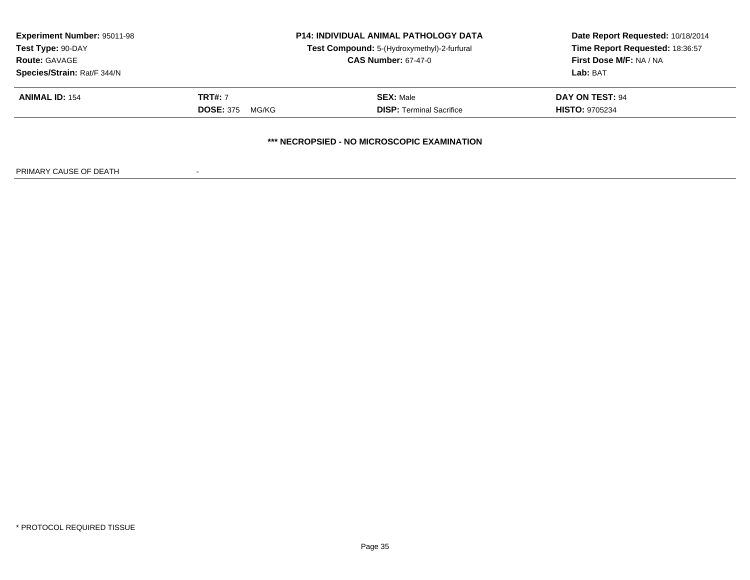| <b>Experiment Number: 95011-98</b><br>Test Type: 90-DAY<br><b>Route: GAVAGE</b> | <b>P14: INDIVIDUAL ANIMAL PATHOLOGY DATA</b><br>Test Compound: 5-(Hydroxymethyl)-2-furfural<br><b>CAS Number: 67-47-0</b> |                                             | Date Report Requested: 10/18/2014<br>Time Report Requested: 18:36:57<br><b>First Dose M/F: NA / NA</b> |
|---------------------------------------------------------------------------------|---------------------------------------------------------------------------------------------------------------------------|---------------------------------------------|--------------------------------------------------------------------------------------------------------|
| Species/Strain: Rat/F 344/N                                                     |                                                                                                                           |                                             | Lab: BAT                                                                                               |
| <b>ANIMAL ID: 154</b>                                                           | <b>TRT#: 7</b>                                                                                                            | <b>SEX: Male</b>                            | DAY ON TEST: 94                                                                                        |
|                                                                                 | <b>DOSE: 375</b><br>MG/KG                                                                                                 | <b>DISP: Terminal Sacrifice</b>             | <b>HISTO: 9705234</b>                                                                                  |
|                                                                                 |                                                                                                                           | *** NECROPSIED - NO MICROSCOPIC EXAMINATION |                                                                                                        |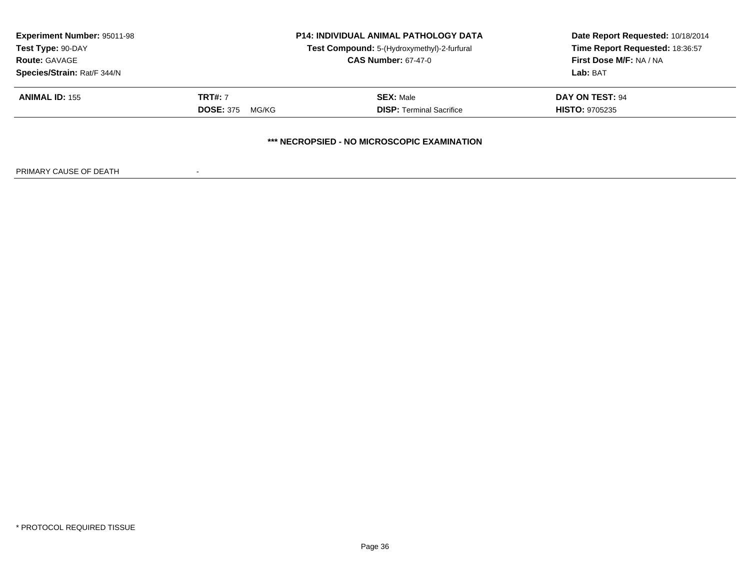| <b>Experiment Number: 95011-98</b><br>Test Type: 90-DAY<br><b>Route: GAVAGE</b><br>Species/Strain: Rat/F 344/N | <b>P14: INDIVIDUAL ANIMAL PATHOLOGY DATA</b><br>Test Compound: 5-(Hydroxymethyl)-2-furfural<br><b>CAS Number: 67-47-0</b> |                                             | Date Report Requested: 10/18/2014<br>Time Report Requested: 18:36:57<br><b>First Dose M/F: NA / NA</b><br>Lab: BAT |
|----------------------------------------------------------------------------------------------------------------|---------------------------------------------------------------------------------------------------------------------------|---------------------------------------------|--------------------------------------------------------------------------------------------------------------------|
| <b>ANIMAL ID: 155</b>                                                                                          | <b>TRT#: 7</b>                                                                                                            | <b>SEX: Male</b>                            | <b>DAY ON TEST: 94</b>                                                                                             |
|                                                                                                                | <b>DOSE: 375</b><br>MG/KG                                                                                                 | <b>DISP: Terminal Sacrifice</b>             | <b>HISTO: 9705235</b>                                                                                              |
|                                                                                                                |                                                                                                                           | *** NECROPSIED - NO MICROSCOPIC EXAMINATION |                                                                                                                    |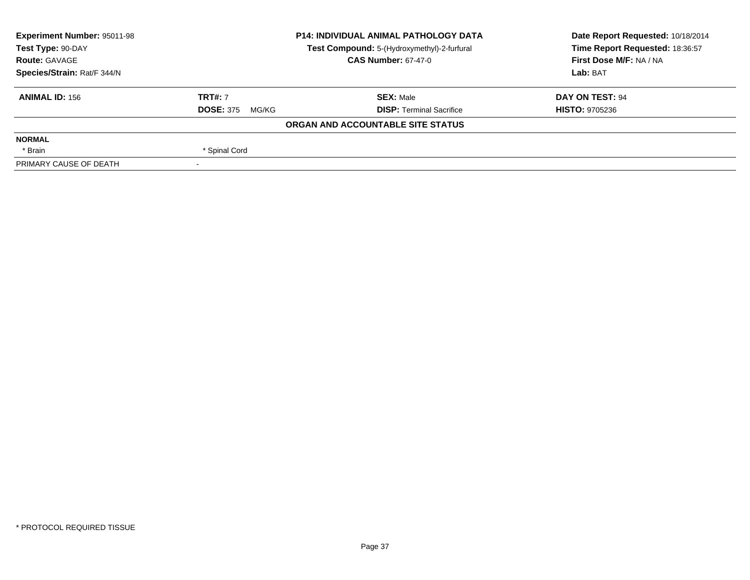| <b>Experiment Number: 95011-98</b> |                           | <b>P14: INDIVIDUAL ANIMAL PATHOLOGY DATA</b> | Date Report Requested: 10/18/2014 |  |
|------------------------------------|---------------------------|----------------------------------------------|-----------------------------------|--|
| Test Type: 90-DAY                  |                           | Test Compound: 5-(Hydroxymethyl)-2-furfural  | Time Report Requested: 18:36:57   |  |
| <b>Route: GAVAGE</b>               |                           | <b>CAS Number: 67-47-0</b>                   | First Dose M/F: NA / NA           |  |
| Species/Strain: Rat/F 344/N        |                           |                                              | Lab: BAT                          |  |
| <b>ANIMAL ID: 156</b>              | <b>TRT#: 7</b>            | <b>SEX: Male</b>                             | DAY ON TEST: 94                   |  |
|                                    | <b>DOSE: 375</b><br>MG/KG | <b>DISP:</b> Terminal Sacrifice              | <b>HISTO: 9705236</b>             |  |
|                                    |                           | ORGAN AND ACCOUNTABLE SITE STATUS            |                                   |  |
| <b>NORMAL</b>                      |                           |                                              |                                   |  |
| * Brain                            | * Spinal Cord             |                                              |                                   |  |
| PRIMARY CAUSE OF DEATH             |                           |                                              |                                   |  |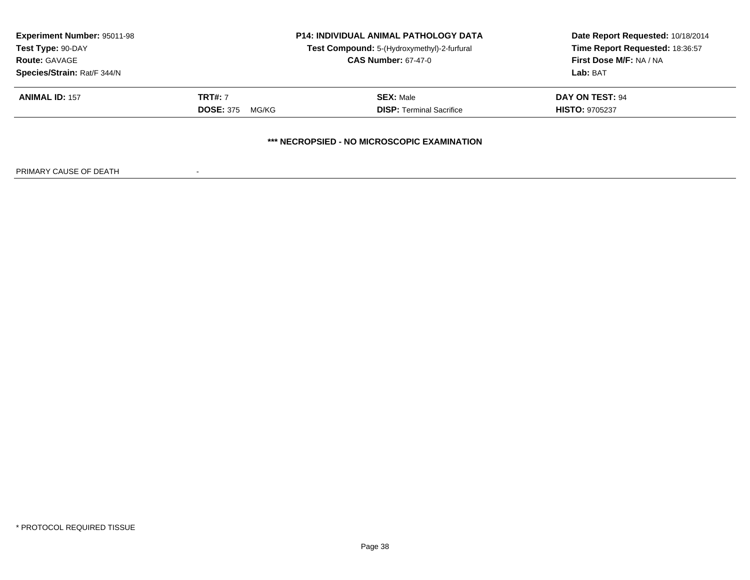| <b>Experiment Number: 95011-98</b><br>Test Type: 90-DAY<br><b>Route: GAVAGE</b> |                                             | <b>P14: INDIVIDUAL ANIMAL PATHOLOGY DATA</b><br>Test Compound: 5-(Hydroxymethyl)-2-furfural<br><b>CAS Number: 67-47-0</b> | Date Report Requested: 10/18/2014<br>Time Report Requested: 18:36:57<br>First Dose M/F: NA / NA |
|---------------------------------------------------------------------------------|---------------------------------------------|---------------------------------------------------------------------------------------------------------------------------|-------------------------------------------------------------------------------------------------|
| Species/Strain: Rat/F 344/N                                                     |                                             |                                                                                                                           | Lab: BAT                                                                                        |
| <b>ANIMAL ID: 157</b>                                                           | <b>TRT#: 7</b><br><b>DOSE: 375</b><br>MG/KG | <b>SEX: Male</b><br><b>DISP: Terminal Sacrifice</b>                                                                       | <b>DAY ON TEST: 94</b><br><b>HISTO: 9705237</b>                                                 |
|                                                                                 |                                             | *** NECROPSIED - NO MICROSCOPIC EXAMINATION                                                                               |                                                                                                 |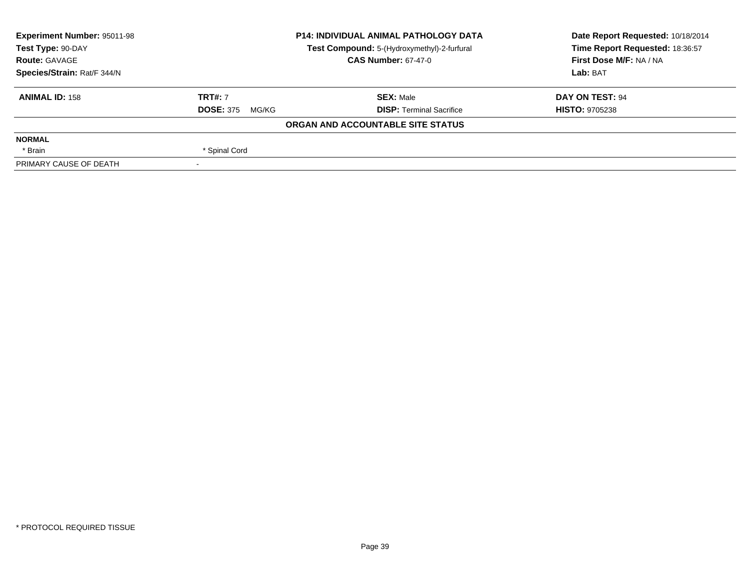| <b>Experiment Number: 95011-98</b> |                           | <b>P14: INDIVIDUAL ANIMAL PATHOLOGY DATA</b> | Date Report Requested: 10/18/2014 |  |
|------------------------------------|---------------------------|----------------------------------------------|-----------------------------------|--|
| Test Type: 90-DAY                  |                           | Test Compound: 5-(Hydroxymethyl)-2-furfural  | Time Report Requested: 18:36:57   |  |
| <b>Route: GAVAGE</b>               |                           | <b>CAS Number: 67-47-0</b>                   | First Dose M/F: NA / NA           |  |
| Species/Strain: Rat/F 344/N        |                           |                                              | Lab: BAT                          |  |
| <b>ANIMAL ID: 158</b>              | <b>TRT#: 7</b>            | <b>SEX: Male</b>                             | DAY ON TEST: 94                   |  |
|                                    | <b>DOSE: 375</b><br>MG/KG | <b>DISP: Terminal Sacrifice</b>              | <b>HISTO: 9705238</b>             |  |
|                                    |                           | ORGAN AND ACCOUNTABLE SITE STATUS            |                                   |  |
| <b>NORMAL</b>                      |                           |                                              |                                   |  |
| * Brain                            | * Spinal Cord             |                                              |                                   |  |
| PRIMARY CAUSE OF DEATH             |                           |                                              |                                   |  |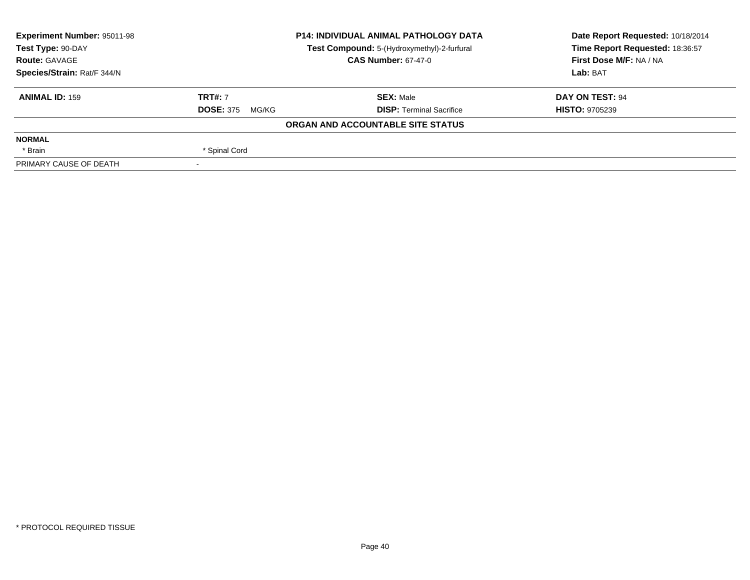| <b>Experiment Number: 95011-98</b><br><b>P14: INDIVIDUAL ANIMAL PATHOLOGY DATA</b> |                           |                                             | Date Report Requested: 10/18/2014 |  |
|------------------------------------------------------------------------------------|---------------------------|---------------------------------------------|-----------------------------------|--|
| Test Type: 90-DAY                                                                  |                           | Test Compound: 5-(Hydroxymethyl)-2-furfural | Time Report Requested: 18:36:57   |  |
| <b>Route: GAVAGE</b>                                                               |                           | <b>CAS Number: 67-47-0</b>                  | First Dose M/F: NA / NA           |  |
| Species/Strain: Rat/F 344/N                                                        |                           |                                             | Lab: BAT                          |  |
| <b>ANIMAL ID: 159</b>                                                              | <b>TRT#: 7</b>            | <b>SEX: Male</b>                            | DAY ON TEST: 94                   |  |
|                                                                                    | <b>DOSE: 375</b><br>MG/KG | <b>DISP: Terminal Sacrifice</b>             | <b>HISTO: 9705239</b>             |  |
|                                                                                    |                           | ORGAN AND ACCOUNTABLE SITE STATUS           |                                   |  |
| <b>NORMAL</b>                                                                      |                           |                                             |                                   |  |
| * Brain                                                                            | * Spinal Cord             |                                             |                                   |  |
| PRIMARY CAUSE OF DEATH                                                             |                           |                                             |                                   |  |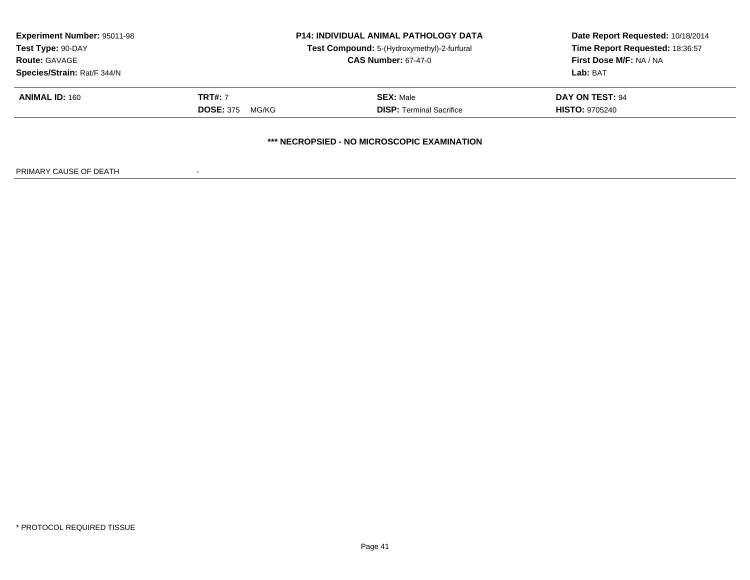| <b>Experiment Number: 95011-98</b><br>Test Type: 90-DAY<br><b>Route: GAVAGE</b><br>Species/Strain: Rat/F 344/N |                                             | <b>P14: INDIVIDUAL ANIMAL PATHOLOGY DATA</b><br>Test Compound: 5-(Hydroxymethyl)-2-furfural<br><b>CAS Number: 67-47-0</b> | Date Report Requested: 10/18/2014<br>Time Report Requested: 18:36:57<br>First Dose M/F: NA / NA<br>Lab: BAT |
|----------------------------------------------------------------------------------------------------------------|---------------------------------------------|---------------------------------------------------------------------------------------------------------------------------|-------------------------------------------------------------------------------------------------------------|
| <b>ANIMAL ID: 160</b>                                                                                          | <b>TRT#: 7</b><br><b>DOSE: 375</b><br>MG/KG | <b>SEX: Male</b><br><b>DISP:</b> Terminal Sacrifice                                                                       | DAY ON TEST: 94<br><b>HISTO: 9705240</b>                                                                    |
|                                                                                                                |                                             | *** NECROPSIED - NO MICROSCOPIC EXAMINATION                                                                               |                                                                                                             |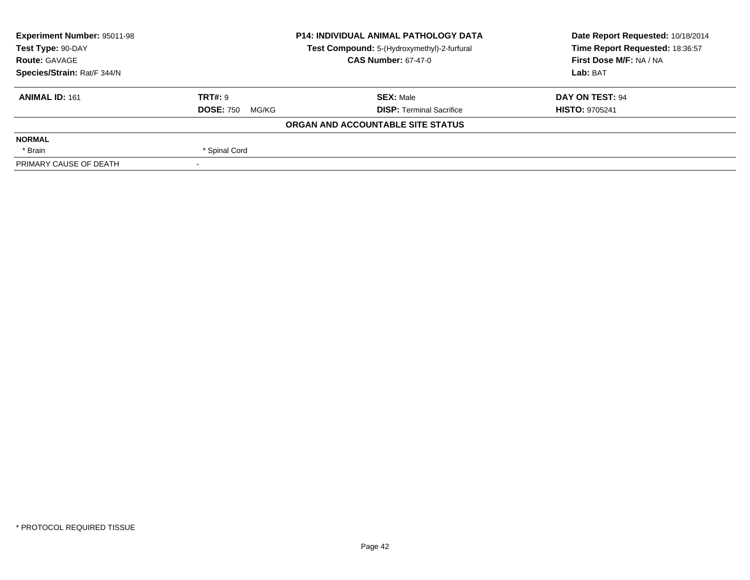| Experiment Number: 95011-98<br><b>P14: INDIVIDUAL ANIMAL PATHOLOGY DATA</b> |                           | Date Report Requested: 10/18/2014           |                                 |  |
|-----------------------------------------------------------------------------|---------------------------|---------------------------------------------|---------------------------------|--|
| Test Type: 90-DAY                                                           |                           | Test Compound: 5-(Hydroxymethyl)-2-furfural | Time Report Requested: 18:36:57 |  |
| <b>Route: GAVAGE</b>                                                        |                           | <b>CAS Number: 67-47-0</b>                  | First Dose M/F: NA / NA         |  |
| Species/Strain: Rat/F 344/N                                                 |                           |                                             | Lab: BAT                        |  |
| <b>ANIMAL ID: 161</b>                                                       | TRT#: 9                   | <b>SEX: Male</b>                            | DAY ON TEST: 94                 |  |
|                                                                             | <b>DOSE: 750</b><br>MG/KG | <b>DISP:</b> Terminal Sacrifice             | <b>HISTO: 9705241</b>           |  |
|                                                                             |                           | ORGAN AND ACCOUNTABLE SITE STATUS           |                                 |  |
| <b>NORMAL</b>                                                               |                           |                                             |                                 |  |
| * Brain                                                                     | * Spinal Cord             |                                             |                                 |  |
| PRIMARY CAUSE OF DEATH                                                      |                           |                                             |                                 |  |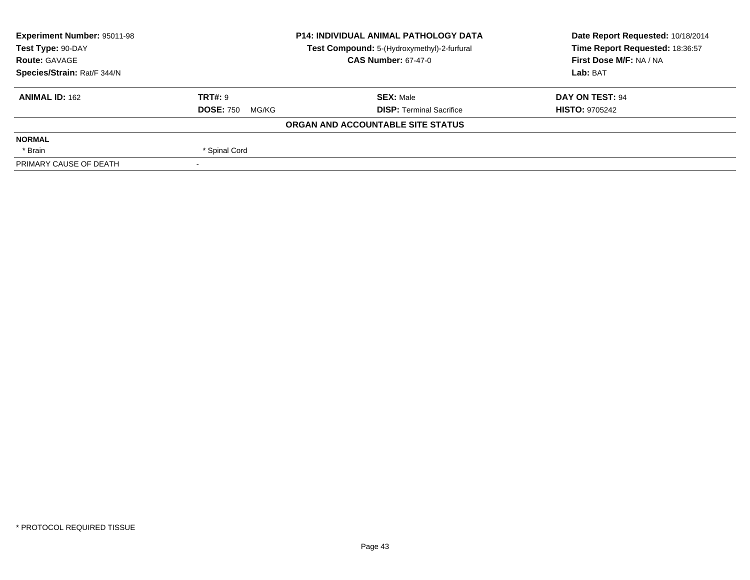| <b>Experiment Number: 95011-98</b><br><b>P14: INDIVIDUAL ANIMAL PATHOLOGY DATA</b><br>Test Type: 90-DAY<br>Test Compound: 5-(Hydroxymethyl)-2-furfural |                           | Date Report Requested: 10/18/2014 |                                 |  |
|--------------------------------------------------------------------------------------------------------------------------------------------------------|---------------------------|-----------------------------------|---------------------------------|--|
|                                                                                                                                                        |                           |                                   | Time Report Requested: 18:36:57 |  |
| <b>Route: GAVAGE</b>                                                                                                                                   |                           | <b>CAS Number: 67-47-0</b>        | First Dose M/F: NA / NA         |  |
| Species/Strain: Rat/F 344/N                                                                                                                            |                           |                                   | Lab: BAT                        |  |
| <b>ANIMAL ID: 162</b>                                                                                                                                  | <b>TRT#: 9</b>            | <b>SEX: Male</b>                  | DAY ON TEST: 94                 |  |
|                                                                                                                                                        | <b>DOSE: 750</b><br>MG/KG | <b>DISP: Terminal Sacrifice</b>   | <b>HISTO: 9705242</b>           |  |
|                                                                                                                                                        |                           | ORGAN AND ACCOUNTABLE SITE STATUS |                                 |  |
| <b>NORMAL</b>                                                                                                                                          |                           |                                   |                                 |  |
| * Brain                                                                                                                                                | * Spinal Cord             |                                   |                                 |  |
| PRIMARY CAUSE OF DEATH                                                                                                                                 |                           |                                   |                                 |  |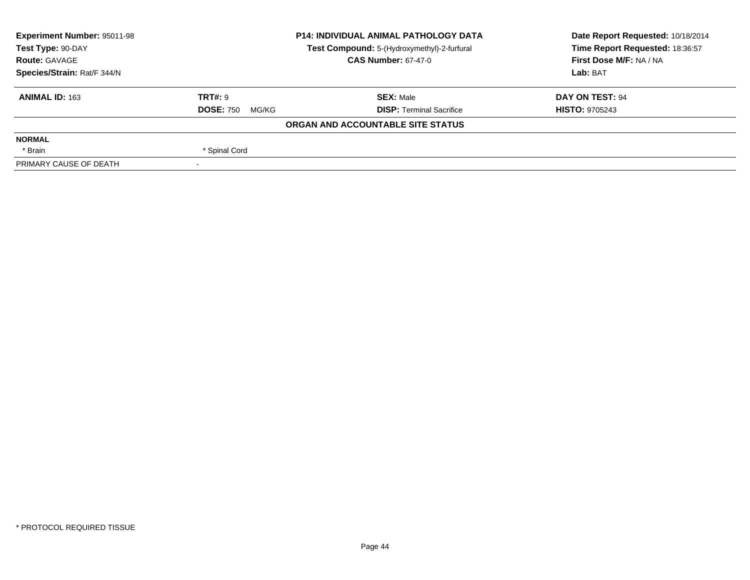| <b>Experiment Number: 95011-98</b><br><b>P14: INDIVIDUAL ANIMAL PATHOLOGY DATA</b><br>Test Type: 90-DAY<br>Test Compound: 5-(Hydroxymethyl)-2-furfural |                           | Date Report Requested: 10/18/2014 |                                 |  |
|--------------------------------------------------------------------------------------------------------------------------------------------------------|---------------------------|-----------------------------------|---------------------------------|--|
|                                                                                                                                                        |                           |                                   | Time Report Requested: 18:36:57 |  |
| <b>Route: GAVAGE</b>                                                                                                                                   |                           | <b>CAS Number: 67-47-0</b>        | First Dose M/F: NA / NA         |  |
| Species/Strain: Rat/F 344/N                                                                                                                            |                           |                                   | Lab: BAT                        |  |
| <b>ANIMAL ID: 163</b>                                                                                                                                  | <b>TRT#: 9</b>            | <b>SEX: Male</b>                  | DAY ON TEST: 94                 |  |
|                                                                                                                                                        | <b>DOSE: 750</b><br>MG/KG | <b>DISP: Terminal Sacrifice</b>   | <b>HISTO: 9705243</b>           |  |
|                                                                                                                                                        |                           | ORGAN AND ACCOUNTABLE SITE STATUS |                                 |  |
| <b>NORMAL</b>                                                                                                                                          |                           |                                   |                                 |  |
| * Brain                                                                                                                                                | * Spinal Cord             |                                   |                                 |  |
| PRIMARY CAUSE OF DEATH                                                                                                                                 |                           |                                   |                                 |  |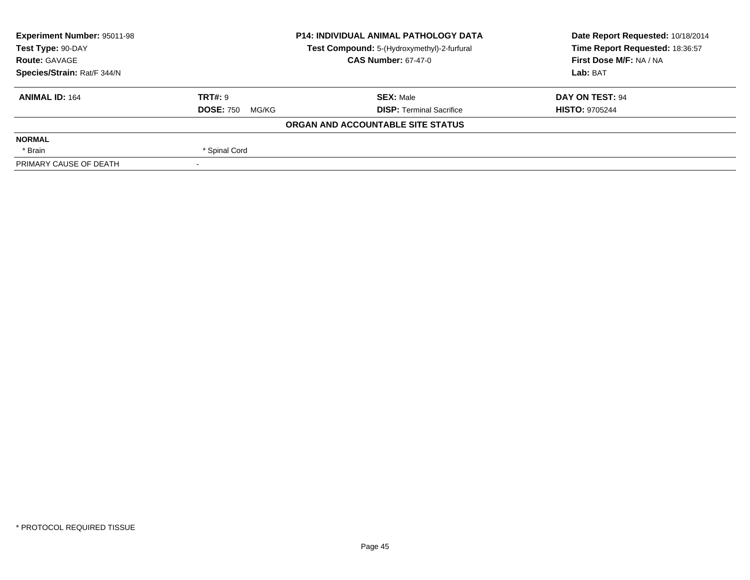| <b>Experiment Number: 95011-98</b> |                           | <b>P14: INDIVIDUAL ANIMAL PATHOLOGY DATA</b> | Date Report Requested: 10/18/2014 |  |
|------------------------------------|---------------------------|----------------------------------------------|-----------------------------------|--|
| Test Type: 90-DAY                  |                           | Test Compound: 5-(Hydroxymethyl)-2-furfural  | Time Report Requested: 18:36:57   |  |
| <b>Route: GAVAGE</b>               |                           | <b>CAS Number: 67-47-0</b>                   | First Dose M/F: NA / NA           |  |
| Species/Strain: Rat/F 344/N        |                           |                                              | Lab: BAT                          |  |
| <b>ANIMAL ID: 164</b>              | TRT#: 9                   | <b>SEX: Male</b>                             | DAY ON TEST: 94                   |  |
|                                    | <b>DOSE: 750</b><br>MG/KG | <b>DISP: Terminal Sacrifice</b>              | <b>HISTO: 9705244</b>             |  |
|                                    |                           | ORGAN AND ACCOUNTABLE SITE STATUS            |                                   |  |
| <b>NORMAL</b>                      |                           |                                              |                                   |  |
| * Brain                            | * Spinal Cord             |                                              |                                   |  |
| PRIMARY CAUSE OF DEATH             |                           |                                              |                                   |  |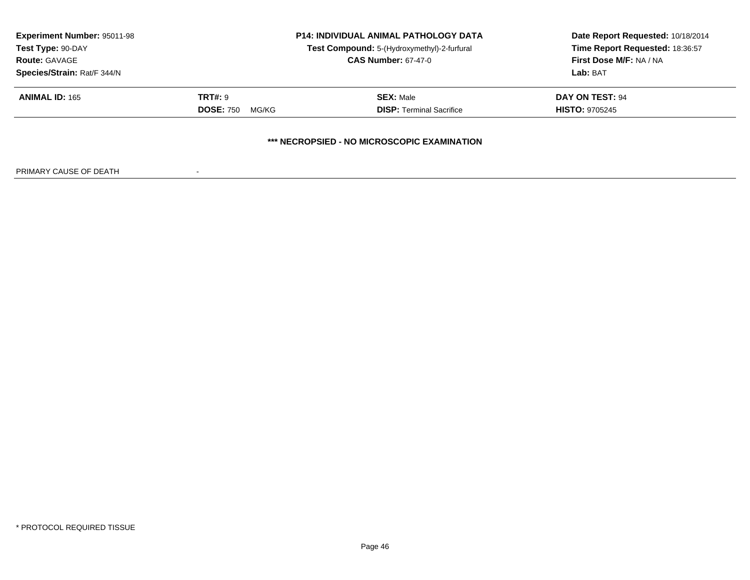| <b>Experiment Number: 95011-98</b><br>Test Type: 90-DAY<br><b>Route: GAVAGE</b><br>Species/Strain: Rat/F 344/N |                                      | <b>P14: INDIVIDUAL ANIMAL PATHOLOGY DATA</b><br>Test Compound: 5-(Hydroxymethyl)-2-furfural<br><b>CAS Number: 67-47-0</b> | Date Report Requested: 10/18/2014<br>Time Report Requested: 18:36:57<br>First Dose M/F: NA / NA<br>Lab: BAT |
|----------------------------------------------------------------------------------------------------------------|--------------------------------------|---------------------------------------------------------------------------------------------------------------------------|-------------------------------------------------------------------------------------------------------------|
| <b>ANIMAL ID: 165</b>                                                                                          | TRT#: 9<br><b>DOSE: 750</b><br>MG/KG | <b>SEX: Male</b><br><b>DISP: Terminal Sacrifice</b>                                                                       | DAY ON TEST: 94<br><b>HISTO: 9705245</b>                                                                    |
|                                                                                                                |                                      | *** NECROPSIED - NO MICROSCOPIC EXAMINATION                                                                               |                                                                                                             |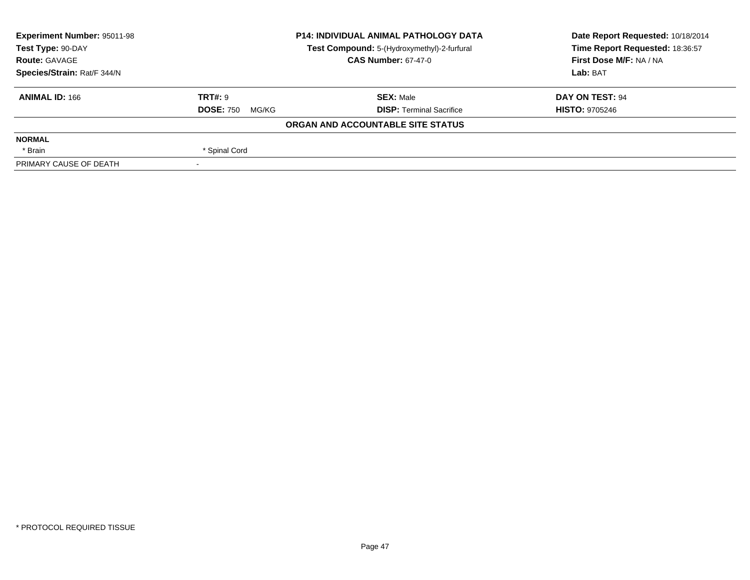| <b>Experiment Number: 95011-98</b><br><b>P14: INDIVIDUAL ANIMAL PATHOLOGY DATA</b> |                           | Date Report Requested: 10/18/2014           |                                 |  |
|------------------------------------------------------------------------------------|---------------------------|---------------------------------------------|---------------------------------|--|
| Test Type: 90-DAY                                                                  |                           | Test Compound: 5-(Hydroxymethyl)-2-furfural | Time Report Requested: 18:36:57 |  |
| <b>Route: GAVAGE</b>                                                               |                           | <b>CAS Number: 67-47-0</b>                  | First Dose M/F: NA / NA         |  |
| Species/Strain: Rat/F 344/N                                                        |                           |                                             | Lab: BAT                        |  |
| <b>ANIMAL ID: 166</b>                                                              | <b>TRT#: 9</b>            | <b>SEX: Male</b>                            | DAY ON TEST: 94                 |  |
|                                                                                    | <b>DOSE: 750</b><br>MG/KG | <b>DISP: Terminal Sacrifice</b>             | <b>HISTO: 9705246</b>           |  |
|                                                                                    |                           | ORGAN AND ACCOUNTABLE SITE STATUS           |                                 |  |
| <b>NORMAL</b>                                                                      |                           |                                             |                                 |  |
| * Brain                                                                            | * Spinal Cord             |                                             |                                 |  |
| PRIMARY CAUSE OF DEATH                                                             |                           |                                             |                                 |  |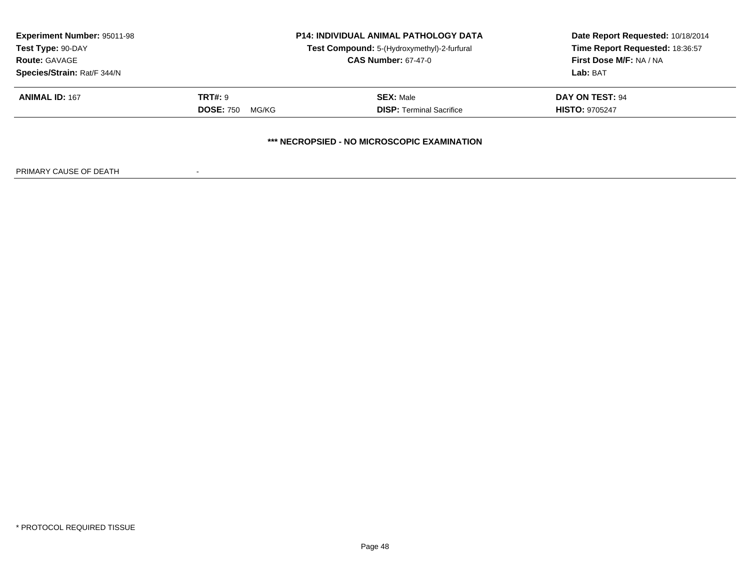| <b>Experiment Number: 95011-98</b><br>Test Type: 90-DAY<br><b>Route: GAVAGE</b> |                           | <b>P14: INDIVIDUAL ANIMAL PATHOLOGY DATA</b><br>Test Compound: 5-(Hydroxymethyl)-2-furfural | Date Report Requested: 10/18/2014<br>Time Report Requested: 18:36:57<br>First Dose M/F: NA / NA |
|---------------------------------------------------------------------------------|---------------------------|---------------------------------------------------------------------------------------------|-------------------------------------------------------------------------------------------------|
|                                                                                 |                           | <b>CAS Number: 67-47-0</b>                                                                  |                                                                                                 |
| Species/Strain: Rat/F 344/N<br><b>ANIMAL ID: 167</b>                            | TRT#: 9                   | <b>SEX: Male</b>                                                                            | Lab: BAT<br><b>DAY ON TEST: 94</b>                                                              |
|                                                                                 | <b>DOSE: 750</b><br>MG/KG | <b>DISP: Terminal Sacrifice</b>                                                             | <b>HISTO: 9705247</b>                                                                           |
|                                                                                 |                           | *** NECROPSIED - NO MICROSCOPIC EXAMINATION                                                 |                                                                                                 |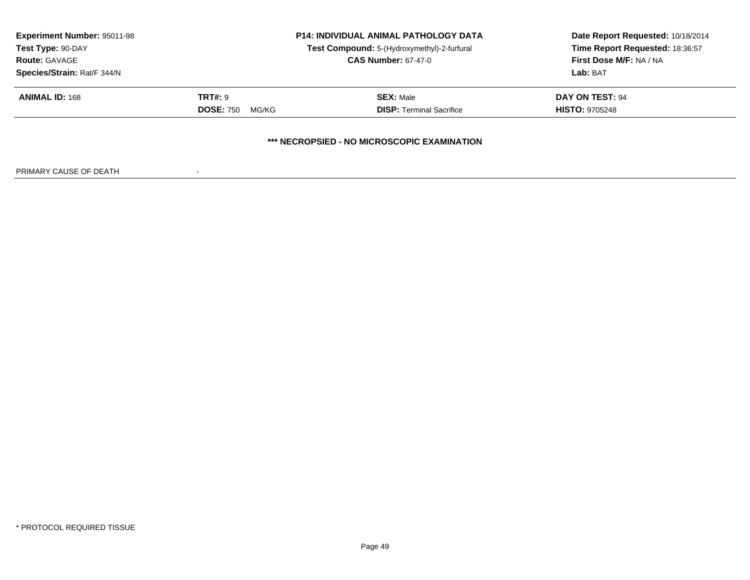| <b>Experiment Number: 95011-98</b><br>Test Type: 90-DAY |                           | <b>P14: INDIVIDUAL ANIMAL PATHOLOGY DATA</b><br>Test Compound: 5-(Hydroxymethyl)-2-furfural<br><b>CAS Number: 67-47-0</b> | Date Report Requested: 10/18/2014<br>Time Report Requested: 18:36:57<br>First Dose M/F: NA / NA<br>Lab: BAT |
|---------------------------------------------------------|---------------------------|---------------------------------------------------------------------------------------------------------------------------|-------------------------------------------------------------------------------------------------------------|
| <b>Route: GAVAGE</b>                                    |                           |                                                                                                                           |                                                                                                             |
| Species/Strain: Rat/F 344/N<br><b>ANIMAL ID: 168</b>    | TRT#: 9                   | <b>SEX: Male</b>                                                                                                          | <b>DAY ON TEST: 94</b>                                                                                      |
|                                                         | <b>DOSE: 750</b><br>MG/KG | <b>DISP: Terminal Sacrifice</b>                                                                                           | <b>HISTO: 9705248</b>                                                                                       |
|                                                         |                           | *** NECROPSIED - NO MICROSCOPIC EXAMINATION                                                                               |                                                                                                             |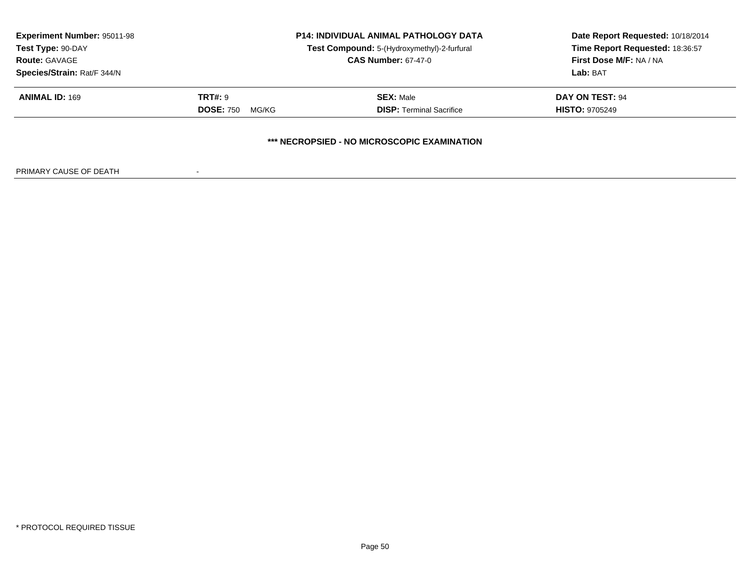| <b>Experiment Number: 95011-98</b><br>Test Type: 90-DAY | <b>P14: INDIVIDUAL ANIMAL PATHOLOGY DATA</b><br>Test Compound: 5-(Hydroxymethyl)-2-furfural |                                             | Date Report Requested: 10/18/2014<br>Time Report Requested: 18:36:57 |
|---------------------------------------------------------|---------------------------------------------------------------------------------------------|---------------------------------------------|----------------------------------------------------------------------|
| <b>Route: GAVAGE</b>                                    |                                                                                             | <b>CAS Number: 67-47-0</b>                  | <b>First Dose M/F: NA / NA</b>                                       |
| Species/Strain: Rat/F 344/N                             |                                                                                             |                                             | Lab: BAT                                                             |
| <b>ANIMAL ID: 169</b>                                   | <b>TRT#: 9</b>                                                                              | <b>SEX: Male</b>                            | DAY ON TEST: 94                                                      |
|                                                         | <b>DOSE: 750</b><br>MG/KG                                                                   | <b>DISP: Terminal Sacrifice</b>             | <b>HISTO: 9705249</b>                                                |
|                                                         |                                                                                             | *** NECROPSIED - NO MICROSCOPIC EXAMINATION |                                                                      |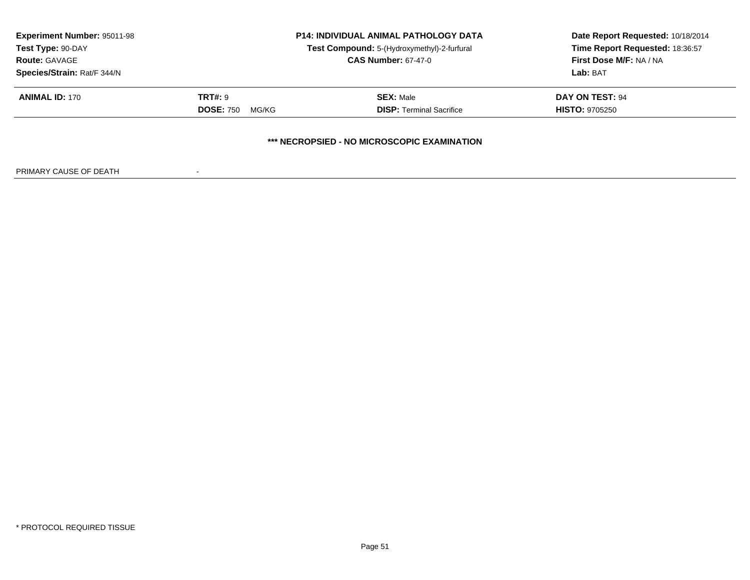| <b>Experiment Number: 95011-98</b><br>Test Type: 90-DAY<br><b>Route: GAVAGE</b> |                           | <b>P14: INDIVIDUAL ANIMAL PATHOLOGY DATA</b><br>Test Compound: 5-(Hydroxymethyl)-2-furfural<br><b>CAS Number: 67-47-0</b> | Date Report Requested: 10/18/2014<br>Time Report Requested: 18:36:57<br>First Dose M/F: NA / NA |
|---------------------------------------------------------------------------------|---------------------------|---------------------------------------------------------------------------------------------------------------------------|-------------------------------------------------------------------------------------------------|
| Species/Strain: Rat/F 344/N                                                     |                           |                                                                                                                           | Lab: BAT                                                                                        |
| <b>ANIMAL ID: 170</b>                                                           | TRT#: 9                   | <b>SEX: Male</b>                                                                                                          | <b>DAY ON TEST: 94</b>                                                                          |
|                                                                                 | <b>DOSE: 750</b><br>MG/KG | <b>DISP: Terminal Sacrifice</b>                                                                                           | <b>HISTO: 9705250</b>                                                                           |
|                                                                                 |                           | *** NECROPSIED - NO MICROSCOPIC EXAMINATION                                                                               |                                                                                                 |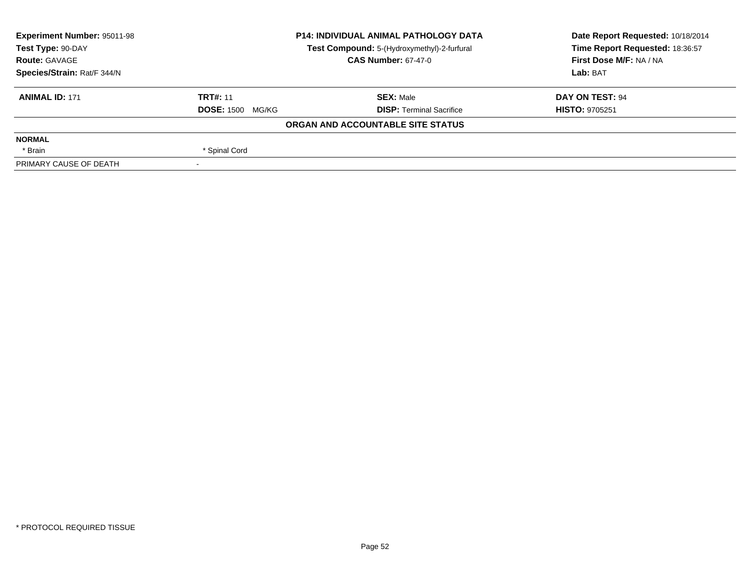| <b>Experiment Number: 95011-98</b> | <b>P14: INDIVIDUAL ANIMAL PATHOLOGY DATA</b><br>Test Compound: 5-(Hydroxymethyl)-2-furfural<br><b>CAS Number: 67-47-0</b> |                                   | Date Report Requested: 10/18/2014 |  |
|------------------------------------|---------------------------------------------------------------------------------------------------------------------------|-----------------------------------|-----------------------------------|--|
| Test Type: 90-DAY                  |                                                                                                                           |                                   | Time Report Requested: 18:36:57   |  |
| <b>Route: GAVAGE</b>               |                                                                                                                           |                                   | First Dose M/F: NA / NA           |  |
| Species/Strain: Rat/F 344/N        |                                                                                                                           |                                   | Lab: BAT                          |  |
| <b>ANIMAL ID: 171</b>              | <b>TRT#: 11</b>                                                                                                           | <b>SEX: Male</b>                  | DAY ON TEST: 94                   |  |
|                                    | <b>DOSE: 1500 MG/KG</b>                                                                                                   | <b>DISP:</b> Terminal Sacrifice   | <b>HISTO: 9705251</b>             |  |
|                                    |                                                                                                                           | ORGAN AND ACCOUNTABLE SITE STATUS |                                   |  |
| <b>NORMAL</b>                      |                                                                                                                           |                                   |                                   |  |
| * Brain                            | * Spinal Cord                                                                                                             |                                   |                                   |  |
| PRIMARY CAUSE OF DEATH             | $\overline{\phantom{a}}$                                                                                                  |                                   |                                   |  |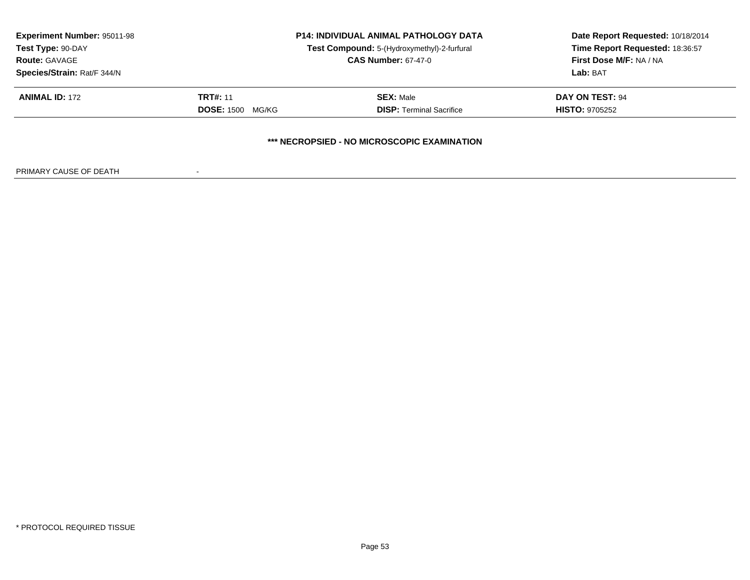| <b>Experiment Number: 95011-98</b><br>Test Type: 90-DAY<br><b>Route: GAVAGE</b><br>Species/Strain: Rat/F 344/N | <b>P14: INDIVIDUAL ANIMAL PATHOLOGY DATA</b><br>Test Compound: 5-(Hydroxymethyl)-2-furfural<br><b>CAS Number: 67-47-0</b> |                                                     | Date Report Requested: 10/18/2014<br>Time Report Requested: 18:36:57<br>First Dose M/F: NA / NA<br>Lab: BAT |  |
|----------------------------------------------------------------------------------------------------------------|---------------------------------------------------------------------------------------------------------------------------|-----------------------------------------------------|-------------------------------------------------------------------------------------------------------------|--|
| <b>ANIMAL ID: 172</b>                                                                                          | <b>TRT#: 11</b><br><b>DOSE: 1500</b><br>MG/KG                                                                             | <b>SEX: Male</b><br><b>DISP: Terminal Sacrifice</b> | DAY ON TEST: 94<br><b>HISTO: 9705252</b>                                                                    |  |
|                                                                                                                |                                                                                                                           | *** NECROPSIED - NO MICROSCOPIC EXAMINATION         |                                                                                                             |  |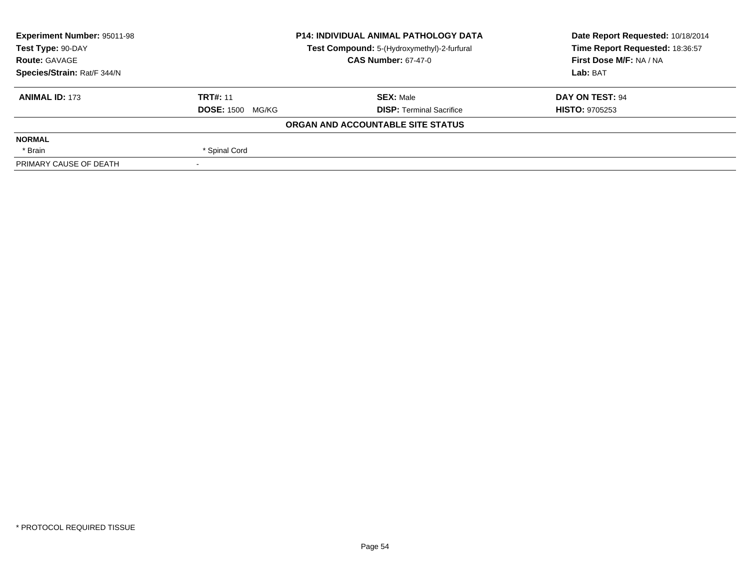| <b>Experiment Number: 95011-98</b> | <b>P14: INDIVIDUAL ANIMAL PATHOLOGY DATA</b><br>Test Compound: 5-(Hydroxymethyl)-2-furfural<br><b>CAS Number: 67-47-0</b> |                                   | Date Report Requested: 10/18/2014 |  |
|------------------------------------|---------------------------------------------------------------------------------------------------------------------------|-----------------------------------|-----------------------------------|--|
| Test Type: 90-DAY                  |                                                                                                                           |                                   | Time Report Requested: 18:36:57   |  |
| <b>Route: GAVAGE</b>               |                                                                                                                           |                                   | First Dose M/F: NA / NA           |  |
| Species/Strain: Rat/F 344/N        |                                                                                                                           |                                   | Lab: BAT                          |  |
| <b>ANIMAL ID: 173</b>              | <b>TRT#: 11</b>                                                                                                           | <b>SEX: Male</b>                  | DAY ON TEST: 94                   |  |
|                                    | <b>DOSE: 1500</b><br>MG/KG                                                                                                | <b>DISP: Terminal Sacrifice</b>   | <b>HISTO: 9705253</b>             |  |
|                                    |                                                                                                                           | ORGAN AND ACCOUNTABLE SITE STATUS |                                   |  |
| <b>NORMAL</b>                      |                                                                                                                           |                                   |                                   |  |
| * Brain                            | * Spinal Cord                                                                                                             |                                   |                                   |  |
| PRIMARY CAUSE OF DEATH             | $\overline{\phantom{a}}$                                                                                                  |                                   |                                   |  |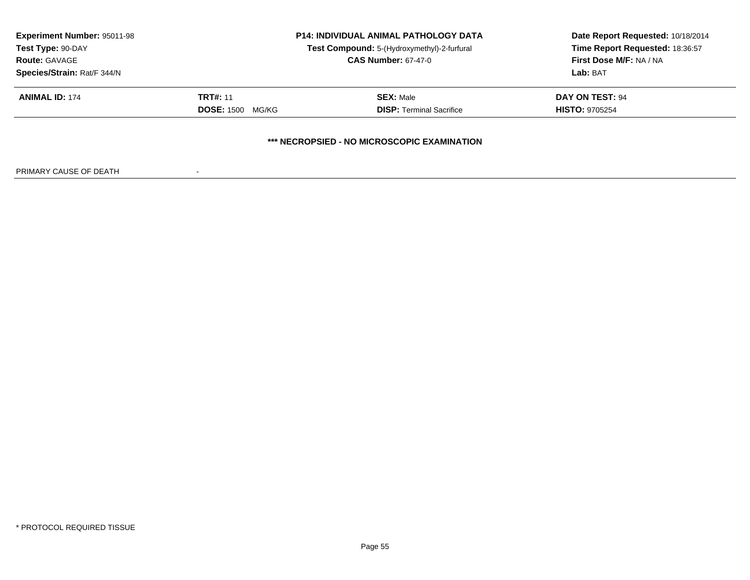| <b>Experiment Number: 95011-98</b><br>Test Type: 90-DAY<br><b>Route: GAVAGE</b><br>Species/Strain: Rat/F 344/N | <b>P14: INDIVIDUAL ANIMAL PATHOLOGY DATA</b><br>Test Compound: 5-(Hydroxymethyl)-2-furfural<br><b>CAS Number: 67-47-0</b> |                                                     | Date Report Requested: 10/18/2014<br>Time Report Requested: 18:36:57<br>First Dose M/F: NA / NA<br>Lab: BAT |  |
|----------------------------------------------------------------------------------------------------------------|---------------------------------------------------------------------------------------------------------------------------|-----------------------------------------------------|-------------------------------------------------------------------------------------------------------------|--|
| <b>ANIMAL ID: 174</b>                                                                                          | <b>TRT#: 11</b><br><b>DOSE: 1500</b><br>MG/KG                                                                             | <b>SEX: Male</b><br><b>DISP: Terminal Sacrifice</b> | DAY ON TEST: 94<br><b>HISTO: 9705254</b>                                                                    |  |
|                                                                                                                |                                                                                                                           | *** NECROPSIED - NO MICROSCOPIC EXAMINATION         |                                                                                                             |  |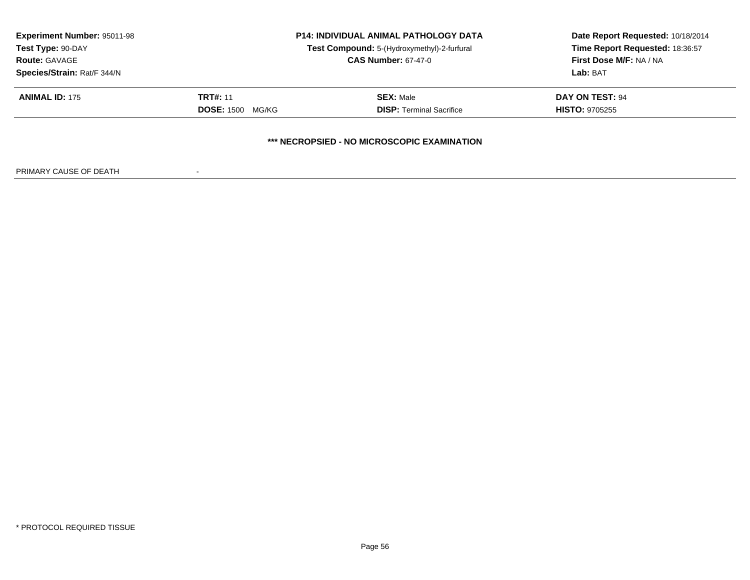| <b>Experiment Number: 95011-98</b><br>Test Type: 90-DAY<br><b>Route: GAVAGE</b><br>Species/Strain: Rat/F 344/N | <b>P14: INDIVIDUAL ANIMAL PATHOLOGY DATA</b><br>Test Compound: 5-(Hydroxymethyl)-2-furfural<br><b>CAS Number: 67-47-0</b> |                                                     | Date Report Requested: 10/18/2014<br>Time Report Requested: 18:36:57<br>First Dose M/F: NA / NA<br>Lab: BAT |  |
|----------------------------------------------------------------------------------------------------------------|---------------------------------------------------------------------------------------------------------------------------|-----------------------------------------------------|-------------------------------------------------------------------------------------------------------------|--|
| <b>ANIMAL ID: 175</b>                                                                                          | <b>TRT#: 11</b><br><b>DOSE: 1500</b><br>MG/KG                                                                             | <b>SEX: Male</b><br><b>DISP: Terminal Sacrifice</b> | DAY ON TEST: 94<br><b>HISTO: 9705255</b>                                                                    |  |
|                                                                                                                |                                                                                                                           | *** NECROPSIED - NO MICROSCOPIC EXAMINATION         |                                                                                                             |  |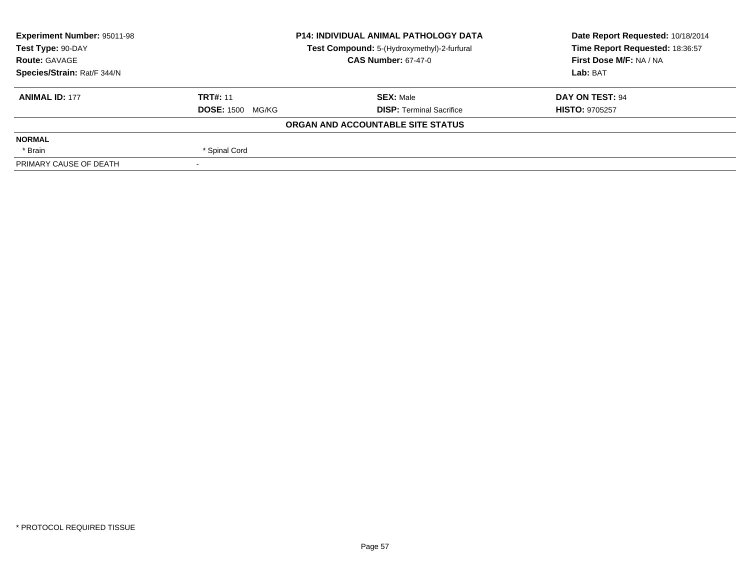| <b>Experiment Number: 95011-98</b> | <b>P14: INDIVIDUAL ANIMAL PATHOLOGY DATA</b><br>Test Compound: 5-(Hydroxymethyl)-2-furfural<br><b>CAS Number: 67-47-0</b> |                                   | Date Report Requested: 10/18/2014 |  |
|------------------------------------|---------------------------------------------------------------------------------------------------------------------------|-----------------------------------|-----------------------------------|--|
| Test Type: 90-DAY                  |                                                                                                                           |                                   | Time Report Requested: 18:36:57   |  |
| <b>Route: GAVAGE</b>               |                                                                                                                           |                                   | First Dose M/F: NA / NA           |  |
| Species/Strain: Rat/F 344/N        |                                                                                                                           |                                   | Lab: BAT                          |  |
| <b>ANIMAL ID: 177</b>              | <b>TRT#: 11</b>                                                                                                           | <b>SEX: Male</b>                  | <b>DAY ON TEST: 94</b>            |  |
|                                    | <b>DOSE: 1500 MG/KG</b>                                                                                                   | <b>DISP: Terminal Sacrifice</b>   | <b>HISTO: 9705257</b>             |  |
|                                    |                                                                                                                           | ORGAN AND ACCOUNTABLE SITE STATUS |                                   |  |
| <b>NORMAL</b>                      |                                                                                                                           |                                   |                                   |  |
| * Brain                            | * Spinal Cord                                                                                                             |                                   |                                   |  |
| PRIMARY CAUSE OF DEATH             |                                                                                                                           |                                   |                                   |  |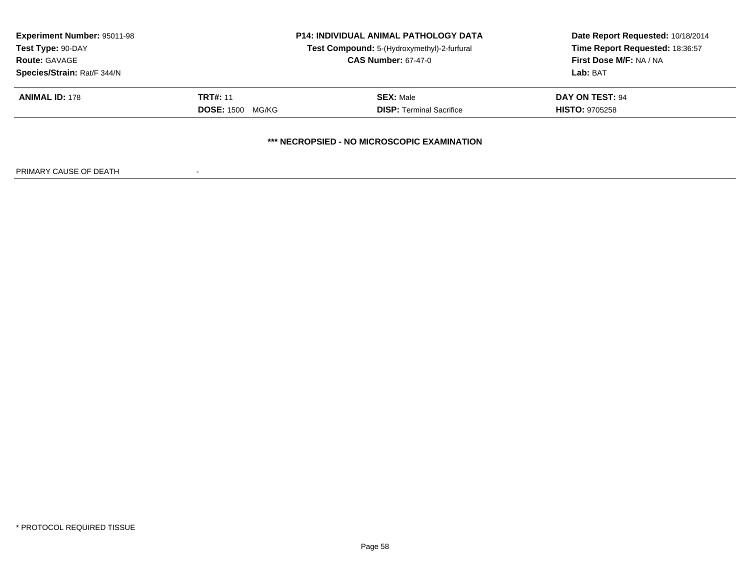| <b>Experiment Number: 95011-98</b><br>Test Type: 90-DAY<br><b>Route: GAVAGE</b><br>Species/Strain: Rat/F 344/N | <b>P14: INDIVIDUAL ANIMAL PATHOLOGY DATA</b><br>Test Compound: 5-(Hydroxymethyl)-2-furfural<br><b>CAS Number: 67-47-0</b> |                                                     | Date Report Requested: 10/18/2014<br>Time Report Requested: 18:36:57<br>First Dose M/F: NA / NA<br>Lab: BAT |  |
|----------------------------------------------------------------------------------------------------------------|---------------------------------------------------------------------------------------------------------------------------|-----------------------------------------------------|-------------------------------------------------------------------------------------------------------------|--|
| <b>ANIMAL ID: 178</b>                                                                                          | <b>TRT#: 11</b><br><b>DOSE: 1500</b><br>MG/KG                                                                             | <b>SEX: Male</b><br><b>DISP: Terminal Sacrifice</b> | DAY ON TEST: 94<br><b>HISTO: 9705258</b>                                                                    |  |
|                                                                                                                |                                                                                                                           | *** NECROPSIED - NO MICROSCOPIC EXAMINATION         |                                                                                                             |  |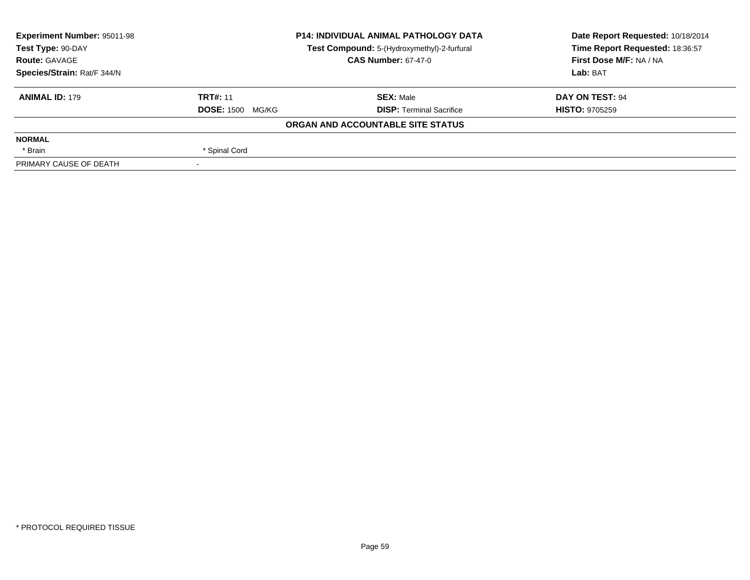| <b>Experiment Number: 95011-98</b> | <b>P14: INDIVIDUAL ANIMAL PATHOLOGY DATA</b><br>Test Compound: 5-(Hydroxymethyl)-2-furfural<br><b>CAS Number: 67-47-0</b> |                                   | Date Report Requested: 10/18/2014 |  |
|------------------------------------|---------------------------------------------------------------------------------------------------------------------------|-----------------------------------|-----------------------------------|--|
| Test Type: 90-DAY                  |                                                                                                                           |                                   | Time Report Requested: 18:36:57   |  |
| <b>Route: GAVAGE</b>               |                                                                                                                           |                                   | First Dose M/F: NA / NA           |  |
| Species/Strain: Rat/F 344/N        |                                                                                                                           |                                   | Lab: BAT                          |  |
| <b>ANIMAL ID: 179</b>              | <b>TRT#: 11</b>                                                                                                           | <b>SEX: Male</b>                  | DAY ON TEST: 94                   |  |
|                                    | <b>DOSE: 1500 MG/KG</b>                                                                                                   | <b>DISP:</b> Terminal Sacrifice   | <b>HISTO: 9705259</b>             |  |
|                                    |                                                                                                                           | ORGAN AND ACCOUNTABLE SITE STATUS |                                   |  |
| <b>NORMAL</b>                      |                                                                                                                           |                                   |                                   |  |
| * Brain                            | * Spinal Cord                                                                                                             |                                   |                                   |  |
| PRIMARY CAUSE OF DEATH             | $\overline{\phantom{a}}$                                                                                                  |                                   |                                   |  |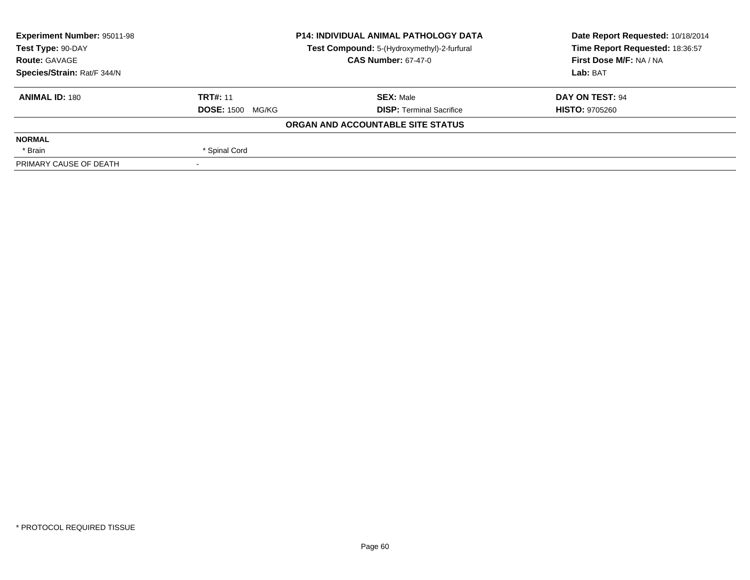| <b>Experiment Number: 95011-98</b> | <b>P14: INDIVIDUAL ANIMAL PATHOLOGY DATA</b><br>Test Compound: 5-(Hydroxymethyl)-2-furfural<br><b>CAS Number: 67-47-0</b> |                                   | Date Report Requested: 10/18/2014 |  |
|------------------------------------|---------------------------------------------------------------------------------------------------------------------------|-----------------------------------|-----------------------------------|--|
| Test Type: 90-DAY                  |                                                                                                                           |                                   | Time Report Requested: 18:36:57   |  |
| <b>Route: GAVAGE</b>               |                                                                                                                           |                                   | First Dose M/F: NA / NA           |  |
| Species/Strain: Rat/F 344/N        |                                                                                                                           |                                   | Lab: BAT                          |  |
| <b>ANIMAL ID: 180</b>              | <b>TRT#: 11</b>                                                                                                           | <b>SEX:</b> Male                  | DAY ON TEST: 94                   |  |
|                                    | <b>DOSE: 1500 MG/KG</b>                                                                                                   | <b>DISP:</b> Terminal Sacrifice   | <b>HISTO: 9705260</b>             |  |
|                                    |                                                                                                                           | ORGAN AND ACCOUNTABLE SITE STATUS |                                   |  |
| <b>NORMAL</b>                      |                                                                                                                           |                                   |                                   |  |
| * Brain                            | * Spinal Cord                                                                                                             |                                   |                                   |  |
| PRIMARY CAUSE OF DEATH             |                                                                                                                           |                                   |                                   |  |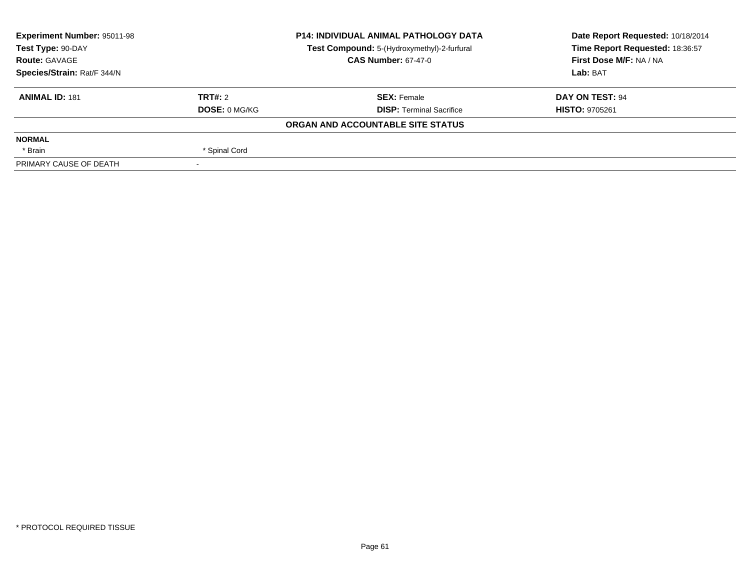| Experiment Number: 95011-98 |                      | <b>P14: INDIVIDUAL ANIMAL PATHOLOGY DATA</b> | Date Report Requested: 10/18/2014 |
|-----------------------------|----------------------|----------------------------------------------|-----------------------------------|
| Test Type: 90-DAY           |                      | Test Compound: 5-(Hydroxymethyl)-2-furfural  | Time Report Requested: 18:36:57   |
| <b>Route: GAVAGE</b>        |                      | <b>CAS Number: 67-47-0</b>                   | First Dose M/F: NA / NA           |
| Species/Strain: Rat/F 344/N |                      |                                              | Lab: BAT                          |
| <b>ANIMAL ID: 181</b>       | TRT#: 2              | <b>SEX: Female</b>                           | DAY ON TEST: 94                   |
|                             | <b>DOSE: 0 MG/KG</b> | <b>DISP:</b> Terminal Sacrifice              | <b>HISTO: 9705261</b>             |
|                             |                      | ORGAN AND ACCOUNTABLE SITE STATUS            |                                   |
| <b>NORMAL</b>               |                      |                                              |                                   |
| * Brain                     | * Spinal Cord        |                                              |                                   |
| PRIMARY CAUSE OF DEATH      |                      |                                              |                                   |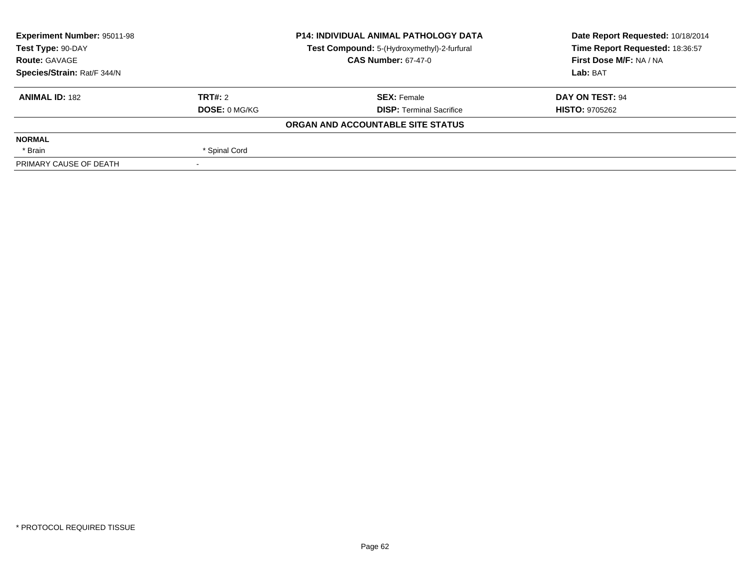| <b>Experiment Number: 95011-98</b> | <b>P14: INDIVIDUAL ANIMAL PATHOLOGY DATA</b> |                                             | Date Report Requested: 10/18/2014 |
|------------------------------------|----------------------------------------------|---------------------------------------------|-----------------------------------|
| Test Type: 90-DAY                  |                                              | Test Compound: 5-(Hydroxymethyl)-2-furfural | Time Report Requested: 18:36:57   |
| <b>Route: GAVAGE</b>               |                                              | <b>CAS Number: 67-47-0</b>                  | First Dose M/F: NA / NA           |
| Species/Strain: Rat/F 344/N        |                                              |                                             | Lab: BAT                          |
| <b>ANIMAL ID: 182</b>              | TRT#: 2                                      | <b>SEX: Female</b>                          | <b>DAY ON TEST: 94</b>            |
|                                    | <b>DOSE: 0 MG/KG</b>                         | <b>DISP: Terminal Sacrifice</b>             | <b>HISTO: 9705262</b>             |
|                                    |                                              | ORGAN AND ACCOUNTABLE SITE STATUS           |                                   |
| <b>NORMAL</b>                      |                                              |                                             |                                   |
| * Brain                            | * Spinal Cord                                |                                             |                                   |
| PRIMARY CAUSE OF DEATH             |                                              |                                             |                                   |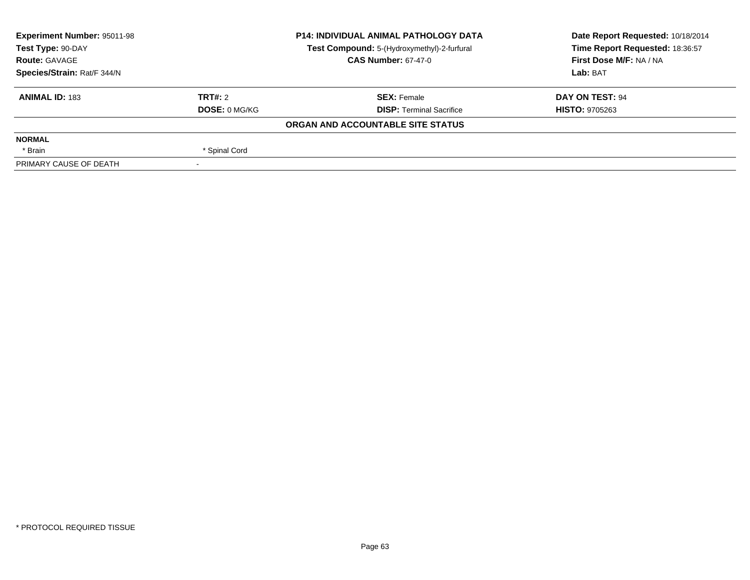| <b>Experiment Number: 95011-98</b> |                      | <b>P14: INDIVIDUAL ANIMAL PATHOLOGY DATA</b> | Date Report Requested: 10/18/2014 |
|------------------------------------|----------------------|----------------------------------------------|-----------------------------------|
| Test Type: 90-DAY                  |                      | Test Compound: 5-(Hydroxymethyl)-2-furfural  | Time Report Requested: 18:36:57   |
| <b>Route: GAVAGE</b>               |                      | <b>CAS Number: 67-47-0</b>                   | First Dose M/F: NA / NA           |
| Species/Strain: Rat/F 344/N        |                      |                                              | Lab: BAT                          |
| <b>ANIMAL ID: 183</b>              | TRT#: 2              | <b>SEX: Female</b>                           | <b>DAY ON TEST: 94</b>            |
|                                    | <b>DOSE: 0 MG/KG</b> | <b>DISP: Terminal Sacrifice</b>              | <b>HISTO: 9705263</b>             |
|                                    |                      | ORGAN AND ACCOUNTABLE SITE STATUS            |                                   |
| <b>NORMAL</b>                      |                      |                                              |                                   |
| * Brain                            | * Spinal Cord        |                                              |                                   |
| PRIMARY CAUSE OF DEATH             |                      |                                              |                                   |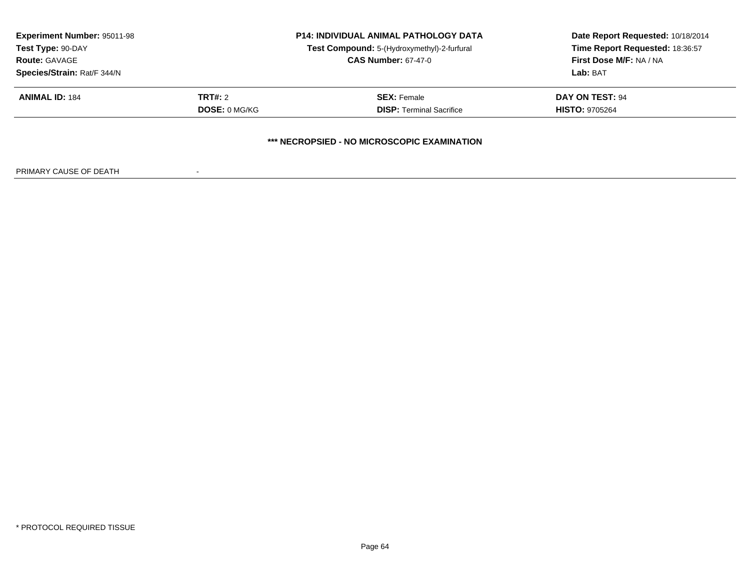| <b>Experiment Number: 95011-98</b><br>Test Type: 90-DAY<br><b>Route: GAVAGE</b> |                      | <b>P14: INDIVIDUAL ANIMAL PATHOLOGY DATA</b><br>Test Compound: 5-(Hydroxymethyl)-2-furfural<br><b>CAS Number: 67-47-0</b> | Date Report Requested: 10/18/2014<br>Time Report Requested: 18:36:57<br><b>First Dose M/F: NA / NA</b> |
|---------------------------------------------------------------------------------|----------------------|---------------------------------------------------------------------------------------------------------------------------|--------------------------------------------------------------------------------------------------------|
| Species/Strain: Rat/F 344/N                                                     |                      |                                                                                                                           | Lab: BAT                                                                                               |
| <b>ANIMAL ID: 184</b>                                                           | <b>TRT#:</b> 2       | <b>SEX: Female</b>                                                                                                        | DAY ON TEST: 94                                                                                        |
|                                                                                 | <b>DOSE: 0 MG/KG</b> | <b>DISP: Terminal Sacrifice</b>                                                                                           | <b>HISTO: 9705264</b>                                                                                  |
|                                                                                 |                      | *** NECROPSIED - NO MICROSCOPIC EXAMINATION                                                                               |                                                                                                        |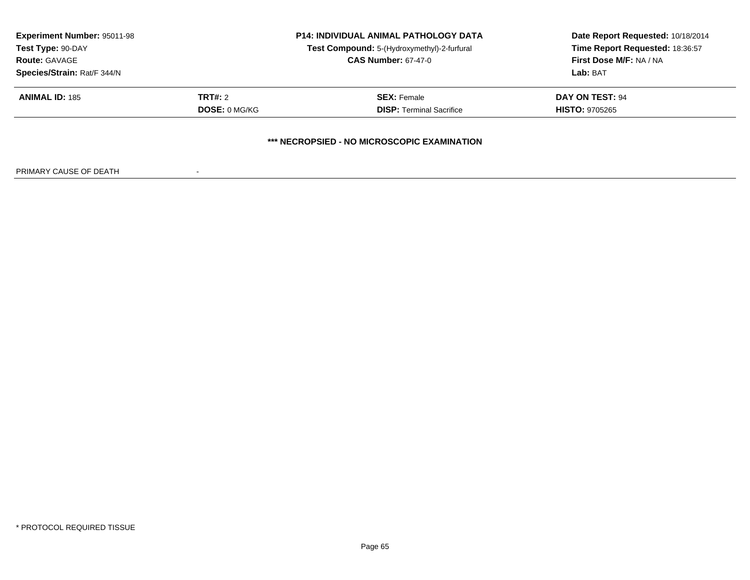| <b>Experiment Number: 95011-98</b><br>Test Type: 90-DAY<br><b>Route: GAVAGE</b> |                      | <b>P14: INDIVIDUAL ANIMAL PATHOLOGY DATA</b><br>Test Compound: 5-(Hydroxymethyl)-2-furfural<br><b>CAS Number: 67-47-0</b> | Date Report Requested: 10/18/2014<br>Time Report Requested: 18:36:57<br>First Dose M/F: NA / NA |
|---------------------------------------------------------------------------------|----------------------|---------------------------------------------------------------------------------------------------------------------------|-------------------------------------------------------------------------------------------------|
| Species/Strain: Rat/F 344/N                                                     |                      |                                                                                                                           | Lab: BAT                                                                                        |
| <b>ANIMAL ID: 185</b>                                                           | <b>TRT#: 2</b>       | <b>SEX: Female</b>                                                                                                        | <b>DAY ON TEST: 94</b>                                                                          |
|                                                                                 | <b>DOSE: 0 MG/KG</b> | <b>DISP:</b> Terminal Sacrifice                                                                                           | <b>HISTO: 9705265</b>                                                                           |
|                                                                                 |                      | *** NECROPSIED - NO MICROSCOPIC EXAMINATION                                                                               |                                                                                                 |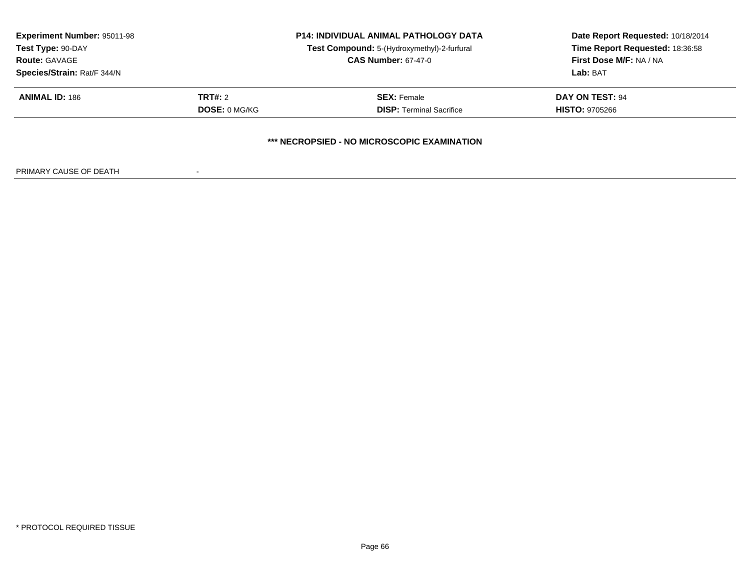| <b>Experiment Number: 95011-98</b><br>Test Type: 90-DAY<br><b>Route: GAVAGE</b> |                      | <b>P14: INDIVIDUAL ANIMAL PATHOLOGY DATA</b><br>Test Compound: 5-(Hydroxymethyl)-2-furfural<br><b>CAS Number: 67-47-0</b> | Date Report Requested: 10/18/2014<br>Time Report Requested: 18:36:58<br>First Dose M/F: NA / NA |
|---------------------------------------------------------------------------------|----------------------|---------------------------------------------------------------------------------------------------------------------------|-------------------------------------------------------------------------------------------------|
| Species/Strain: Rat/F 344/N<br><b>ANIMAL ID: 186</b>                            | <b>TRT#:</b> 2       | <b>SEX: Female</b>                                                                                                        | Lab: BAT<br><b>DAY ON TEST: 94</b>                                                              |
|                                                                                 | <b>DOSE: 0 MG/KG</b> | <b>DISP:</b> Terminal Sacrifice                                                                                           | <b>HISTO: 9705266</b>                                                                           |
|                                                                                 |                      | *** NECROPSIED - NO MICROSCOPIC EXAMINATION                                                                               |                                                                                                 |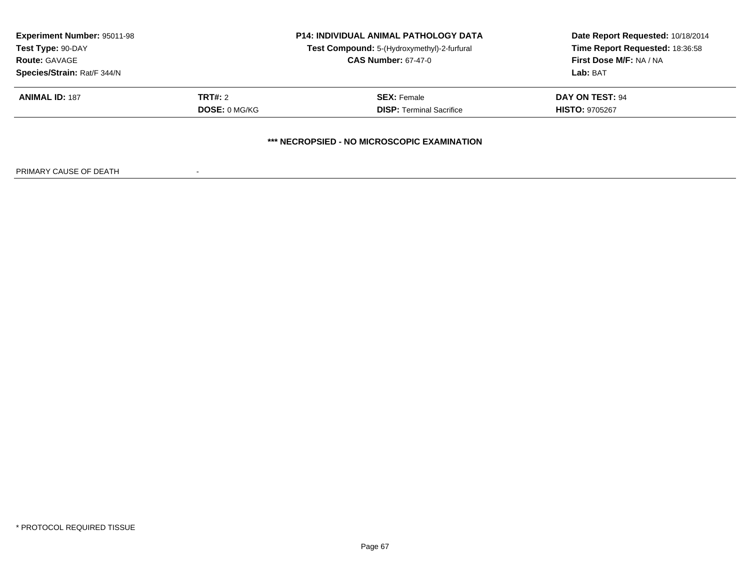| <b>Experiment Number: 95011-98</b><br>Test Type: 90-DAY<br><b>Route: GAVAGE</b> |                      | <b>P14: INDIVIDUAL ANIMAL PATHOLOGY DATA</b><br>Test Compound: 5-(Hydroxymethyl)-2-furfural<br><b>CAS Number: 67-47-0</b> | Date Report Requested: 10/18/2014<br>Time Report Requested: 18:36:58<br>First Dose M/F: NA / NA |
|---------------------------------------------------------------------------------|----------------------|---------------------------------------------------------------------------------------------------------------------------|-------------------------------------------------------------------------------------------------|
| Species/Strain: Rat/F 344/N<br><b>ANIMAL ID: 187</b>                            | <b>TRT#:</b> 2       | <b>SEX: Female</b>                                                                                                        | Lab: BAT<br>DAY ON TEST: 94                                                                     |
|                                                                                 | <b>DOSE: 0 MG/KG</b> | <b>DISP: Terminal Sacrifice</b>                                                                                           | <b>HISTO: 9705267</b>                                                                           |
|                                                                                 |                      | *** NECROPSIED - NO MICROSCOPIC EXAMINATION                                                                               |                                                                                                 |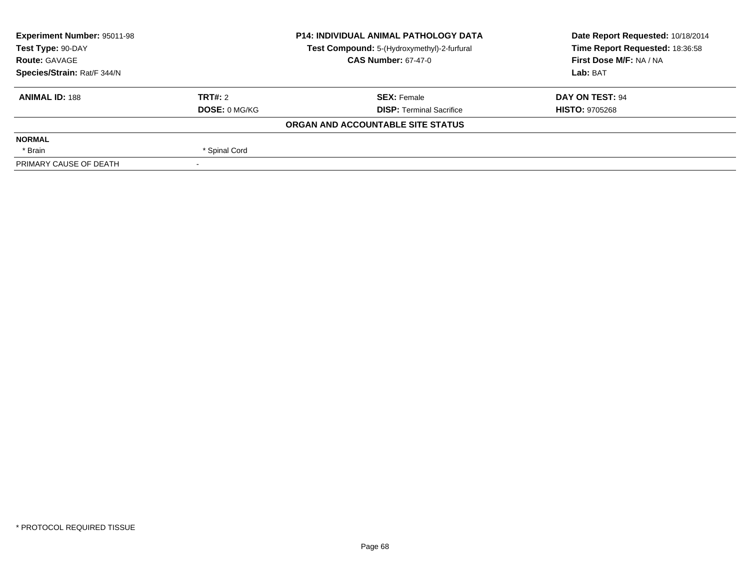| <b>Experiment Number: 95011-98</b> |                      | <b>P14: INDIVIDUAL ANIMAL PATHOLOGY DATA</b> | Date Report Requested: 10/18/2014 |
|------------------------------------|----------------------|----------------------------------------------|-----------------------------------|
| Test Type: 90-DAY                  |                      | Test Compound: 5-(Hydroxymethyl)-2-furfural  | Time Report Requested: 18:36:58   |
| <b>Route: GAVAGE</b>               |                      | <b>CAS Number: 67-47-0</b>                   | First Dose M/F: NA / NA           |
| Species/Strain: Rat/F 344/N        |                      |                                              | Lab: BAT                          |
| <b>ANIMAL ID: 188</b>              | TRT#: 2              | <b>SEX: Female</b>                           | DAY ON TEST: 94                   |
|                                    | <b>DOSE: 0 MG/KG</b> | <b>DISP: Terminal Sacrifice</b>              | <b>HISTO: 9705268</b>             |
|                                    |                      | ORGAN AND ACCOUNTABLE SITE STATUS            |                                   |
| <b>NORMAL</b>                      |                      |                                              |                                   |
| * Brain                            | * Spinal Cord        |                                              |                                   |
| PRIMARY CAUSE OF DEATH             |                      |                                              |                                   |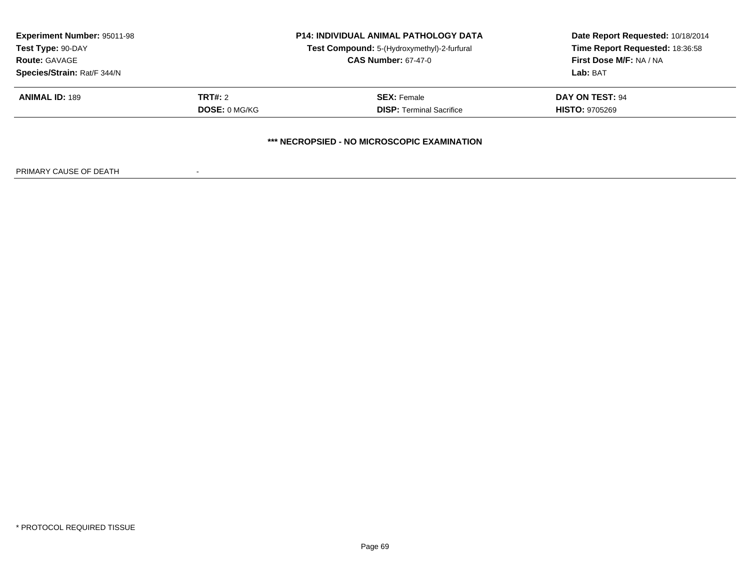|                                 | <b>P14: INDIVIDUAL ANIMAL PATHOLOGY DATA</b> |                      | <b>Experiment Number: 95011-98</b> |  |
|---------------------------------|----------------------------------------------|----------------------|------------------------------------|--|
| Time Report Requested: 18:36:58 | Test Compound: 5-(Hydroxymethyl)-2-furfural  |                      | Test Type: 90-DAY                  |  |
| First Dose M/F: NA / NA         | <b>CAS Number: 67-47-0</b>                   |                      | <b>Route: GAVAGE</b>               |  |
| Lab: BAT                        |                                              |                      | Species/Strain: Rat/F 344/N        |  |
| <b>DAY ON TEST: 94</b>          | <b>SEX: Female</b>                           | <b>TRT#:</b> 2       | <b>ANIMAL ID: 189</b>              |  |
| <b>HISTO: 9705269</b>           | <b>DISP:</b> Terminal Sacrifice              | <b>DOSE: 0 MG/KG</b> |                                    |  |
|                                 |                                              |                      |                                    |  |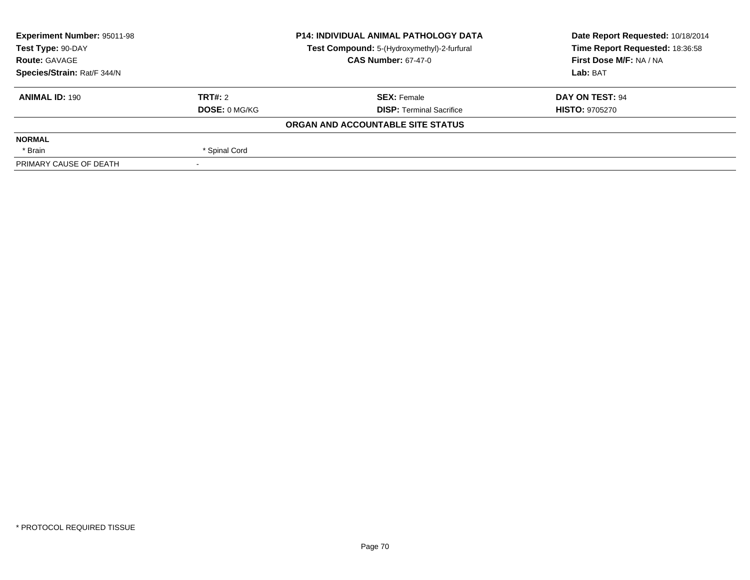| <b>Experiment Number: 95011-98</b> |                      | <b>P14: INDIVIDUAL ANIMAL PATHOLOGY DATA</b> | Date Report Requested: 10/18/2014 |
|------------------------------------|----------------------|----------------------------------------------|-----------------------------------|
| Test Type: 90-DAY                  |                      | Test Compound: 5-(Hydroxymethyl)-2-furfural  | Time Report Requested: 18:36:58   |
| <b>Route: GAVAGE</b>               |                      | <b>CAS Number: 67-47-0</b>                   | First Dose M/F: NA / NA           |
| Species/Strain: Rat/F 344/N        |                      |                                              | Lab: BAT                          |
| <b>ANIMAL ID: 190</b>              | TRT#: 2              | <b>SEX: Female</b>                           | DAY ON TEST: 94                   |
|                                    | <b>DOSE: 0 MG/KG</b> | <b>DISP:</b> Terminal Sacrifice              | <b>HISTO: 9705270</b>             |
|                                    |                      | ORGAN AND ACCOUNTABLE SITE STATUS            |                                   |
| <b>NORMAL</b>                      |                      |                                              |                                   |
| * Brain                            | * Spinal Cord        |                                              |                                   |
| PRIMARY CAUSE OF DEATH             |                      |                                              |                                   |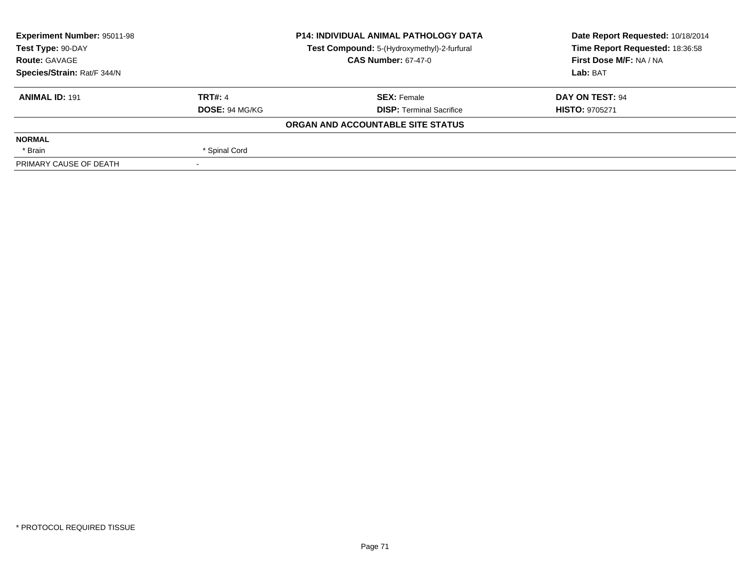| <b>Experiment Number: 95011-98</b> |                       | <b>P14: INDIVIDUAL ANIMAL PATHOLOGY DATA</b> | Date Report Requested: 10/18/2014 |
|------------------------------------|-----------------------|----------------------------------------------|-----------------------------------|
| Test Type: 90-DAY                  |                       | Test Compound: 5-(Hydroxymethyl)-2-furfural  | Time Report Requested: 18:36:58   |
| <b>Route: GAVAGE</b>               |                       | <b>CAS Number: 67-47-0</b>                   | First Dose M/F: NA / NA           |
| Species/Strain: Rat/F 344/N        |                       |                                              | Lab: BAT                          |
| <b>ANIMAL ID: 191</b>              | TRT#: 4               | <b>SEX: Female</b>                           | DAY ON TEST: 94                   |
|                                    | <b>DOSE: 94 MG/KG</b> | <b>DISP:</b> Terminal Sacrifice              | <b>HISTO: 9705271</b>             |
|                                    |                       | ORGAN AND ACCOUNTABLE SITE STATUS            |                                   |
| <b>NORMAL</b>                      |                       |                                              |                                   |
| * Brain                            | * Spinal Cord         |                                              |                                   |
| PRIMARY CAUSE OF DEATH             |                       |                                              |                                   |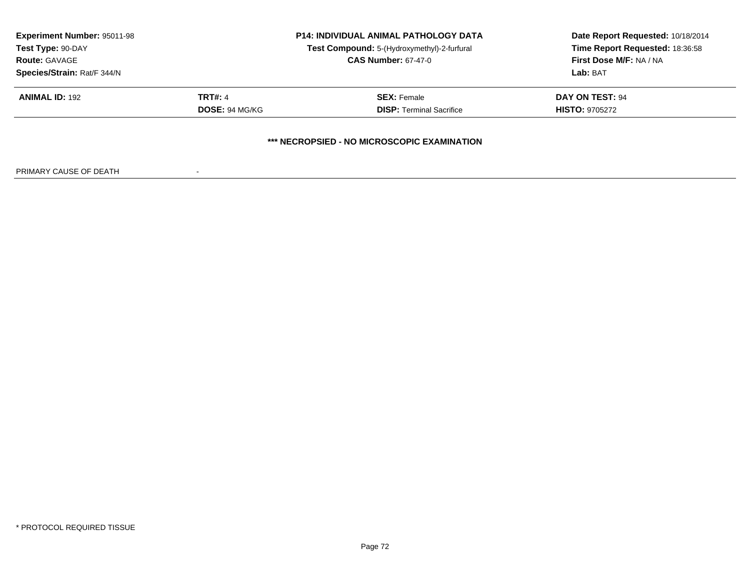| <b>Experiment Number: 95011-98</b> | <b>P14: INDIVIDUAL ANIMAL PATHOLOGY DATA</b> |                                             | Date Report Requested: 10/18/2014 |
|------------------------------------|----------------------------------------------|---------------------------------------------|-----------------------------------|
| Test Type: 90-DAY                  |                                              | Test Compound: 5-(Hydroxymethyl)-2-furfural | Time Report Requested: 18:36:58   |
| <b>Route: GAVAGE</b>               |                                              | <b>CAS Number: 67-47-0</b>                  | First Dose M/F: NA / NA           |
| Species/Strain: Rat/F 344/N        |                                              |                                             | Lab: BAT                          |
| <b>ANIMAL ID: 192</b>              | <b>TRT#: 4</b>                               | <b>SEX: Female</b>                          | DAY ON TEST: 94                   |
|                                    | <b>DOSE: 94 MG/KG</b>                        | <b>DISP: Terminal Sacrifice</b>             | <b>HISTO: 9705272</b>             |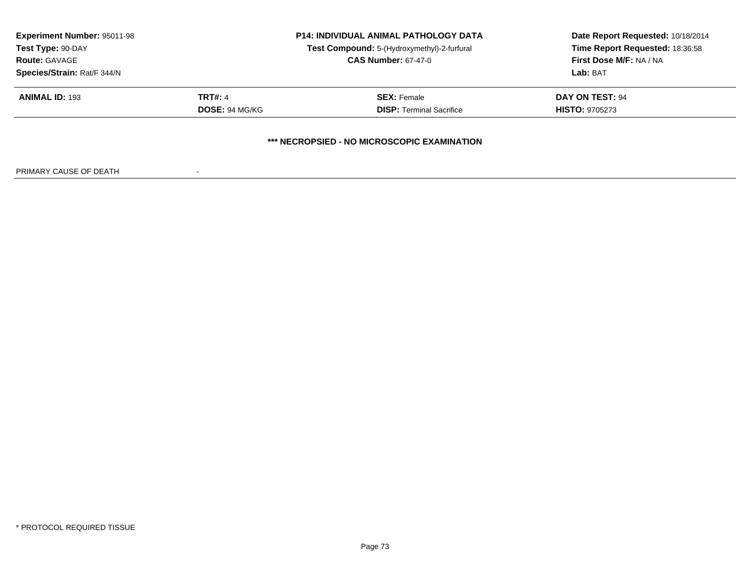| <b>Experiment Number: 95011-98</b><br><b>P14: INDIVIDUAL ANIMAL PATHOLOGY DATA</b><br>Test Compound: 5-(Hydroxymethyl)-2-furfural<br>Test Type: 90-DAY |                       |                                 | Date Report Requested: 10/18/2014 |
|--------------------------------------------------------------------------------------------------------------------------------------------------------|-----------------------|---------------------------------|-----------------------------------|
|                                                                                                                                                        |                       | Time Report Requested: 18:36:58 |                                   |
| <b>Route: GAVAGE</b>                                                                                                                                   |                       | <b>CAS Number: 67-47-0</b>      | First Dose M/F: NA / NA           |
| Species/Strain: Rat/F 344/N                                                                                                                            |                       |                                 | Lab: BAT                          |
| <b>ANIMAL ID: 193</b>                                                                                                                                  | <b>TRT#: 4</b>        | <b>SEX: Female</b>              | DAY ON TEST: 94                   |
|                                                                                                                                                        | <b>DOSE: 94 MG/KG</b> | <b>DISP: Terminal Sacrifice</b> | <b>HISTO: 9705273</b>             |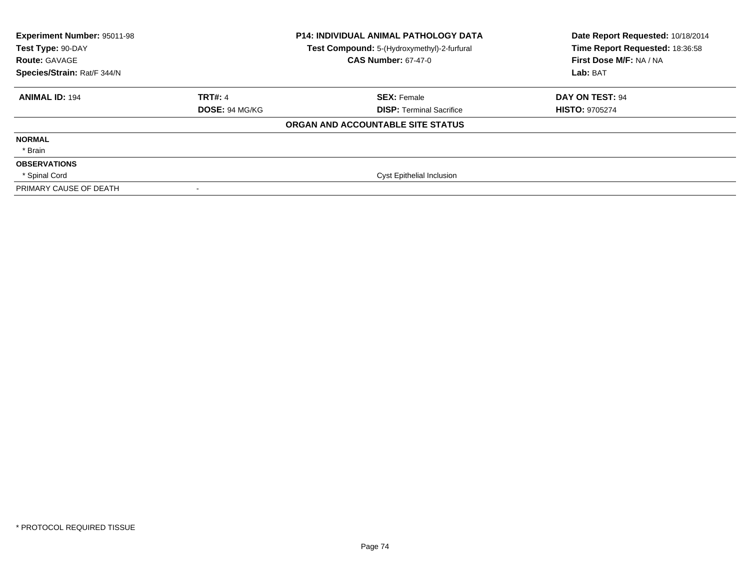| Experiment Number: 95011-98<br>Test Type: 90-DAY<br><b>Route: GAVAGE</b><br>Species/Strain: Rat/F 344/N |                       | <b>P14: INDIVIDUAL ANIMAL PATHOLOGY DATA</b><br>Test Compound: 5-(Hydroxymethyl)-2-furfural<br><b>CAS Number: 67-47-0</b> | Date Report Requested: 10/18/2014<br>Time Report Requested: 18:36:58<br>First Dose M/F: NA / NA<br>Lab: BAT |
|---------------------------------------------------------------------------------------------------------|-----------------------|---------------------------------------------------------------------------------------------------------------------------|-------------------------------------------------------------------------------------------------------------|
| <b>ANIMAL ID: 194</b>                                                                                   | <b>TRT#: 4</b>        | <b>SEX: Female</b>                                                                                                        | DAY ON TEST: 94                                                                                             |
|                                                                                                         | <b>DOSE: 94 MG/KG</b> | <b>DISP:</b> Terminal Sacrifice                                                                                           | <b>HISTO: 9705274</b>                                                                                       |
|                                                                                                         |                       | ORGAN AND ACCOUNTABLE SITE STATUS                                                                                         |                                                                                                             |
| <b>NORMAL</b>                                                                                           |                       |                                                                                                                           |                                                                                                             |
| * Brain                                                                                                 |                       |                                                                                                                           |                                                                                                             |
| <b>OBSERVATIONS</b>                                                                                     |                       |                                                                                                                           |                                                                                                             |
| * Spinal Cord                                                                                           |                       | <b>Cyst Epithelial Inclusion</b>                                                                                          |                                                                                                             |
| PRIMARY CAUSE OF DEATH                                                                                  | $\,$                  |                                                                                                                           |                                                                                                             |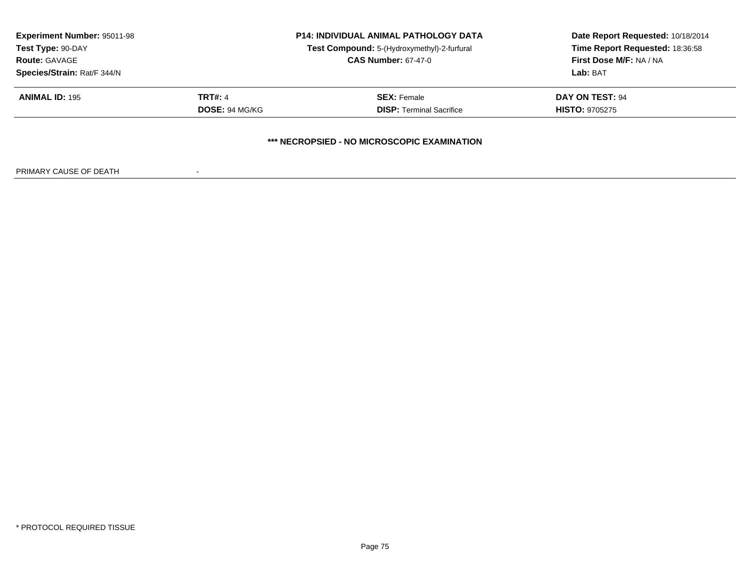| Time Report Requested: 18:36:58                                                                                      |  |
|----------------------------------------------------------------------------------------------------------------------|--|
|                                                                                                                      |  |
| First Dose M/F: NA / NA                                                                                              |  |
|                                                                                                                      |  |
|                                                                                                                      |  |
| <b>HISTO: 9705275</b>                                                                                                |  |
| Lab: BAT<br><b>SEX: Female</b><br><b>DAY ON TEST: 94</b><br><b>DOSE: 94 MG/KG</b><br><b>DISP:</b> Terminal Sacrifice |  |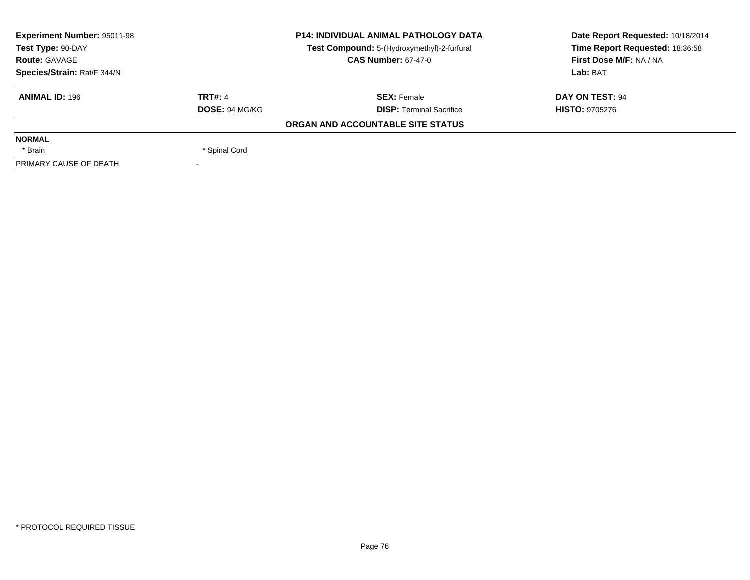| <b>Experiment Number: 95011-98</b><br><b>P14: INDIVIDUAL ANIMAL PATHOLOGY DATA</b><br>Test Type: 90-DAY<br>Test Compound: 5-(Hydroxymethyl)-2-furfural |                            | Date Report Requested: 10/18/2014 |                                 |  |
|--------------------------------------------------------------------------------------------------------------------------------------------------------|----------------------------|-----------------------------------|---------------------------------|--|
|                                                                                                                                                        |                            |                                   | Time Report Requested: 18:36:58 |  |
| <b>Route: GAVAGE</b>                                                                                                                                   | <b>CAS Number: 67-47-0</b> |                                   | First Dose M/F: NA / NA         |  |
| Species/Strain: Rat/F 344/N                                                                                                                            |                            |                                   | Lab: BAT                        |  |
| <b>ANIMAL ID: 196</b>                                                                                                                                  | <b>TRT#: 4</b>             | <b>SEX: Female</b>                | DAY ON TEST: 94                 |  |
|                                                                                                                                                        | <b>DOSE: 94 MG/KG</b>      | <b>DISP: Terminal Sacrifice</b>   | <b>HISTO: 9705276</b>           |  |
|                                                                                                                                                        |                            | ORGAN AND ACCOUNTABLE SITE STATUS |                                 |  |
| <b>NORMAL</b>                                                                                                                                          |                            |                                   |                                 |  |
| * Brain                                                                                                                                                | * Spinal Cord              |                                   |                                 |  |
| PRIMARY CAUSE OF DEATH                                                                                                                                 |                            |                                   |                                 |  |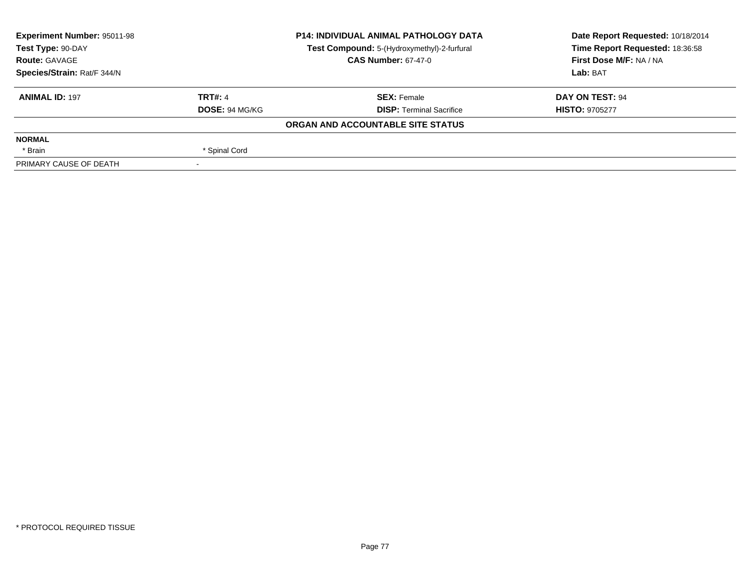| Experiment Number: 95011-98                                                                                            | <b>P14: INDIVIDUAL ANIMAL PATHOLOGY DATA</b> |                                   | Date Report Requested: 10/18/2014 |  |
|------------------------------------------------------------------------------------------------------------------------|----------------------------------------------|-----------------------------------|-----------------------------------|--|
| Test Type: 90-DAY<br>Test Compound: 5-(Hydroxymethyl)-2-furfural<br><b>CAS Number: 67-47-0</b><br><b>Route: GAVAGE</b> |                                              |                                   | Time Report Requested: 18:36:58   |  |
|                                                                                                                        |                                              | First Dose M/F: NA / NA           |                                   |  |
| Species/Strain: Rat/F 344/N                                                                                            |                                              |                                   | Lab: BAT                          |  |
| <b>ANIMAL ID: 197</b>                                                                                                  | <b>TRT#: 4</b>                               | <b>SEX: Female</b>                | DAY ON TEST: 94                   |  |
|                                                                                                                        | DOSE: 94 MG/KG                               | <b>DISP:</b> Terminal Sacrifice   | <b>HISTO: 9705277</b>             |  |
|                                                                                                                        |                                              | ORGAN AND ACCOUNTABLE SITE STATUS |                                   |  |
| <b>NORMAL</b>                                                                                                          |                                              |                                   |                                   |  |
| * Brain                                                                                                                | * Spinal Cord                                |                                   |                                   |  |
| PRIMARY CAUSE OF DEATH                                                                                                 |                                              |                                   |                                   |  |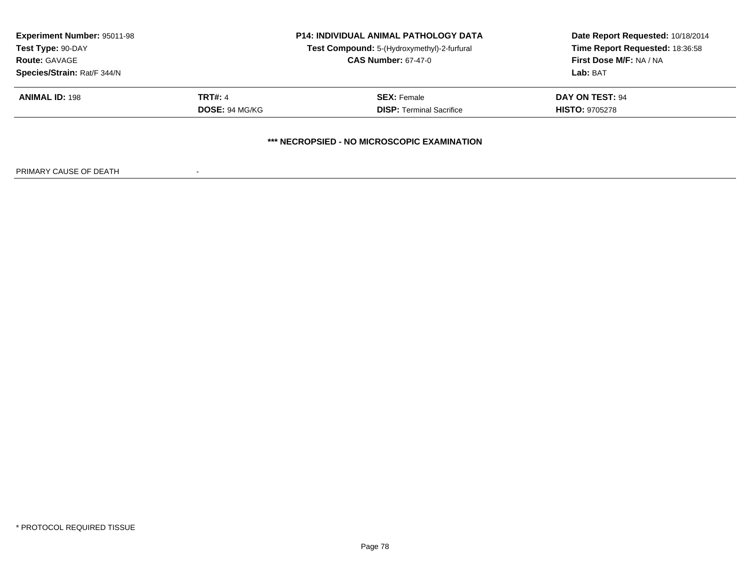| <b>Experiment Number: 95011-98</b><br>Test Type: 90-DAY |                            | <b>P14: INDIVIDUAL ANIMAL PATHOLOGY DATA</b> | Date Report Requested: 10/18/2014<br>Time Report Requested: 18:36:58<br>First Dose M/F: NA / NA |
|---------------------------------------------------------|----------------------------|----------------------------------------------|-------------------------------------------------------------------------------------------------|
|                                                         |                            | Test Compound: 5-(Hydroxymethyl)-2-furfural  |                                                                                                 |
| <b>Route: GAVAGE</b>                                    | <b>CAS Number: 67-47-0</b> |                                              |                                                                                                 |
| Species/Strain: Rat/F 344/N                             |                            | Lab: BAT                                     |                                                                                                 |
| <b>ANIMAL ID: 198</b>                                   | <b>TRT#: 4</b>             | <b>SEX: Female</b>                           | <b>DAY ON TEST: 94</b>                                                                          |
|                                                         | DOSE: 94 MG/KG             | <b>DISP: Terminal Sacrifice</b>              | <b>HISTO: 9705278</b>                                                                           |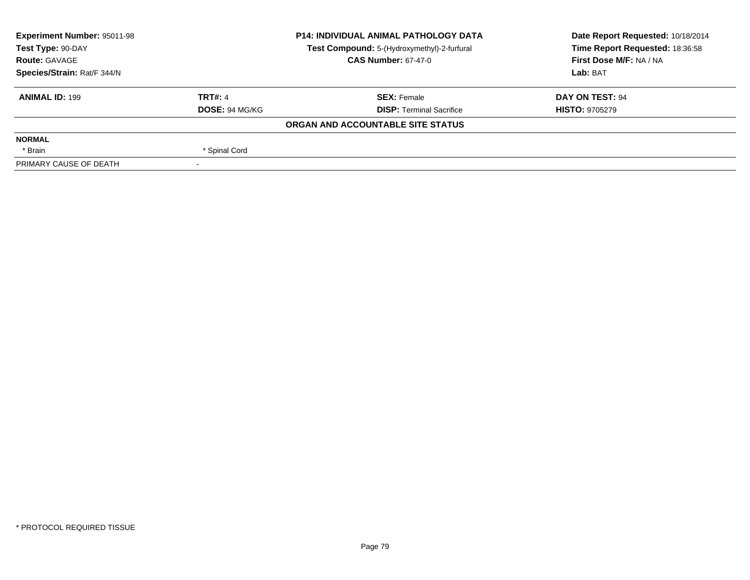| <b>Experiment Number: 95011-98</b> | <b>P14: INDIVIDUAL ANIMAL PATHOLOGY DATA</b> |                                             | Date Report Requested: 10/18/2014                          |  |
|------------------------------------|----------------------------------------------|---------------------------------------------|------------------------------------------------------------|--|
| Test Type: 90-DAY                  |                                              | Test Compound: 5-(Hydroxymethyl)-2-furfural | Time Report Requested: 18:36:58<br>First Dose M/F: NA / NA |  |
| <b>Route: GAVAGE</b>               | <b>CAS Number: 67-47-0</b>                   |                                             |                                                            |  |
| Species/Strain: Rat/F 344/N        |                                              |                                             | Lab: BAT                                                   |  |
| <b>ANIMAL ID: 199</b>              | <b>TRT#: 4</b>                               | <b>SEX: Female</b>                          | DAY ON TEST: 94                                            |  |
|                                    | <b>DOSE: 94 MG/KG</b>                        | <b>DISP: Terminal Sacrifice</b>             | <b>HISTO: 9705279</b>                                      |  |
|                                    |                                              | ORGAN AND ACCOUNTABLE SITE STATUS           |                                                            |  |
| <b>NORMAL</b>                      |                                              |                                             |                                                            |  |
| * Brain                            | * Spinal Cord                                |                                             |                                                            |  |
| PRIMARY CAUSE OF DEATH             |                                              |                                             |                                                            |  |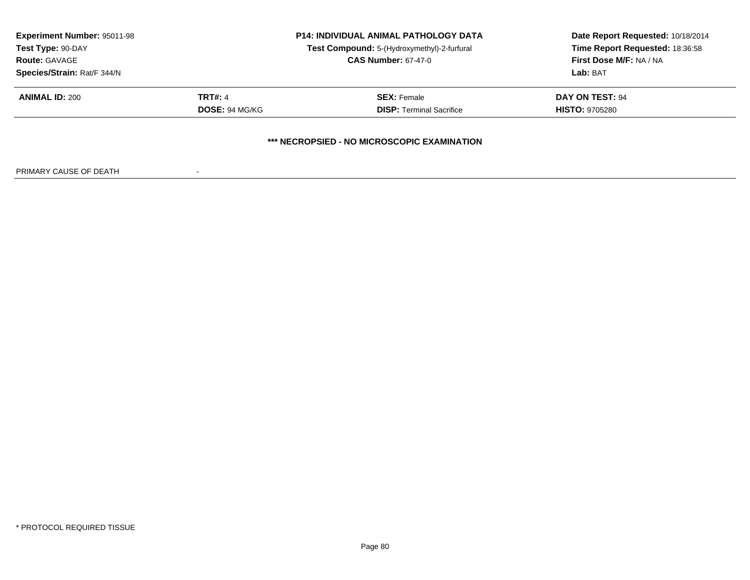|                             |                                                   | <b>P14: INDIVIDUAL ANIMAL PATHOLOGY DATA</b> | Date Report Requested: 10/18/2014<br>Time Report Requested: 18:36:58 |
|-----------------------------|---------------------------------------------------|----------------------------------------------|----------------------------------------------------------------------|
| Test Type: 90-DAY           |                                                   | Test Compound: 5-(Hydroxymethyl)-2-furfural  |                                                                      |
| <b>Route: GAVAGE</b>        | <b>CAS Number: 67-47-0</b>                        |                                              | First Dose M/F: NA / NA                                              |
| Species/Strain: Rat/F 344/N |                                                   | Lab: BAT                                     |                                                                      |
| <b>ANIMAL ID: 200</b>       | <b>TRT#: 4</b>                                    | <b>SEX: Female</b>                           | <b>DAY ON TEST: 94</b>                                               |
|                             | DOSE: 94 MG/KG<br><b>DISP: Terminal Sacrifice</b> |                                              | <b>HISTO: 9705280</b>                                                |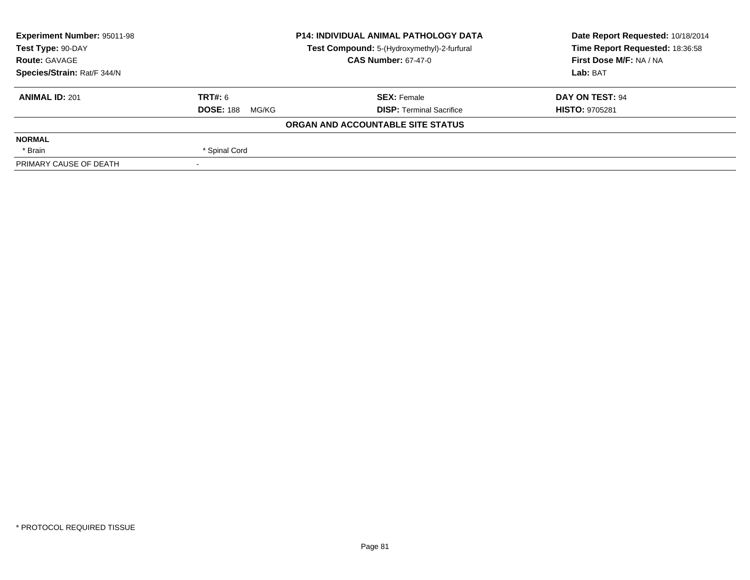| <b>Experiment Number: 95011-98</b> | <b>P14: INDIVIDUAL ANIMAL PATHOLOGY DATA</b> |                                             | Date Report Requested: 10/18/2014 |  |
|------------------------------------|----------------------------------------------|---------------------------------------------|-----------------------------------|--|
| Test Type: 90-DAY                  |                                              | Test Compound: 5-(Hydroxymethyl)-2-furfural | Time Report Requested: 18:36:58   |  |
| <b>Route: GAVAGE</b>               | <b>CAS Number: 67-47-0</b>                   |                                             | First Dose M/F: NA / NA           |  |
| Species/Strain: Rat/F 344/N        |                                              |                                             | Lab: BAT                          |  |
| <b>ANIMAL ID: 201</b>              | TRT#: 6                                      | <b>SEX: Female</b>                          | DAY ON TEST: 94                   |  |
|                                    | <b>DOSE: 188</b><br>MG/KG                    | <b>DISP: Terminal Sacrifice</b>             | <b>HISTO: 9705281</b>             |  |
|                                    |                                              | ORGAN AND ACCOUNTABLE SITE STATUS           |                                   |  |
| <b>NORMAL</b>                      |                                              |                                             |                                   |  |
| * Brain                            | * Spinal Cord                                |                                             |                                   |  |
| PRIMARY CAUSE OF DEATH             |                                              |                                             |                                   |  |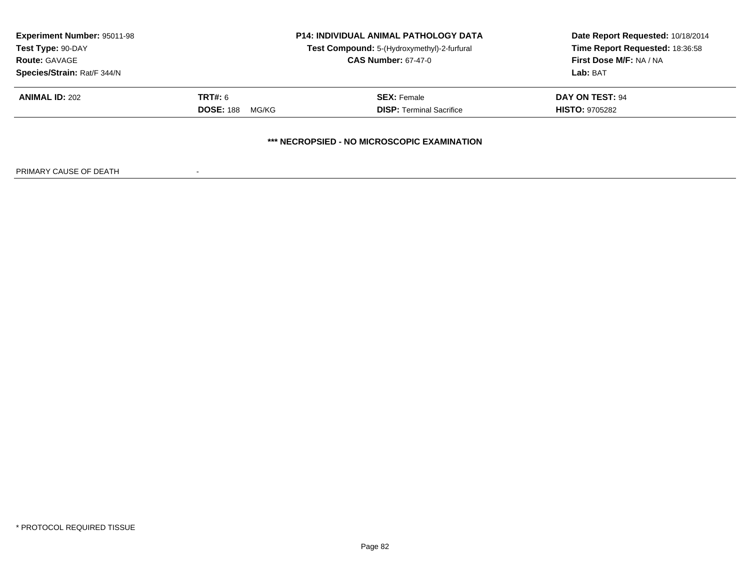| <b>Experiment Number: 95011-98</b><br>Test Type: 90-DAY<br><b>Route: GAVAGE</b><br>Species/Strain: Rat/F 344/N | <b>P14: INDIVIDUAL ANIMAL PATHOLOGY DATA</b><br>Test Compound: 5-(Hydroxymethyl)-2-furfural<br><b>CAS Number: 67-47-0</b> |                                                       | Date Report Requested: 10/18/2014<br>Time Report Requested: 18:36:58<br>First Dose M/F: NA / NA<br>Lab: BAT |  |  |  |
|----------------------------------------------------------------------------------------------------------------|---------------------------------------------------------------------------------------------------------------------------|-------------------------------------------------------|-------------------------------------------------------------------------------------------------------------|--|--|--|
| <b>ANIMAL ID: 202</b>                                                                                          | <b>TRT#: 6</b><br><b>DOSE: 188</b><br>MG/KG                                                                               | <b>SEX:</b> Female<br><b>DISP: Terminal Sacrifice</b> | DAY ON TEST: 94<br><b>HISTO: 9705282</b>                                                                    |  |  |  |
| *** NECROPSIED - NO MICROSCOPIC EXAMINATION                                                                    |                                                                                                                           |                                                       |                                                                                                             |  |  |  |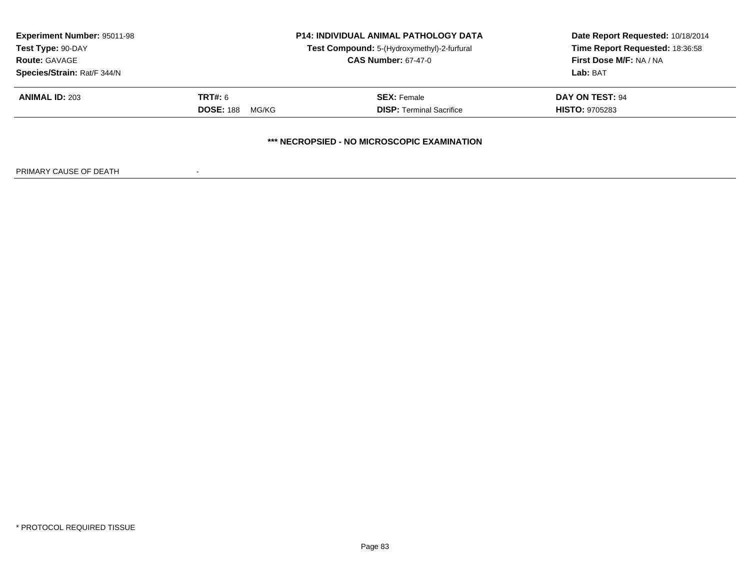| <b>Experiment Number: 95011-98</b><br>Test Type: 90-DAY<br><b>Route: GAVAGE</b><br>Species/Strain: Rat/F 344/N | <b>P14: INDIVIDUAL ANIMAL PATHOLOGY DATA</b><br>Test Compound: 5-(Hydroxymethyl)-2-furfural<br><b>CAS Number: 67-47-0</b> |                                                       | Date Report Requested: 10/18/2014<br>Time Report Requested: 18:36:58<br>First Dose M/F: NA / NA<br>Lab: BAT |  |  |  |
|----------------------------------------------------------------------------------------------------------------|---------------------------------------------------------------------------------------------------------------------------|-------------------------------------------------------|-------------------------------------------------------------------------------------------------------------|--|--|--|
| <b>ANIMAL ID: 203</b>                                                                                          | <b>TRT#: 6</b><br><b>DOSE: 188</b><br>MG/KG                                                                               | <b>SEX:</b> Female<br><b>DISP:</b> Terminal Sacrifice | DAY ON TEST: 94<br><b>HISTO: 9705283</b>                                                                    |  |  |  |
| *** NECROPSIED - NO MICROSCOPIC EXAMINATION                                                                    |                                                                                                                           |                                                       |                                                                                                             |  |  |  |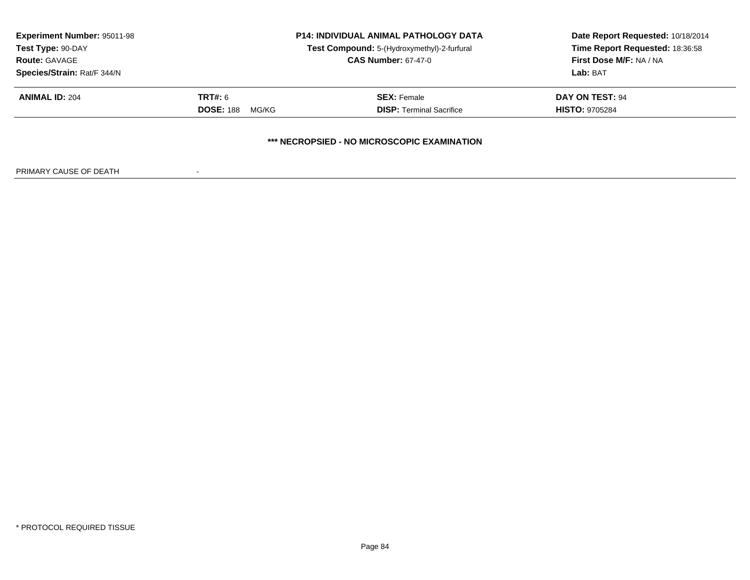| <b>Experiment Number: 95011-98</b><br>Test Type: 90-DAY<br><b>Route: GAVAGE</b><br>Species/Strain: Rat/F 344/N | <b>P14: INDIVIDUAL ANIMAL PATHOLOGY DATA</b><br>Test Compound: 5-(Hydroxymethyl)-2-furfural<br><b>CAS Number: 67-47-0</b> |                                                       | Date Report Requested: 10/18/2014<br>Time Report Requested: 18:36:58<br>First Dose M/F: NA / NA<br>Lab: BAT |  |  |  |
|----------------------------------------------------------------------------------------------------------------|---------------------------------------------------------------------------------------------------------------------------|-------------------------------------------------------|-------------------------------------------------------------------------------------------------------------|--|--|--|
| <b>ANIMAL ID: 204</b>                                                                                          | <b>TRT#: 6</b><br><b>DOSE: 188</b><br>MG/KG                                                                               | <b>SEX: Female</b><br><b>DISP: Terminal Sacrifice</b> | DAY ON TEST: 94<br><b>HISTO: 9705284</b>                                                                    |  |  |  |
| *** NECROPSIED - NO MICROSCOPIC EXAMINATION                                                                    |                                                                                                                           |                                                       |                                                                                                             |  |  |  |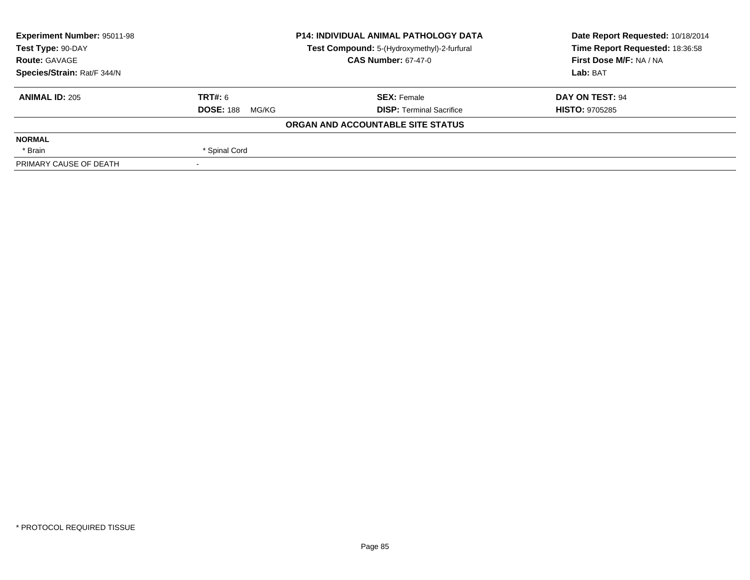| <b>Experiment Number: 95011-98</b> | <b>P14: INDIVIDUAL ANIMAL PATHOLOGY DATA</b> |                                             | Date Report Requested: 10/18/2014 |  |
|------------------------------------|----------------------------------------------|---------------------------------------------|-----------------------------------|--|
| Test Type: 90-DAY                  |                                              | Test Compound: 5-(Hydroxymethyl)-2-furfural | Time Report Requested: 18:36:58   |  |
| <b>Route: GAVAGE</b>               | <b>CAS Number: 67-47-0</b>                   |                                             | First Dose M/F: NA / NA           |  |
| Species/Strain: Rat/F 344/N        |                                              |                                             | Lab: BAT                          |  |
| <b>ANIMAL ID: 205</b>              | TRT#: 6                                      | <b>SEX: Female</b>                          | DAY ON TEST: 94                   |  |
|                                    | <b>DOSE: 188</b><br>MG/KG                    | <b>DISP: Terminal Sacrifice</b>             | <b>HISTO: 9705285</b>             |  |
|                                    |                                              | ORGAN AND ACCOUNTABLE SITE STATUS           |                                   |  |
| <b>NORMAL</b>                      |                                              |                                             |                                   |  |
| * Brain                            | * Spinal Cord                                |                                             |                                   |  |
| PRIMARY CAUSE OF DEATH             |                                              |                                             |                                   |  |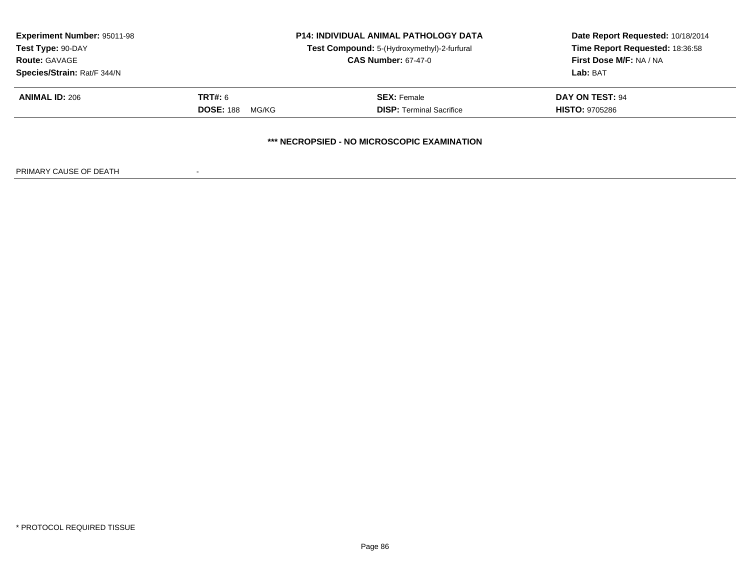| <b>Experiment Number: 95011-98</b><br>Test Type: 90-DAY<br><b>Route: GAVAGE</b><br>Species/Strain: Rat/F 344/N | <b>P14: INDIVIDUAL ANIMAL PATHOLOGY DATA</b><br>Test Compound: 5-(Hydroxymethyl)-2-furfural<br><b>CAS Number: 67-47-0</b> |                                                       | Date Report Requested: 10/18/2014<br>Time Report Requested: 18:36:58<br>First Dose M/F: NA / NA<br>Lab: BAT |  |
|----------------------------------------------------------------------------------------------------------------|---------------------------------------------------------------------------------------------------------------------------|-------------------------------------------------------|-------------------------------------------------------------------------------------------------------------|--|
| <b>ANIMAL ID: 206</b>                                                                                          | <b>TRT#: 6</b><br><b>DOSE: 188</b><br>MG/KG                                                                               | <b>SEX:</b> Female<br><b>DISP:</b> Terminal Sacrifice | DAY ON TEST: 94<br><b>HISTO: 9705286</b>                                                                    |  |
|                                                                                                                |                                                                                                                           | *** NECROPSIED - NO MICROSCOPIC EXAMINATION           |                                                                                                             |  |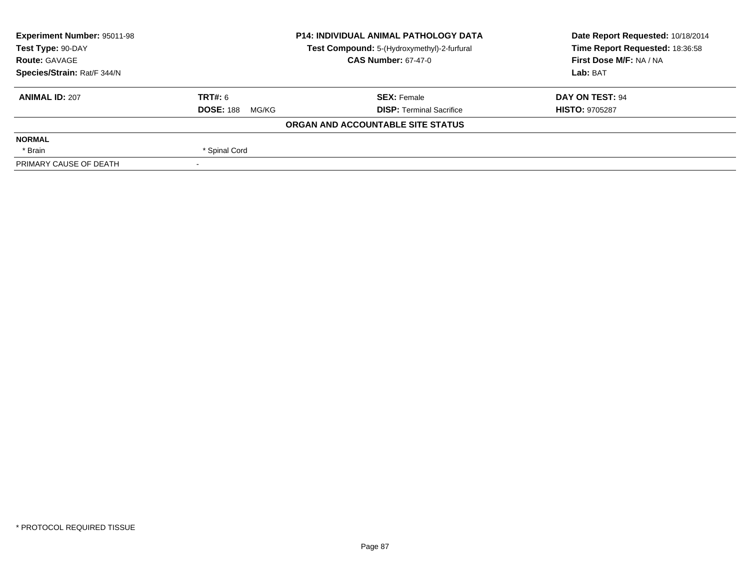| <b>Experiment Number: 95011-98</b> | <b>P14: INDIVIDUAL ANIMAL PATHOLOGY DATA</b><br>Test Compound: 5-(Hydroxymethyl)-2-furfural<br><b>CAS Number: 67-47-0</b> |                                   | Date Report Requested: 10/18/2014 |  |
|------------------------------------|---------------------------------------------------------------------------------------------------------------------------|-----------------------------------|-----------------------------------|--|
| Test Type: 90-DAY                  |                                                                                                                           |                                   | Time Report Requested: 18:36:58   |  |
| <b>Route: GAVAGE</b>               |                                                                                                                           |                                   | First Dose M/F: NA / NA           |  |
| Species/Strain: Rat/F 344/N        |                                                                                                                           |                                   | Lab: BAT                          |  |
| <b>ANIMAL ID: 207</b>              | TRT#: 6                                                                                                                   | <b>SEX: Female</b>                | <b>DAY ON TEST: 94</b>            |  |
|                                    | <b>DOSE: 188</b><br>MG/KG                                                                                                 | <b>DISP: Terminal Sacrifice</b>   | <b>HISTO: 9705287</b>             |  |
|                                    |                                                                                                                           | ORGAN AND ACCOUNTABLE SITE STATUS |                                   |  |
| <b>NORMAL</b>                      |                                                                                                                           |                                   |                                   |  |
| * Brain                            | * Spinal Cord                                                                                                             |                                   |                                   |  |
| PRIMARY CAUSE OF DEATH             |                                                                                                                           |                                   |                                   |  |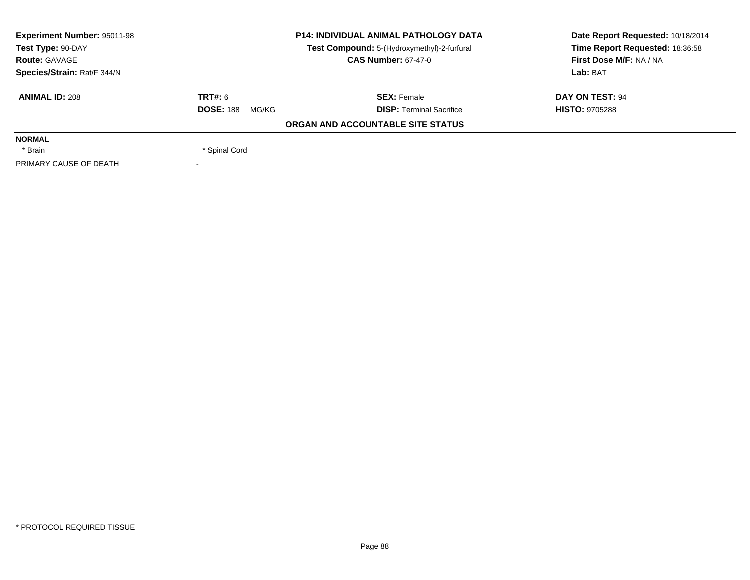| <b>Experiment Number: 95011-98</b>                               | <b>P14: INDIVIDUAL ANIMAL PATHOLOGY DATA</b> |                                   | Date Report Requested: 10/18/2014 |  |
|------------------------------------------------------------------|----------------------------------------------|-----------------------------------|-----------------------------------|--|
| Test Compound: 5-(Hydroxymethyl)-2-furfural<br>Test Type: 90-DAY |                                              | Time Report Requested: 18:36:58   |                                   |  |
| <b>Route: GAVAGE</b>                                             | <b>CAS Number: 67-47-0</b>                   |                                   | First Dose M/F: NA / NA           |  |
| Species/Strain: Rat/F 344/N                                      |                                              |                                   | Lab: BAT                          |  |
| <b>ANIMAL ID: 208</b>                                            | <b>TRT#: 6</b>                               | <b>SEX: Female</b>                | DAY ON TEST: 94                   |  |
|                                                                  | <b>DOSE: 188</b><br>MG/KG                    | <b>DISP: Terminal Sacrifice</b>   | <b>HISTO: 9705288</b>             |  |
|                                                                  |                                              | ORGAN AND ACCOUNTABLE SITE STATUS |                                   |  |
| <b>NORMAL</b>                                                    |                                              |                                   |                                   |  |
| * Brain                                                          | * Spinal Cord                                |                                   |                                   |  |
| PRIMARY CAUSE OF DEATH                                           |                                              |                                   |                                   |  |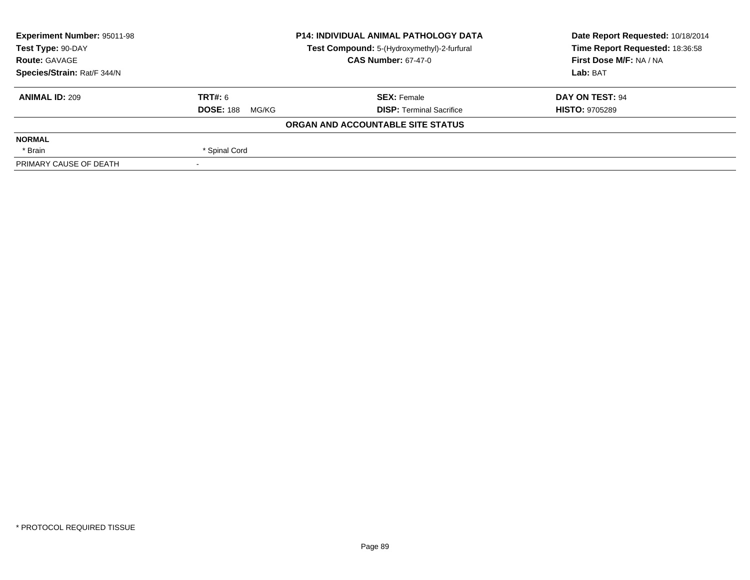| <b>Experiment Number: 95011-98</b>                               | <b>P14: INDIVIDUAL ANIMAL PATHOLOGY DATA</b> |                                   | Date Report Requested: 10/18/2014 |  |
|------------------------------------------------------------------|----------------------------------------------|-----------------------------------|-----------------------------------|--|
| Test Compound: 5-(Hydroxymethyl)-2-furfural<br>Test Type: 90-DAY |                                              | Time Report Requested: 18:36:58   |                                   |  |
| <b>Route: GAVAGE</b>                                             | <b>CAS Number: 67-47-0</b>                   |                                   | First Dose M/F: NA / NA           |  |
| Species/Strain: Rat/F 344/N                                      |                                              |                                   | Lab: BAT                          |  |
| <b>ANIMAL ID: 209</b>                                            | <b>TRT#: 6</b>                               | <b>SEX: Female</b>                | DAY ON TEST: 94                   |  |
|                                                                  | <b>DOSE: 188</b><br>MG/KG                    | <b>DISP: Terminal Sacrifice</b>   | <b>HISTO: 9705289</b>             |  |
|                                                                  |                                              | ORGAN AND ACCOUNTABLE SITE STATUS |                                   |  |
| <b>NORMAL</b>                                                    |                                              |                                   |                                   |  |
| * Brain                                                          | * Spinal Cord                                |                                   |                                   |  |
| PRIMARY CAUSE OF DEATH                                           |                                              |                                   |                                   |  |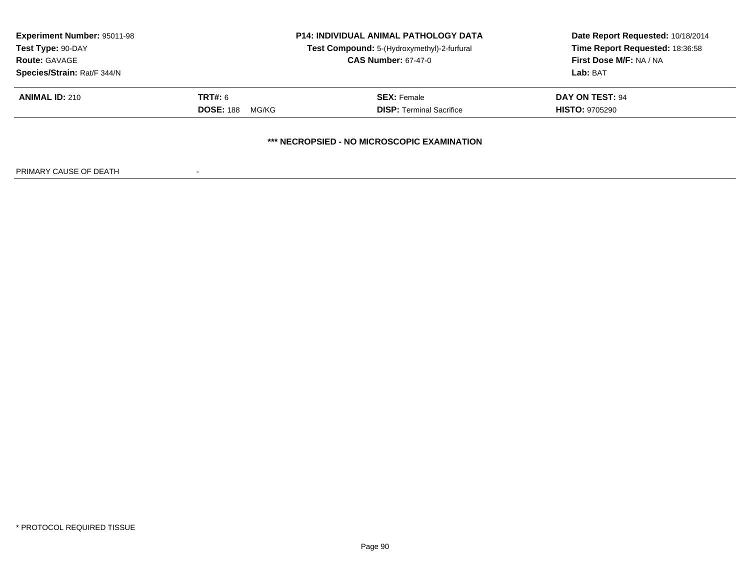| <b>Experiment Number: 95011-98</b><br>Test Type: 90-DAY<br><b>Route: GAVAGE</b><br>Species/Strain: Rat/F 344/N | <b>P14: INDIVIDUAL ANIMAL PATHOLOGY DATA</b><br>Test Compound: 5-(Hydroxymethyl)-2-furfural<br><b>CAS Number: 67-47-0</b> |                                                       | Date Report Requested: 10/18/2014<br>Time Report Requested: 18:36:58<br>First Dose M/F: NA / NA<br>Lab: BAT |
|----------------------------------------------------------------------------------------------------------------|---------------------------------------------------------------------------------------------------------------------------|-------------------------------------------------------|-------------------------------------------------------------------------------------------------------------|
| <b>ANIMAL ID: 210</b>                                                                                          | <b>TRT#: 6</b><br><b>DOSE: 188</b><br>MG/KG                                                                               | <b>SEX: Female</b><br><b>DISP: Terminal Sacrifice</b> | DAY ON TEST: 94<br><b>HISTO: 9705290</b>                                                                    |
|                                                                                                                |                                                                                                                           | *** NECROPSIED - NO MICROSCOPIC EXAMINATION           |                                                                                                             |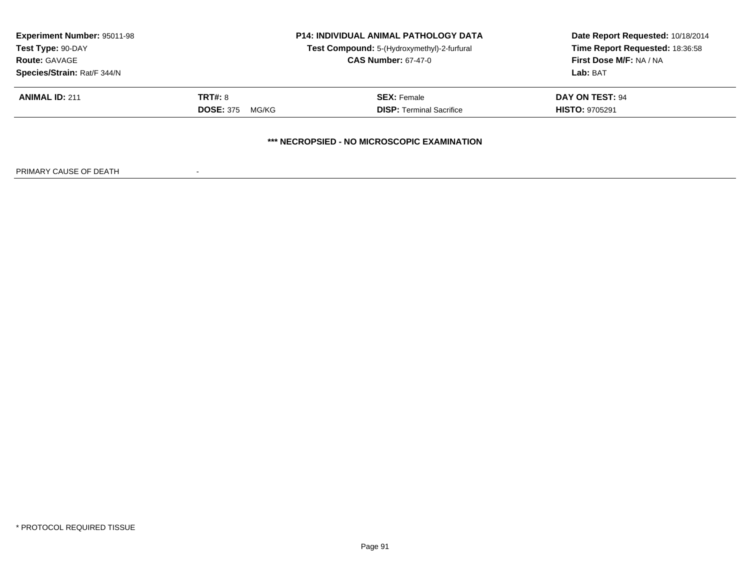| <b>Experiment Number: 95011-98</b><br>Test Type: 90-DAY<br><b>Route: GAVAGE</b><br>Species/Strain: Rat/F 344/N | <b>P14: INDIVIDUAL ANIMAL PATHOLOGY DATA</b><br>Test Compound: 5-(Hydroxymethyl)-2-furfural<br><b>CAS Number: 67-47-0</b> |                                                       | Date Report Requested: 10/18/2014<br>Time Report Requested: 18:36:58<br>First Dose M/F: NA / NA<br>Lab: BAT |
|----------------------------------------------------------------------------------------------------------------|---------------------------------------------------------------------------------------------------------------------------|-------------------------------------------------------|-------------------------------------------------------------------------------------------------------------|
| <b>ANIMAL ID: 211</b>                                                                                          | TRT#: 8<br><b>DOSE: 375</b><br>MG/KG                                                                                      | <b>SEX:</b> Female<br><b>DISP: Terminal Sacrifice</b> | DAY ON TEST: 94<br><b>HISTO: 9705291</b>                                                                    |
|                                                                                                                |                                                                                                                           | *** NECROPSIED - NO MICROSCOPIC EXAMINATION           |                                                                                                             |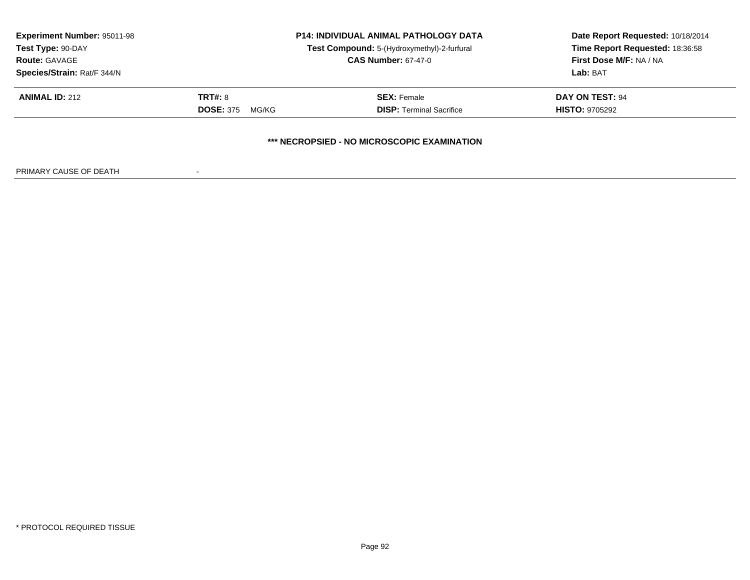| <b>Experiment Number: 95011-98</b><br>Test Type: 90-DAY<br><b>Route: GAVAGE</b><br>Species/Strain: Rat/F 344/N | <b>P14: INDIVIDUAL ANIMAL PATHOLOGY DATA</b><br>Test Compound: 5-(Hydroxymethyl)-2-furfural<br><b>CAS Number: 67-47-0</b> |                                                       | Date Report Requested: 10/18/2014<br>Time Report Requested: 18:36:58<br>First Dose M/F: NA / NA<br>Lab: BAT |
|----------------------------------------------------------------------------------------------------------------|---------------------------------------------------------------------------------------------------------------------------|-------------------------------------------------------|-------------------------------------------------------------------------------------------------------------|
| <b>ANIMAL ID: 212</b>                                                                                          | TRT#: 8<br><b>DOSE: 375</b><br>MG/KG                                                                                      | <b>SEX: Female</b><br><b>DISP: Terminal Sacrifice</b> | DAY ON TEST: 94<br><b>HISTO: 9705292</b>                                                                    |
|                                                                                                                |                                                                                                                           | *** NECROPSIED - NO MICROSCOPIC EXAMINATION           |                                                                                                             |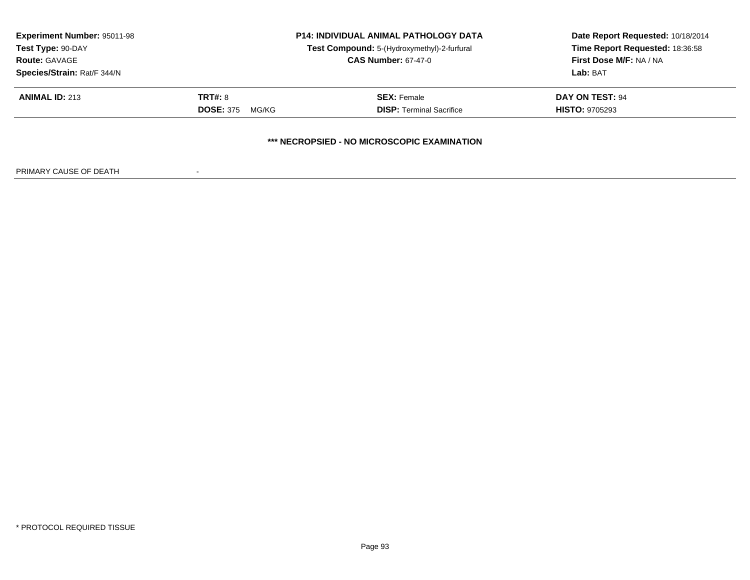| <b>Experiment Number: 95011-98</b><br>Test Type: 90-DAY<br><b>Route: GAVAGE</b><br>Species/Strain: Rat/F 344/N | <b>P14: INDIVIDUAL ANIMAL PATHOLOGY DATA</b><br>Test Compound: 5-(Hydroxymethyl)-2-furfural<br><b>CAS Number: 67-47-0</b> |                                                       | Date Report Requested: 10/18/2014<br>Time Report Requested: 18:36:58<br>First Dose M/F: NA / NA<br>Lab: BAT |
|----------------------------------------------------------------------------------------------------------------|---------------------------------------------------------------------------------------------------------------------------|-------------------------------------------------------|-------------------------------------------------------------------------------------------------------------|
| <b>ANIMAL ID: 213</b>                                                                                          | TRT#: 8<br><b>DOSE: 375</b><br>MG/KG                                                                                      | <b>SEX: Female</b><br><b>DISP: Terminal Sacrifice</b> | DAY ON TEST: 94<br><b>HISTO: 9705293</b>                                                                    |
|                                                                                                                |                                                                                                                           | *** NECROPSIED - NO MICROSCOPIC EXAMINATION           |                                                                                                             |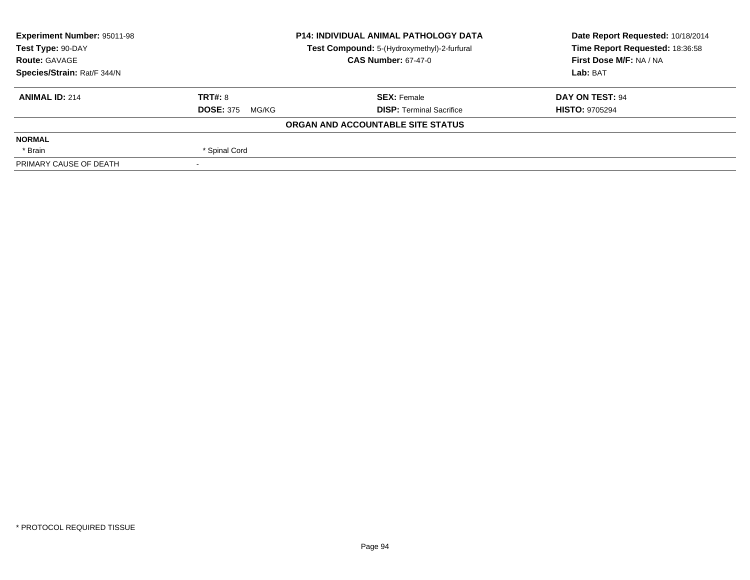| <b>Experiment Number: 95011-98</b> | <b>P14: INDIVIDUAL ANIMAL PATHOLOGY DATA</b><br>Test Compound: 5-(Hydroxymethyl)-2-furfural<br><b>CAS Number: 67-47-0</b> |                                   | Date Report Requested: 10/18/2014 |  |
|------------------------------------|---------------------------------------------------------------------------------------------------------------------------|-----------------------------------|-----------------------------------|--|
| Test Type: 90-DAY                  |                                                                                                                           |                                   | Time Report Requested: 18:36:58   |  |
| <b>Route: GAVAGE</b>               |                                                                                                                           |                                   | First Dose M/F: NA / NA           |  |
| Species/Strain: Rat/F 344/N        |                                                                                                                           |                                   | Lab: BAT                          |  |
| <b>ANIMAL ID: 214</b>              | <b>TRT#: 8</b>                                                                                                            | <b>SEX: Female</b>                | DAY ON TEST: 94                   |  |
|                                    | <b>DOSE: 375</b><br>MG/KG                                                                                                 | <b>DISP: Terminal Sacrifice</b>   | <b>HISTO: 9705294</b>             |  |
|                                    |                                                                                                                           | ORGAN AND ACCOUNTABLE SITE STATUS |                                   |  |
| <b>NORMAL</b>                      |                                                                                                                           |                                   |                                   |  |
| * Brain                            | * Spinal Cord                                                                                                             |                                   |                                   |  |
| PRIMARY CAUSE OF DEATH             |                                                                                                                           |                                   |                                   |  |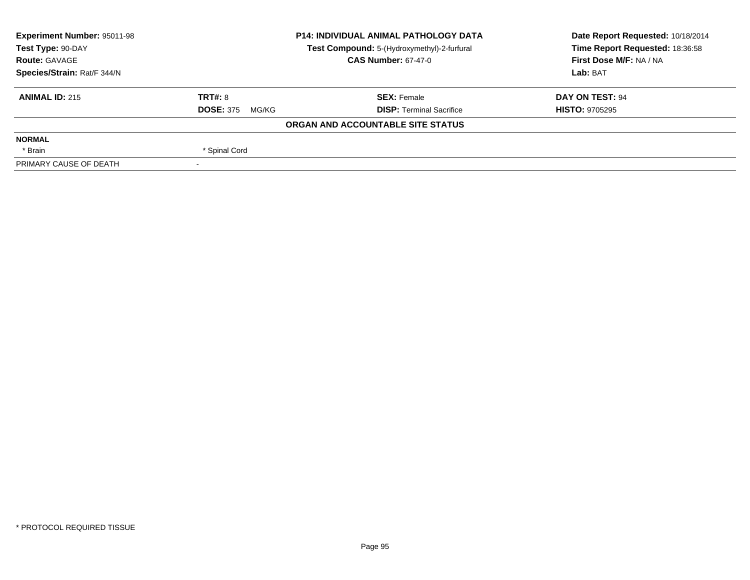| <b>Experiment Number: 95011-98</b> | <b>P14: INDIVIDUAL ANIMAL PATHOLOGY DATA</b> |                                             | Date Report Requested: 10/18/2014 |  |
|------------------------------------|----------------------------------------------|---------------------------------------------|-----------------------------------|--|
| Test Type: 90-DAY                  |                                              | Test Compound: 5-(Hydroxymethyl)-2-furfural | Time Report Requested: 18:36:58   |  |
| <b>Route: GAVAGE</b>               | <b>CAS Number: 67-47-0</b>                   |                                             | First Dose M/F: NA / NA           |  |
| Species/Strain: Rat/F 344/N        |                                              |                                             | Lab: BAT                          |  |
| <b>ANIMAL ID: 215</b>              | TRT#: 8                                      | <b>SEX: Female</b>                          | DAY ON TEST: 94                   |  |
|                                    | <b>DOSE: 375</b><br>MG/KG                    | <b>DISP: Terminal Sacrifice</b>             | <b>HISTO: 9705295</b>             |  |
|                                    |                                              | ORGAN AND ACCOUNTABLE SITE STATUS           |                                   |  |
| <b>NORMAL</b>                      |                                              |                                             |                                   |  |
| * Brain                            | * Spinal Cord                                |                                             |                                   |  |
| PRIMARY CAUSE OF DEATH             |                                              |                                             |                                   |  |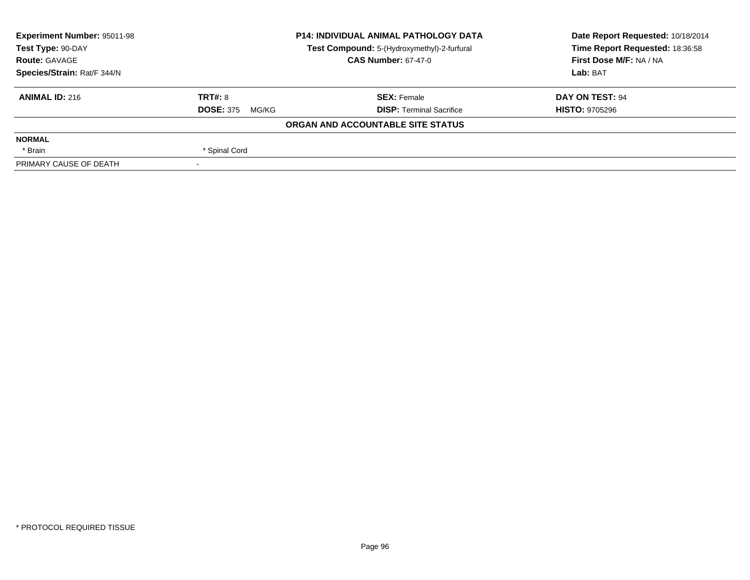| <b>Experiment Number: 95011-98</b> | <b>P14: INDIVIDUAL ANIMAL PATHOLOGY DATA</b> |                                             | Date Report Requested: 10/18/2014 |  |
|------------------------------------|----------------------------------------------|---------------------------------------------|-----------------------------------|--|
| Test Type: 90-DAY                  |                                              | Test Compound: 5-(Hydroxymethyl)-2-furfural | Time Report Requested: 18:36:58   |  |
| <b>Route: GAVAGE</b>               | <b>CAS Number: 67-47-0</b>                   |                                             | First Dose M/F: NA / NA           |  |
| Species/Strain: Rat/F 344/N        |                                              |                                             | Lab: BAT                          |  |
| <b>ANIMAL ID: 216</b>              | TRT#: 8                                      | <b>SEX: Female</b>                          | DAY ON TEST: 94                   |  |
|                                    | <b>DOSE: 375</b><br>MG/KG                    | <b>DISP: Terminal Sacrifice</b>             | <b>HISTO: 9705296</b>             |  |
|                                    |                                              | ORGAN AND ACCOUNTABLE SITE STATUS           |                                   |  |
| <b>NORMAL</b>                      |                                              |                                             |                                   |  |
| * Brain                            | * Spinal Cord                                |                                             |                                   |  |
| PRIMARY CAUSE OF DEATH             |                                              |                                             |                                   |  |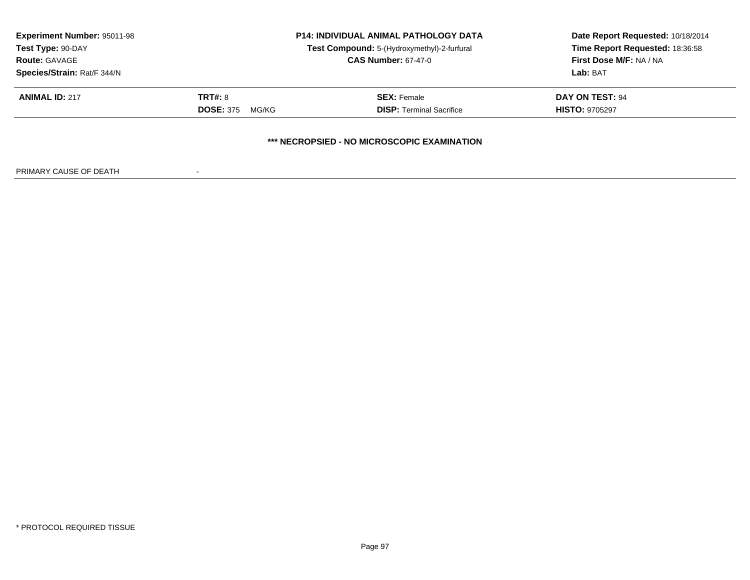| <b>Experiment Number: 95011-98</b><br>Test Type: 90-DAY<br><b>Route: GAVAGE</b><br>Species/Strain: Rat/F 344/N | <b>P14: INDIVIDUAL ANIMAL PATHOLOGY DATA</b><br>Test Compound: 5-(Hydroxymethyl)-2-furfural<br><b>CAS Number: 67-47-0</b> |                                                       | Date Report Requested: 10/18/2014<br>Time Report Requested: 18:36:58<br>First Dose M/F: NA / NA<br>Lab: BAT |
|----------------------------------------------------------------------------------------------------------------|---------------------------------------------------------------------------------------------------------------------------|-------------------------------------------------------|-------------------------------------------------------------------------------------------------------------|
| <b>ANIMAL ID: 217</b>                                                                                          | TRT#: 8<br><b>DOSE: 375</b><br>MG/KG                                                                                      | <b>SEX:</b> Female<br><b>DISP: Terminal Sacrifice</b> | DAY ON TEST: 94<br><b>HISTO: 9705297</b>                                                                    |
|                                                                                                                |                                                                                                                           | *** NECROPSIED - NO MICROSCOPIC EXAMINATION           |                                                                                                             |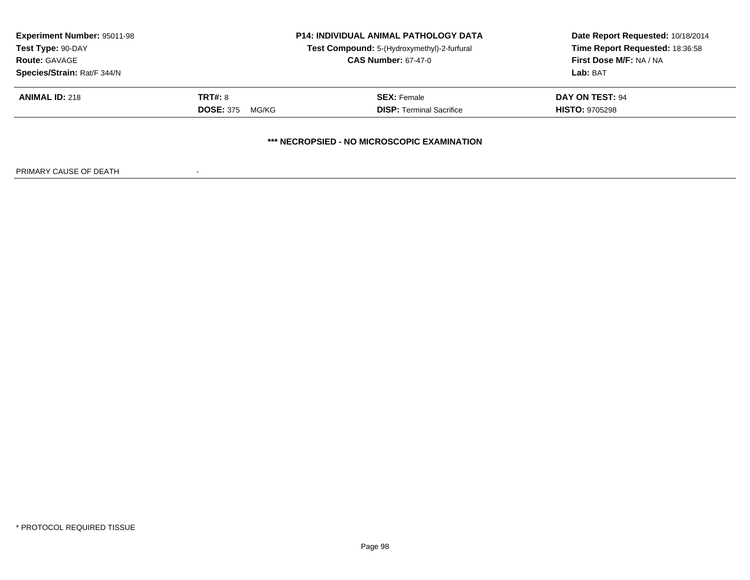| <b>Experiment Number: 95011-98</b><br>Test Type: 90-DAY<br><b>Route: GAVAGE</b><br>Species/Strain: Rat/F 344/N | <b>P14: INDIVIDUAL ANIMAL PATHOLOGY DATA</b><br>Test Compound: 5-(Hydroxymethyl)-2-furfural<br><b>CAS Number: 67-47-0</b> |                                                       | Date Report Requested: 10/18/2014<br>Time Report Requested: 18:36:58<br>First Dose M/F: NA / NA<br>Lab: BAT |  |
|----------------------------------------------------------------------------------------------------------------|---------------------------------------------------------------------------------------------------------------------------|-------------------------------------------------------|-------------------------------------------------------------------------------------------------------------|--|
| <b>ANIMAL ID: 218</b>                                                                                          | TRT#: 8<br><b>DOSE: 375</b><br>MG/KG                                                                                      | <b>SEX: Female</b><br><b>DISP: Terminal Sacrifice</b> | DAY ON TEST: 94<br><b>HISTO: 9705298</b>                                                                    |  |
|                                                                                                                |                                                                                                                           | *** NECROPSIED - NO MICROSCOPIC EXAMINATION           |                                                                                                             |  |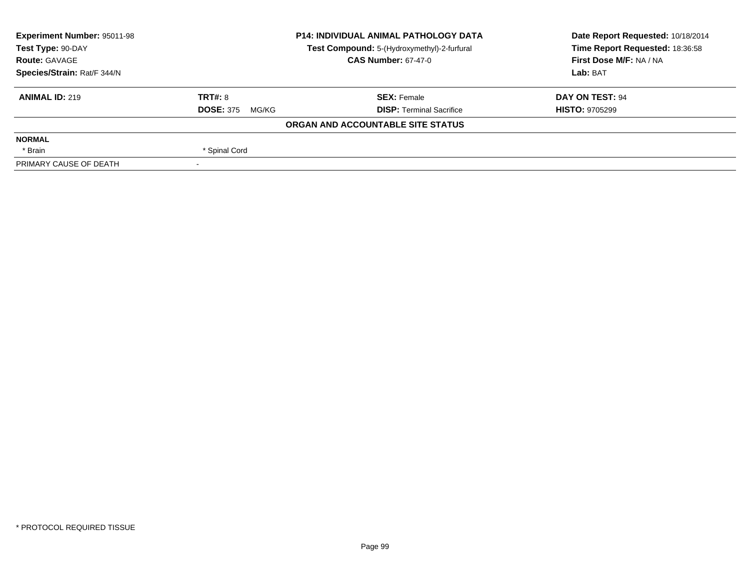| <b>Experiment Number: 95011-98</b> |                                             | <b>P14: INDIVIDUAL ANIMAL PATHOLOGY DATA</b> | Date Report Requested: 10/18/2014 |  |
|------------------------------------|---------------------------------------------|----------------------------------------------|-----------------------------------|--|
| Test Type: 90-DAY                  | Test Compound: 5-(Hydroxymethyl)-2-furfural |                                              | Time Report Requested: 18:36:58   |  |
| <b>Route: GAVAGE</b>               |                                             | <b>CAS Number: 67-47-0</b>                   | First Dose M/F: NA / NA           |  |
| Species/Strain: Rat/F 344/N        |                                             |                                              | Lab: BAT                          |  |
| <b>ANIMAL ID: 219</b>              | TRT#: 8                                     | <b>SEX: Female</b>                           | <b>DAY ON TEST: 94</b>            |  |
|                                    | <b>DOSE: 375</b><br>MG/KG                   | <b>DISP: Terminal Sacrifice</b>              | <b>HISTO: 9705299</b>             |  |
|                                    |                                             | ORGAN AND ACCOUNTABLE SITE STATUS            |                                   |  |
| <b>NORMAL</b>                      |                                             |                                              |                                   |  |
| * Brain                            | * Spinal Cord                               |                                              |                                   |  |
| PRIMARY CAUSE OF DEATH             |                                             |                                              |                                   |  |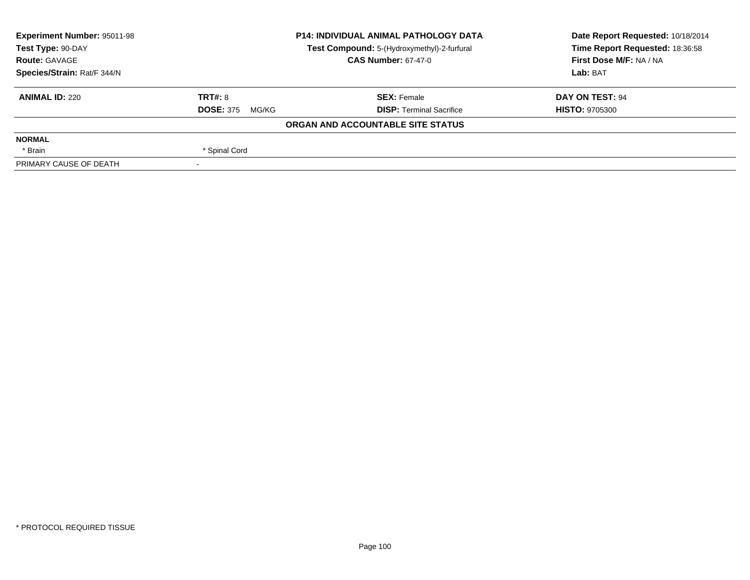| <b>Experiment Number: 95011-98</b> | <b>P14: INDIVIDUAL ANIMAL PATHOLOGY DATA</b><br>Test Compound: 5-(Hydroxymethyl)-2-furfural |                                   | Date Report Requested: 10/18/2014 |  |
|------------------------------------|---------------------------------------------------------------------------------------------|-----------------------------------|-----------------------------------|--|
| Test Type: 90-DAY                  |                                                                                             |                                   | Time Report Requested: 18:36:58   |  |
| <b>Route: GAVAGE</b>               |                                                                                             | <b>CAS Number: 67-47-0</b>        | First Dose M/F: NA / NA           |  |
| Species/Strain: Rat/F 344/N        |                                                                                             |                                   | Lab: BAT                          |  |
| <b>ANIMAL ID: 220</b>              | TRT#: 8                                                                                     | <b>SEX: Female</b>                | DAY ON TEST: 94                   |  |
|                                    | <b>DOSE: 375</b><br>MG/KG                                                                   | <b>DISP:</b> Terminal Sacrifice   | <b>HISTO: 9705300</b>             |  |
|                                    |                                                                                             | ORGAN AND ACCOUNTABLE SITE STATUS |                                   |  |
| <b>NORMAL</b>                      |                                                                                             |                                   |                                   |  |
| * Brain                            | * Spinal Cord                                                                               |                                   |                                   |  |
| PRIMARY CAUSE OF DEATH             |                                                                                             |                                   |                                   |  |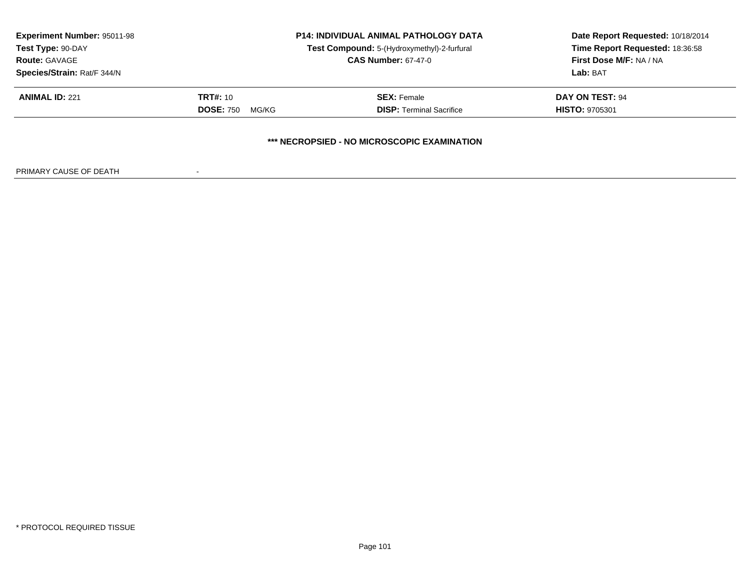| <b>Experiment Number: 95011-98</b><br>Test Type: 90-DAY |                           | <b>P14: INDIVIDUAL ANIMAL PATHOLOGY DATA</b><br>Test Compound: 5-(Hydroxymethyl)-2-furfural<br><b>CAS Number: 67-47-0</b> | Date Report Requested: 10/18/2014<br>Time Report Requested: 18:36:58<br>First Dose M/F: NA / NA<br>Lab: BAT |
|---------------------------------------------------------|---------------------------|---------------------------------------------------------------------------------------------------------------------------|-------------------------------------------------------------------------------------------------------------|
| <b>Route: GAVAGE</b><br>Species/Strain: Rat/F 344/N     |                           |                                                                                                                           |                                                                                                             |
| <b>ANIMAL ID: 221</b>                                   | <b>TRT#: 10</b>           | <b>SEX: Female</b>                                                                                                        | <b>DAY ON TEST: 94</b>                                                                                      |
|                                                         | <b>DOSE: 750</b><br>MG/KG | <b>DISP:</b> Terminal Sacrifice                                                                                           | <b>HISTO: 9705301</b>                                                                                       |
|                                                         |                           | *** NECROPSIED - NO MICROSCOPIC EXAMINATION                                                                               |                                                                                                             |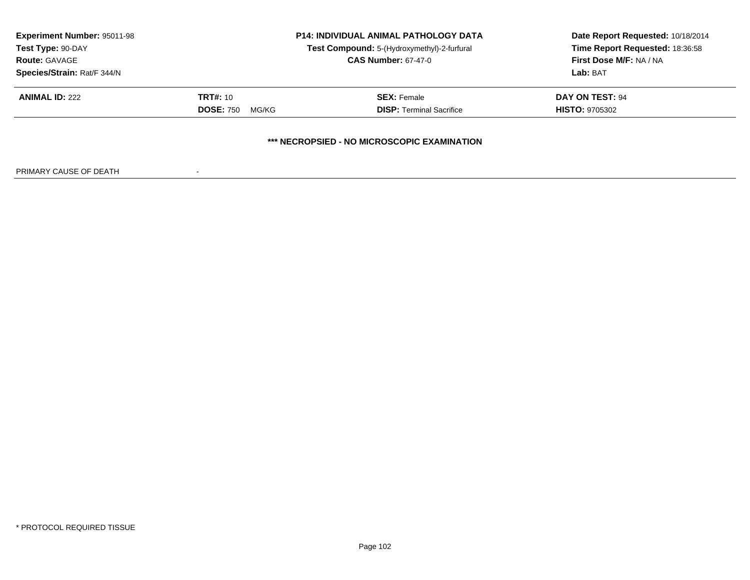| <b>Experiment Number: 95011-98</b><br>Test Type: 90-DAY<br><b>Route: GAVAGE</b> | <b>P14: INDIVIDUAL ANIMAL PATHOLOGY DATA</b><br>Test Compound: 5-(Hydroxymethyl)-2-furfural<br><b>CAS Number: 67-47-0</b> |                                                                                | Date Report Requested: 10/18/2014<br>Time Report Requested: 18:36:58<br>First Dose M/F: NA / NA<br>Lab: BAT |
|---------------------------------------------------------------------------------|---------------------------------------------------------------------------------------------------------------------------|--------------------------------------------------------------------------------|-------------------------------------------------------------------------------------------------------------|
| Species/Strain: Rat/F 344/N<br><b>ANIMAL ID: 222</b>                            | <b>TRT#: 10</b>                                                                                                           | <b>SEX: Female</b>                                                             | <b>DAY ON TEST: 94</b>                                                                                      |
|                                                                                 | <b>DOSE: 750</b><br>MG/KG                                                                                                 | <b>DISP:</b> Terminal Sacrifice<br>*** NECROPSIED - NO MICROSCOPIC EXAMINATION | <b>HISTO: 9705302</b>                                                                                       |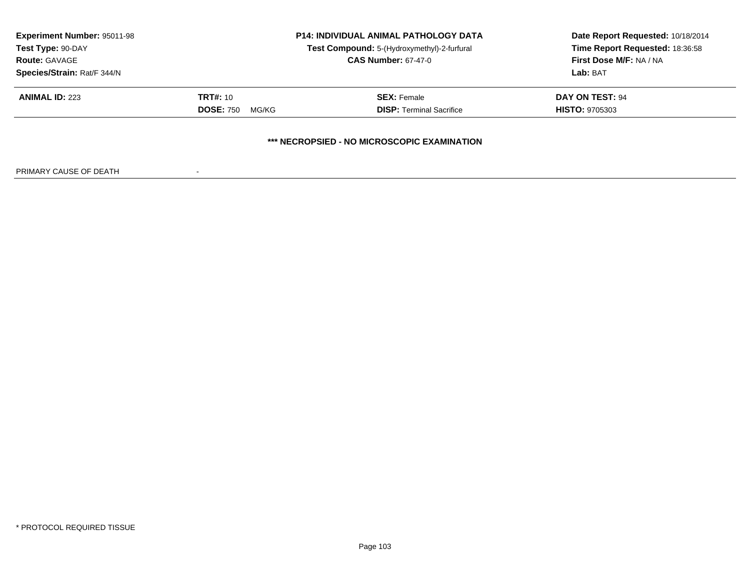| <b>Experiment Number: 95011-98</b><br>Test Type: 90-DAY<br><b>Route: GAVAGE</b> | <b>P14: INDIVIDUAL ANIMAL PATHOLOGY DATA</b><br>Test Compound: 5-(Hydroxymethyl)-2-furfural<br><b>CAS Number: 67-47-0</b> |                                             | Date Report Requested: 10/18/2014<br>Time Report Requested: 18:36:58<br>First Dose M/F: NA / NA<br>Lab: BAT |  |
|---------------------------------------------------------------------------------|---------------------------------------------------------------------------------------------------------------------------|---------------------------------------------|-------------------------------------------------------------------------------------------------------------|--|
| Species/Strain: Rat/F 344/N<br><b>ANIMAL ID: 223</b>                            | <b>TRT#:</b> 10                                                                                                           | <b>SEX: Female</b>                          | <b>DAY ON TEST: 94</b>                                                                                      |  |
|                                                                                 | <b>DOSE: 750</b><br>MG/KG                                                                                                 | <b>DISP:</b> Terminal Sacrifice             | <b>HISTO: 9705303</b>                                                                                       |  |
|                                                                                 |                                                                                                                           | *** NECROPSIED - NO MICROSCOPIC EXAMINATION |                                                                                                             |  |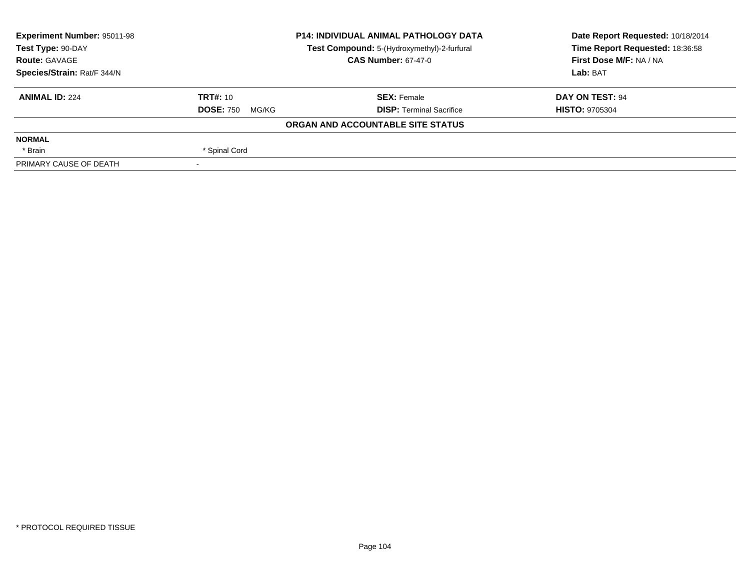| <b>Experiment Number: 95011-98</b> | <b>P14: INDIVIDUAL ANIMAL PATHOLOGY DATA</b><br>Test Compound: 5-(Hydroxymethyl)-2-furfural |                                   | Date Report Requested: 10/18/2014 |  |
|------------------------------------|---------------------------------------------------------------------------------------------|-----------------------------------|-----------------------------------|--|
| Test Type: 90-DAY                  |                                                                                             |                                   | Time Report Requested: 18:36:58   |  |
| <b>Route: GAVAGE</b>               |                                                                                             | <b>CAS Number: 67-47-0</b>        | First Dose M/F: NA / NA           |  |
| Species/Strain: Rat/F 344/N        |                                                                                             |                                   | Lab: BAT                          |  |
| <b>ANIMAL ID: 224</b>              | <b>TRT#: 10</b>                                                                             | <b>SEX: Female</b>                | DAY ON TEST: 94                   |  |
|                                    | <b>DOSE: 750</b><br>MG/KG                                                                   | <b>DISP: Terminal Sacrifice</b>   | <b>HISTO: 9705304</b>             |  |
|                                    |                                                                                             | ORGAN AND ACCOUNTABLE SITE STATUS |                                   |  |
| <b>NORMAL</b>                      |                                                                                             |                                   |                                   |  |
| * Brain                            | * Spinal Cord                                                                               |                                   |                                   |  |
| PRIMARY CAUSE OF DEATH             | $\overline{\phantom{0}}$                                                                    |                                   |                                   |  |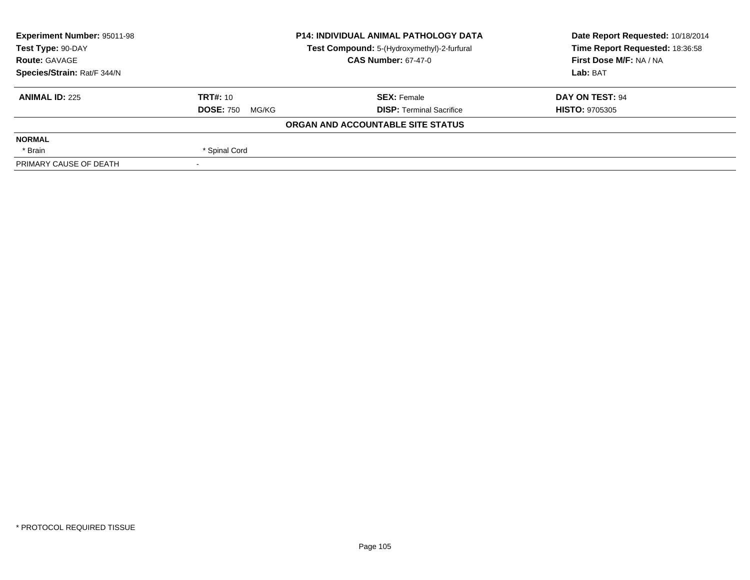| <b>P14: INDIVIDUAL ANIMAL PATHOLOGY DATA</b><br><b>Experiment Number: 95011-98</b> |                                             | Date Report Requested: 10/18/2014 |                                 |  |
|------------------------------------------------------------------------------------|---------------------------------------------|-----------------------------------|---------------------------------|--|
| Test Type: 90-DAY                                                                  | Test Compound: 5-(Hydroxymethyl)-2-furfural |                                   | Time Report Requested: 18:36:58 |  |
| <b>Route: GAVAGE</b>                                                               |                                             | <b>CAS Number: 67-47-0</b>        | First Dose M/F: NA / NA         |  |
| Species/Strain: Rat/F 344/N                                                        |                                             |                                   | Lab: BAT                        |  |
| <b>ANIMAL ID: 225</b>                                                              | <b>TRT#: 10</b>                             | <b>SEX: Female</b>                | DAY ON TEST: 94                 |  |
|                                                                                    | <b>DOSE: 750</b><br>MG/KG                   | <b>DISP: Terminal Sacrifice</b>   | <b>HISTO: 9705305</b>           |  |
|                                                                                    |                                             | ORGAN AND ACCOUNTABLE SITE STATUS |                                 |  |
| <b>NORMAL</b>                                                                      |                                             |                                   |                                 |  |
| * Brain                                                                            | * Spinal Cord                               |                                   |                                 |  |
| PRIMARY CAUSE OF DEATH                                                             |                                             |                                   |                                 |  |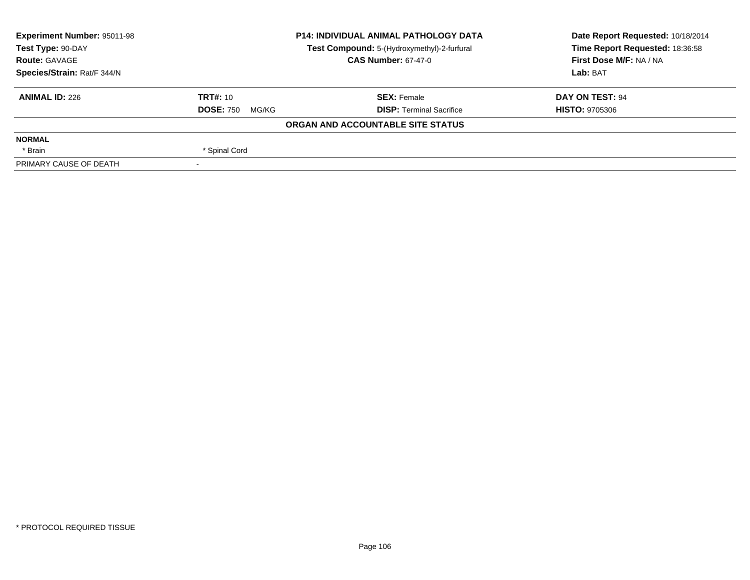| <b>P14: INDIVIDUAL ANIMAL PATHOLOGY DATA</b><br><b>Experiment Number: 95011-98</b> |                                             |                                   | Date Report Requested: 10/18/2014 |  |
|------------------------------------------------------------------------------------|---------------------------------------------|-----------------------------------|-----------------------------------|--|
| Test Type: 90-DAY                                                                  | Test Compound: 5-(Hydroxymethyl)-2-furfural |                                   | Time Report Requested: 18:36:58   |  |
| <b>Route: GAVAGE</b>                                                               |                                             | <b>CAS Number: 67-47-0</b>        | First Dose M/F: NA / NA           |  |
| Species/Strain: Rat/F 344/N                                                        |                                             |                                   | Lab: BAT                          |  |
| <b>ANIMAL ID: 226</b>                                                              | <b>TRT#: 10</b>                             | <b>SEX: Female</b>                | DAY ON TEST: 94                   |  |
|                                                                                    | <b>DOSE: 750</b><br>MG/KG                   | <b>DISP: Terminal Sacrifice</b>   | <b>HISTO: 9705306</b>             |  |
|                                                                                    |                                             | ORGAN AND ACCOUNTABLE SITE STATUS |                                   |  |
| <b>NORMAL</b>                                                                      |                                             |                                   |                                   |  |
| * Brain                                                                            | * Spinal Cord                               |                                   |                                   |  |
| PRIMARY CAUSE OF DEATH                                                             |                                             |                                   |                                   |  |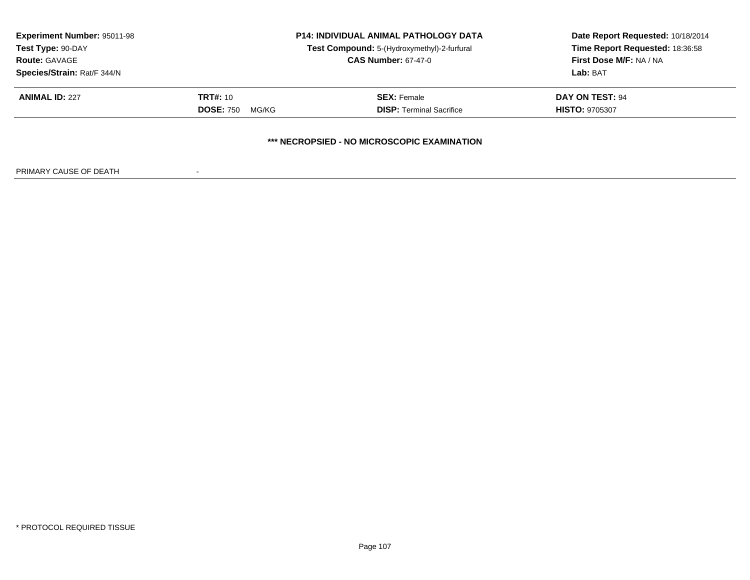| <b>Experiment Number: 95011-98</b><br><b>P14: INDIVIDUAL ANIMAL PATHOLOGY DATA</b><br>Test Compound: 5-(Hydroxymethyl)-2-furfural<br>Test Type: 90-DAY |                                                    |                                             | Date Report Requested: 10/18/2014<br>Time Report Requested: 18:36:58 |  |
|--------------------------------------------------------------------------------------------------------------------------------------------------------|----------------------------------------------------|---------------------------------------------|----------------------------------------------------------------------|--|
| Species/Strain: Rat/F 344/N                                                                                                                            | <b>CAS Number: 67-47-0</b><br><b>Route: GAVAGE</b> |                                             | First Dose M/F: NA / NA<br>Lab: BAT                                  |  |
| <b>ANIMAL ID: 227</b>                                                                                                                                  | <b>TRT#: 10</b>                                    | <b>SEX: Female</b>                          | <b>DAY ON TEST: 94</b>                                               |  |
|                                                                                                                                                        | <b>DOSE: 750</b><br>MG/KG                          | <b>DISP:</b> Terminal Sacrifice             | <b>HISTO: 9705307</b>                                                |  |
|                                                                                                                                                        |                                                    | *** NECROPSIED - NO MICROSCOPIC EXAMINATION |                                                                      |  |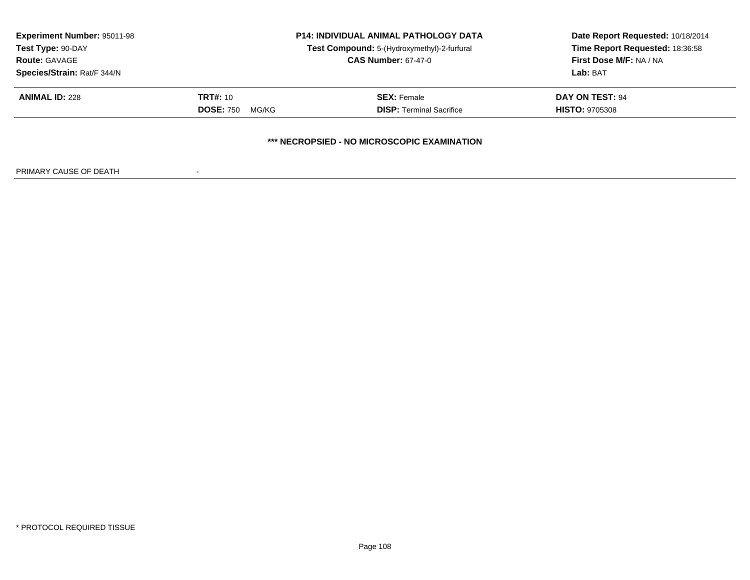| <b>Experiment Number: 95011-98</b><br>Test Type: 90-DAY<br><b>Route: GAVAGE</b> |                           | <b>P14: INDIVIDUAL ANIMAL PATHOLOGY DATA</b><br>Test Compound: 5-(Hydroxymethyl)-2-furfural | Date Report Requested: 10/18/2014<br>Time Report Requested: 18:36:58<br>First Dose M/F: NA / NA |
|---------------------------------------------------------------------------------|---------------------------|---------------------------------------------------------------------------------------------|-------------------------------------------------------------------------------------------------|
|                                                                                 |                           | <b>CAS Number: 67-47-0</b>                                                                  |                                                                                                 |
| Species/Strain: Rat/F 344/N                                                     |                           |                                                                                             | Lab: BAT                                                                                        |
| <b>ANIMAL ID: 228</b>                                                           | <b>TRT#:</b> 10           | <b>SEX: Female</b>                                                                          | <b>DAY ON TEST: 94</b>                                                                          |
|                                                                                 | <b>DOSE: 750</b><br>MG/KG | <b>DISP:</b> Terminal Sacrifice                                                             | <b>HISTO: 9705308</b>                                                                           |
|                                                                                 |                           | *** NECROPSIED - NO MICROSCOPIC EXAMINATION                                                 |                                                                                                 |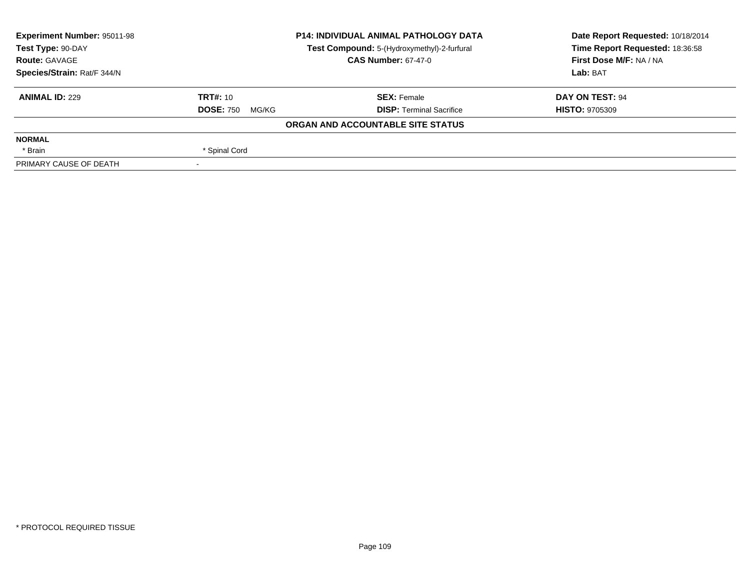| <b>Experiment Number: 95011-98</b> | <b>P14: INDIVIDUAL ANIMAL PATHOLOGY DATA</b><br>Test Compound: 5-(Hydroxymethyl)-2-furfural |                                   | Date Report Requested: 10/18/2014<br>Time Report Requested: 18:36:58 |  |
|------------------------------------|---------------------------------------------------------------------------------------------|-----------------------------------|----------------------------------------------------------------------|--|
| Test Type: 90-DAY                  |                                                                                             |                                   |                                                                      |  |
| <b>Route: GAVAGE</b>               |                                                                                             | <b>CAS Number: 67-47-0</b>        | First Dose M/F: NA / NA                                              |  |
| Species/Strain: Rat/F 344/N        |                                                                                             |                                   | Lab: BAT                                                             |  |
| <b>ANIMAL ID: 229</b>              | TRT#: 10                                                                                    | <b>SEX:</b> Female                | DAY ON TEST: 94                                                      |  |
|                                    | <b>DOSE: 750</b><br>MG/KG                                                                   | <b>DISP:</b> Terminal Sacrifice   | <b>HISTO: 9705309</b>                                                |  |
|                                    |                                                                                             | ORGAN AND ACCOUNTABLE SITE STATUS |                                                                      |  |
| <b>NORMAL</b>                      |                                                                                             |                                   |                                                                      |  |
| * Brain                            | * Spinal Cord                                                                               |                                   |                                                                      |  |
| PRIMARY CAUSE OF DEATH             | $\overline{\phantom{a}}$                                                                    |                                   |                                                                      |  |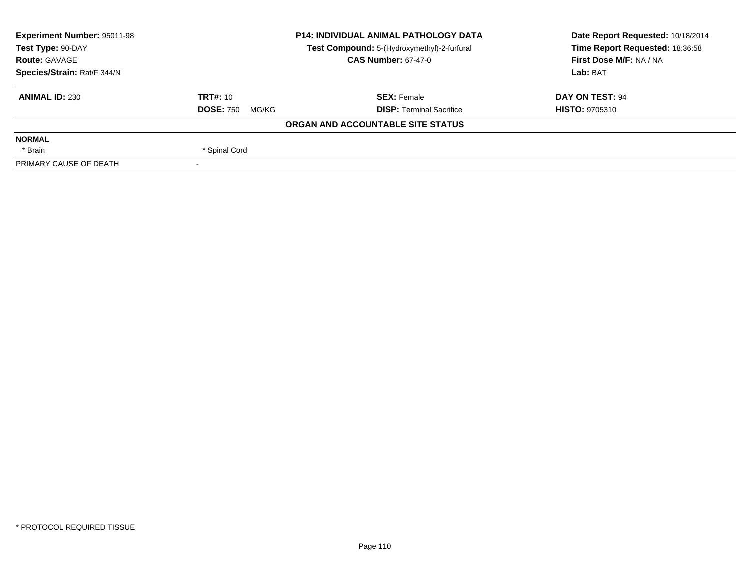| <b>Experiment Number: 95011-98</b> | <b>P14: INDIVIDUAL ANIMAL PATHOLOGY DATA</b><br>Test Compound: 5-(Hydroxymethyl)-2-furfural<br><b>CAS Number: 67-47-0</b> |                                   | Date Report Requested: 10/18/2014 |  |
|------------------------------------|---------------------------------------------------------------------------------------------------------------------------|-----------------------------------|-----------------------------------|--|
| Test Type: 90-DAY                  |                                                                                                                           |                                   | Time Report Requested: 18:36:58   |  |
| <b>Route: GAVAGE</b>               |                                                                                                                           |                                   | First Dose M/F: NA / NA           |  |
| Species/Strain: Rat/F 344/N        |                                                                                                                           |                                   | Lab: BAT                          |  |
| <b>ANIMAL ID: 230</b>              | TRT#: 10                                                                                                                  | <b>SEX:</b> Female                | DAY ON TEST: 94                   |  |
|                                    | <b>DOSE: 750</b><br>MG/KG                                                                                                 | <b>DISP:</b> Terminal Sacrifice   | <b>HISTO: 9705310</b>             |  |
|                                    |                                                                                                                           | ORGAN AND ACCOUNTABLE SITE STATUS |                                   |  |
| <b>NORMAL</b>                      |                                                                                                                           |                                   |                                   |  |
| * Brain                            | * Spinal Cord                                                                                                             |                                   |                                   |  |
| PRIMARY CAUSE OF DEATH             | $\overline{\phantom{a}}$                                                                                                  |                                   |                                   |  |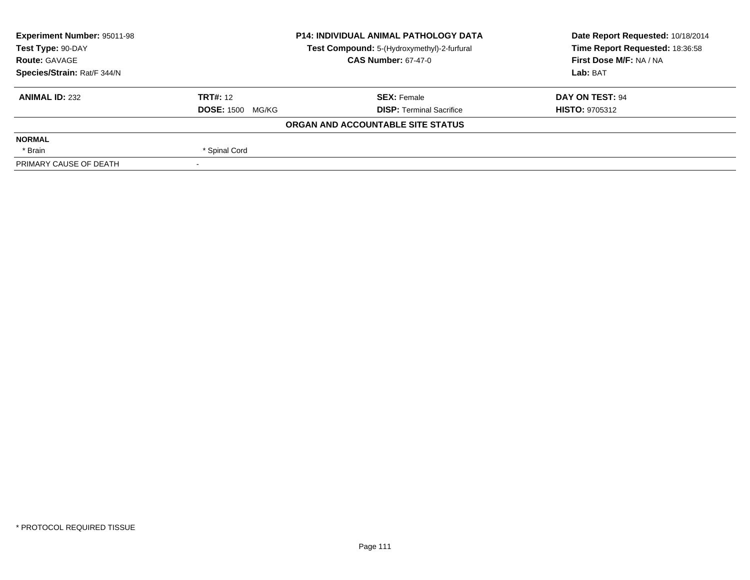| <b>Experiment Number: 95011-98</b> | <b>P14: INDIVIDUAL ANIMAL PATHOLOGY DATA</b><br>Test Compound: 5-(Hydroxymethyl)-2-furfural<br><b>CAS Number: 67-47-0</b> |                                   | Date Report Requested: 10/18/2014 |  |
|------------------------------------|---------------------------------------------------------------------------------------------------------------------------|-----------------------------------|-----------------------------------|--|
| Test Type: 90-DAY                  |                                                                                                                           |                                   | Time Report Requested: 18:36:58   |  |
| <b>Route: GAVAGE</b>               |                                                                                                                           |                                   | First Dose M/F: NA / NA           |  |
| Species/Strain: Rat/F 344/N        |                                                                                                                           |                                   | Lab: BAT                          |  |
| <b>ANIMAL ID: 232</b>              | <b>TRT#: 12</b>                                                                                                           | <b>SEX: Female</b>                | DAY ON TEST: 94                   |  |
|                                    | <b>DOSE: 1500 MG/KG</b>                                                                                                   | <b>DISP:</b> Terminal Sacrifice   | <b>HISTO: 9705312</b>             |  |
|                                    |                                                                                                                           | ORGAN AND ACCOUNTABLE SITE STATUS |                                   |  |
| <b>NORMAL</b>                      |                                                                                                                           |                                   |                                   |  |
| * Brain                            | * Spinal Cord                                                                                                             |                                   |                                   |  |
| PRIMARY CAUSE OF DEATH             | $\overline{\phantom{a}}$                                                                                                  |                                   |                                   |  |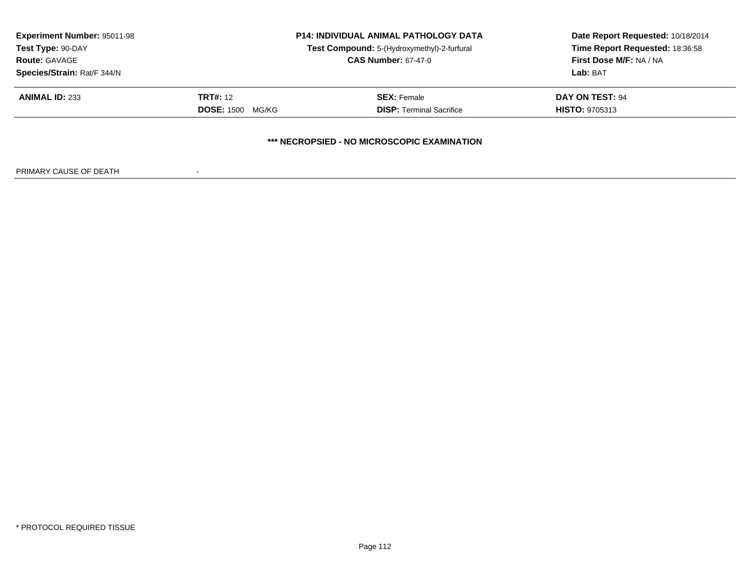| <b>Experiment Number: 95011-98</b><br>Test Type: 90-DAY<br><b>Route: GAVAGE</b> | <b>P14: INDIVIDUAL ANIMAL PATHOLOGY DATA</b><br>Test Compound: 5-(Hydroxymethyl)-2-furfural<br><b>CAS Number: 67-47-0</b> |                                             | Date Report Requested: 10/18/2014<br>Time Report Requested: 18:36:58<br>First Dose M/F: NA / NA |
|---------------------------------------------------------------------------------|---------------------------------------------------------------------------------------------------------------------------|---------------------------------------------|-------------------------------------------------------------------------------------------------|
| Species/Strain: Rat/F 344/N                                                     |                                                                                                                           |                                             | Lab: BAT                                                                                        |
| <b>ANIMAL ID: 233</b>                                                           | <b>TRT#: 12</b>                                                                                                           | <b>SEX:</b> Female                          | <b>DAY ON TEST: 94</b>                                                                          |
|                                                                                 | <b>DOSE: 1500</b><br>MG/KG                                                                                                | <b>DISP: Terminal Sacrifice</b>             | <b>HISTO: 9705313</b>                                                                           |
|                                                                                 |                                                                                                                           | *** NECROPSIED - NO MICROSCOPIC EXAMINATION |                                                                                                 |

PRIMARY CAUSE OF DEATH-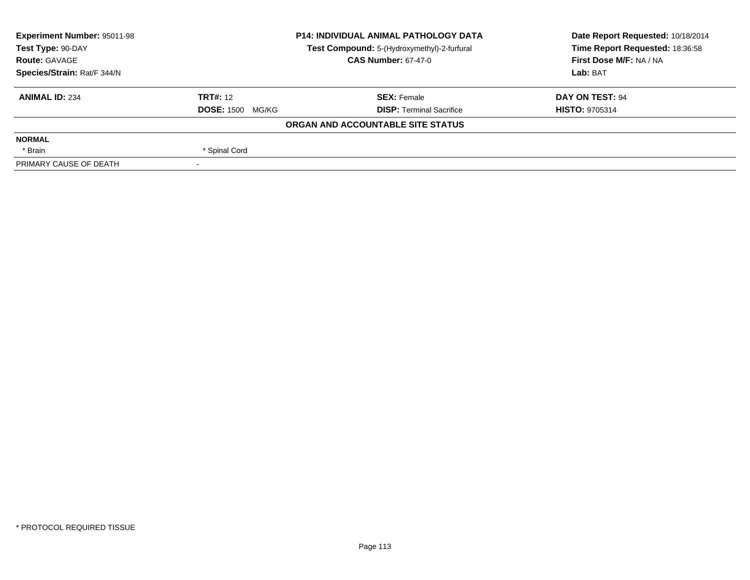| <b>Experiment Number: 95011-98</b> |                            | <b>P14: INDIVIDUAL ANIMAL PATHOLOGY DATA</b> | Date Report Requested: 10/18/2014 |  |
|------------------------------------|----------------------------|----------------------------------------------|-----------------------------------|--|
| Test Type: 90-DAY                  |                            | Test Compound: 5-(Hydroxymethyl)-2-furfural  | Time Report Requested: 18:36:58   |  |
| <b>Route: GAVAGE</b>               | <b>CAS Number: 67-47-0</b> |                                              | First Dose M/F: NA / NA           |  |
| Species/Strain: Rat/F 344/N        |                            |                                              | Lab: BAT                          |  |
| <b>ANIMAL ID: 234</b>              | <b>TRT#: 12</b>            | <b>SEX: Female</b>                           | DAY ON TEST: 94                   |  |
|                                    | <b>DOSE: 1500 MG/KG</b>    | <b>DISP: Terminal Sacrifice</b>              | <b>HISTO: 9705314</b>             |  |
|                                    |                            | ORGAN AND ACCOUNTABLE SITE STATUS            |                                   |  |
| <b>NORMAL</b>                      |                            |                                              |                                   |  |
| * Brain                            | * Spinal Cord              |                                              |                                   |  |
| PRIMARY CAUSE OF DEATH             |                            |                                              |                                   |  |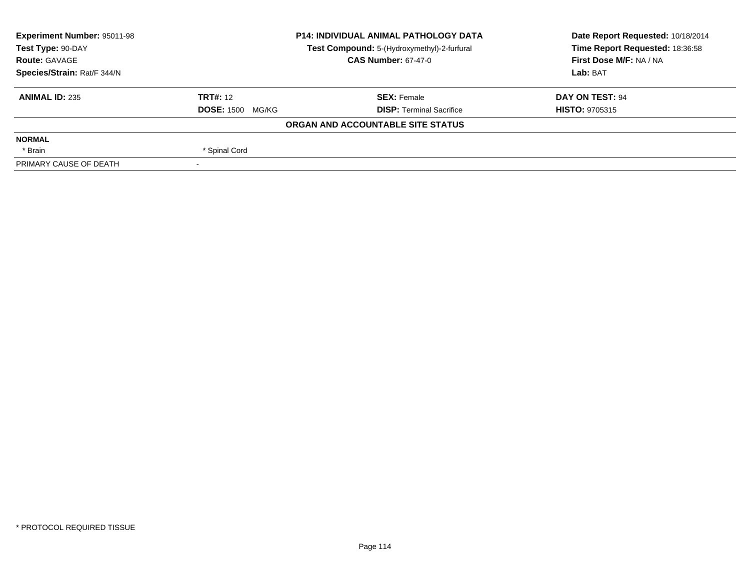| <b>Experiment Number: 95011-98</b> | <b>P14: INDIVIDUAL ANIMAL PATHOLOGY DATA</b><br>Test Compound: 5-(Hydroxymethyl)-2-furfural<br><b>CAS Number: 67-47-0</b> |                                   | Date Report Requested: 10/18/2014<br>Time Report Requested: 18:36:58 |  |
|------------------------------------|---------------------------------------------------------------------------------------------------------------------------|-----------------------------------|----------------------------------------------------------------------|--|
| Test Type: 90-DAY                  |                                                                                                                           |                                   |                                                                      |  |
| <b>Route: GAVAGE</b>               |                                                                                                                           |                                   | First Dose M/F: NA / NA                                              |  |
| Species/Strain: Rat/F 344/N        |                                                                                                                           |                                   | Lab: BAT                                                             |  |
| <b>ANIMAL ID: 235</b>              | <b>TRT#: 12</b>                                                                                                           | <b>SEX: Female</b>                | DAY ON TEST: 94                                                      |  |
|                                    | <b>DOSE: 1500 MG/KG</b>                                                                                                   | <b>DISP: Terminal Sacrifice</b>   | <b>HISTO: 9705315</b>                                                |  |
|                                    |                                                                                                                           | ORGAN AND ACCOUNTABLE SITE STATUS |                                                                      |  |
| <b>NORMAL</b>                      |                                                                                                                           |                                   |                                                                      |  |
| * Brain                            | * Spinal Cord                                                                                                             |                                   |                                                                      |  |
| PRIMARY CAUSE OF DEATH             |                                                                                                                           |                                   |                                                                      |  |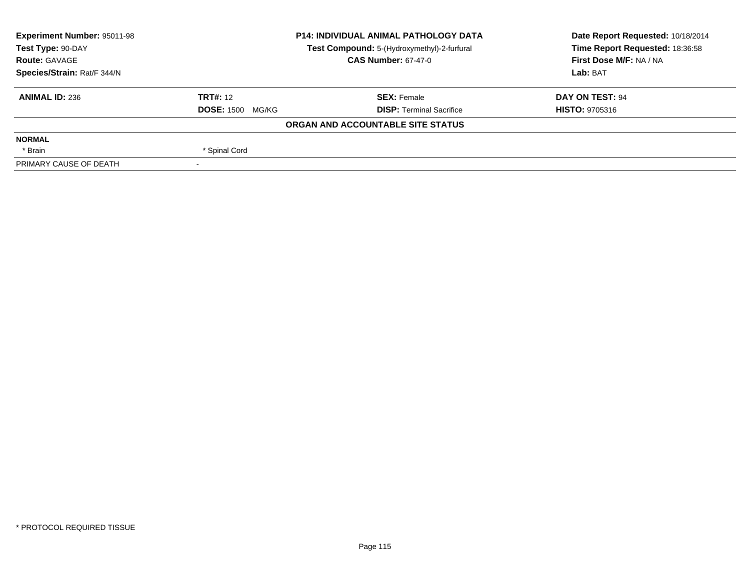| <b>Experiment Number: 95011-98</b> | <b>P14: INDIVIDUAL ANIMAL PATHOLOGY DATA</b><br>Test Compound: 5-(Hydroxymethyl)-2-furfural<br><b>CAS Number: 67-47-0</b> |                                   | Date Report Requested: 10/18/2014 |  |
|------------------------------------|---------------------------------------------------------------------------------------------------------------------------|-----------------------------------|-----------------------------------|--|
| Test Type: 90-DAY                  |                                                                                                                           |                                   | Time Report Requested: 18:36:58   |  |
| <b>Route: GAVAGE</b>               |                                                                                                                           |                                   | First Dose M/F: NA / NA           |  |
| Species/Strain: Rat/F 344/N        |                                                                                                                           |                                   | Lab: BAT                          |  |
| <b>ANIMAL ID: 236</b>              | <b>TRT#: 12</b>                                                                                                           | <b>SEX: Female</b>                | DAY ON TEST: 94                   |  |
|                                    | <b>DOSE: 1500 MG/KG</b>                                                                                                   | <b>DISP:</b> Terminal Sacrifice   | <b>HISTO: 9705316</b>             |  |
|                                    |                                                                                                                           | ORGAN AND ACCOUNTABLE SITE STATUS |                                   |  |
| <b>NORMAL</b>                      |                                                                                                                           |                                   |                                   |  |
| * Brain                            | * Spinal Cord                                                                                                             |                                   |                                   |  |
| PRIMARY CAUSE OF DEATH             |                                                                                                                           |                                   |                                   |  |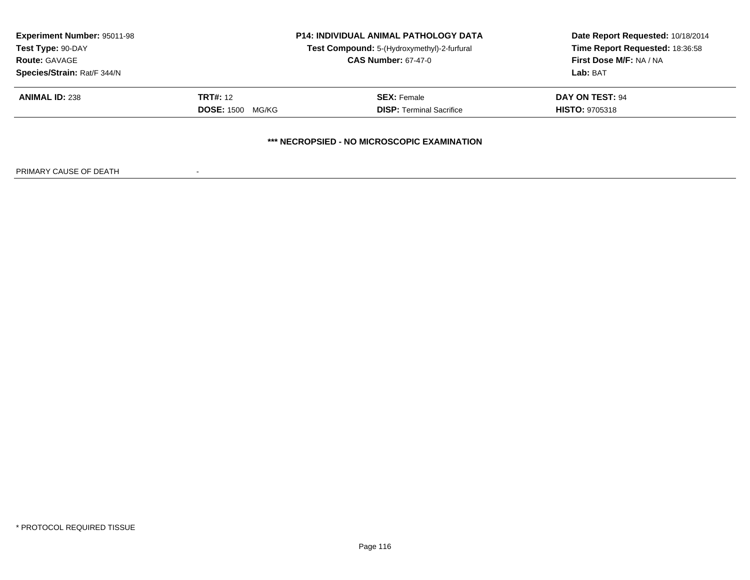| <b>Experiment Number: 95011-98</b><br>Test Type: 90-DAY<br><b>Route: GAVAGE</b> | <b>P14: INDIVIDUAL ANIMAL PATHOLOGY DATA</b><br>Test Compound: 5-(Hydroxymethyl)-2-furfural<br><b>CAS Number: 67-47-0</b> |                                             | Date Report Requested: 10/18/2014<br>Time Report Requested: 18:36:58<br>First Dose M/F: NA / NA |
|---------------------------------------------------------------------------------|---------------------------------------------------------------------------------------------------------------------------|---------------------------------------------|-------------------------------------------------------------------------------------------------|
| Species/Strain: Rat/F 344/N                                                     |                                                                                                                           |                                             | Lab: BAT                                                                                        |
| <b>ANIMAL ID: 238</b>                                                           | <b>TRT#: 12</b>                                                                                                           | <b>SEX:</b> Female                          | DAY ON TEST: 94                                                                                 |
|                                                                                 | <b>DOSE: 1500</b><br>MG/KG                                                                                                | <b>DISP: Terminal Sacrifice</b>             | <b>HISTO: 9705318</b>                                                                           |
|                                                                                 |                                                                                                                           | *** NECROPSIED - NO MICROSCOPIC EXAMINATION |                                                                                                 |

PRIMARY CAUSE OF DEATH-